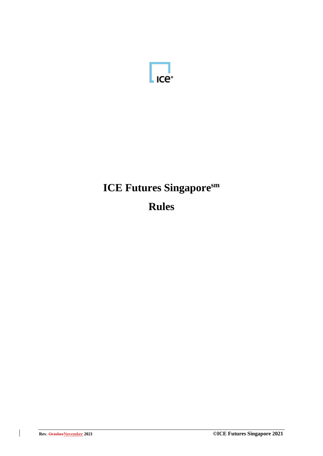

# **ICE Futures Singaporesm Rules**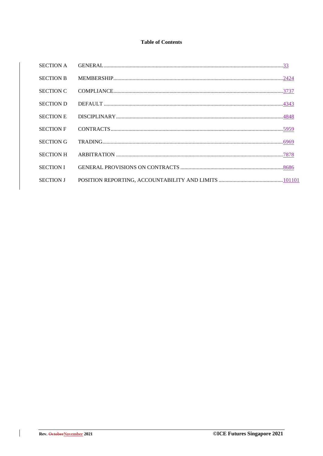# **Table of Contents**

| <b>SECTION A</b> |  |
|------------------|--|
| <b>SECTION B</b> |  |
| <b>SECTION C</b> |  |
| <b>SECTION D</b> |  |
| <b>SECTION E</b> |  |
| <b>SECTION F</b> |  |
| <b>SECTION G</b> |  |
| <b>SECTION H</b> |  |
| <b>SECTION I</b> |  |
| <b>SECTION J</b> |  |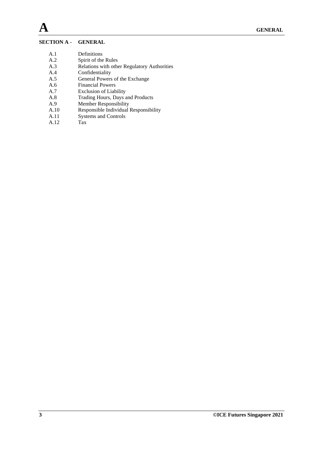# **SECTION A - GENERAL**

- A.1 Definitions
- A.2 Spirit of the Rules
- A.3 Relations with other Regulatory Authorities
- A.4 Confidentiality
- A.5 General Powers of the Exchange
- A.6 Financial Powers
- A.7 Exclusion of Liability
- A.8 Trading Hours, Days and Products<br>A.9 Member Responsibility
- A.9 Member Responsibility<br>A.10 Responsible Individual
- Responsible Individual Responsibility
- A.11 Systems and Controls<br>A.12 Tax
- $A.12$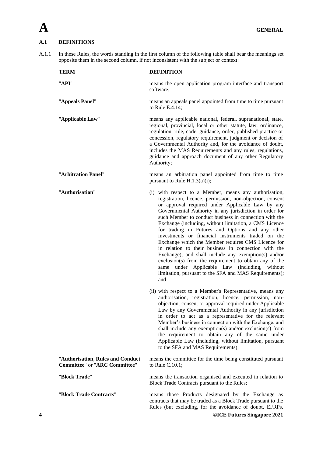# **A.1 DEFINITIONS**

A.1.1 In these Rules, the words standing in the first column of the following table shall bear the meanings set opposite them in the second column, if not inconsistent with the subject or context:

| <b>TERM</b>                                                               | <b>DEFINITION</b>                                                                                                                                                                                                                                                                                                                                                                                                                                                                                                                                                                                                                                                                                                                                                                                                  |
|---------------------------------------------------------------------------|--------------------------------------------------------------------------------------------------------------------------------------------------------------------------------------------------------------------------------------------------------------------------------------------------------------------------------------------------------------------------------------------------------------------------------------------------------------------------------------------------------------------------------------------------------------------------------------------------------------------------------------------------------------------------------------------------------------------------------------------------------------------------------------------------------------------|
| "API"                                                                     | means the open application program interface and transport<br>software;                                                                                                                                                                                                                                                                                                                                                                                                                                                                                                                                                                                                                                                                                                                                            |
| "Appeals Panel"                                                           | means an appeals panel appointed from time to time pursuant<br>to Rule E.4.14;                                                                                                                                                                                                                                                                                                                                                                                                                                                                                                                                                                                                                                                                                                                                     |
| "Applicable Law"                                                          | means any applicable national, federal, supranational, state,<br>regional, provincial, local or other statute, law, ordinance,<br>regulation, rule, code, guidance, order, published practice or<br>concession, regulatory requirement, judgment or decision of<br>a Governmental Authority and, for the avoidance of doubt,<br>includes the MAS Requirements and any rules, regulations,<br>guidance and approach document of any other Regulatory<br>Authority;                                                                                                                                                                                                                                                                                                                                                  |
| "Arbitration Panel"                                                       | means an arbitration panel appointed from time to time<br>pursuant to Rule $H.1.3(a)(i)$ ;                                                                                                                                                                                                                                                                                                                                                                                                                                                                                                                                                                                                                                                                                                                         |
| "Authorisation"                                                           | (i) with respect to a Member, means any authorisation,<br>registration, licence, permission, non-objection, consent<br>or approval required under Applicable Law by any<br>Governmental Authority in any jurisdiction in order for<br>such Member to conduct business in connection with the<br>Exchange (including, without limitation, a CMS Licence<br>for trading in Futures and Options and any other<br>investments or financial instruments traded on the<br>Exchange which the Member requires CMS Licence for<br>in relation to their business in connection with the<br>Exchange), and shall include any exemption(s) and/or<br>exclusion(s) from the requirement to obtain any of the<br>same under Applicable Law (including, without<br>limitation, pursuant to the SFA and MAS Requirements);<br>and |
|                                                                           | (ii) with respect to a Member's Representative, means any<br>authorisation, registration, licence, permission, non-<br>objection, consent or approval required under Applicable<br>Law by any Governmental Authority in any jurisdiction<br>in order to act as a representative for the relevant<br>Member's business in connection with the Exchange, and<br>shall include any exemption(s) and/or exclusion(s) from<br>the requirement to obtain any of the same under<br>Applicable Law (including, without limitation, pursuant<br>to the SFA and MAS Requirements);                                                                                                                                                                                                                                           |
| "Authorisation, Rules and Conduct<br><b>Committee" or "ARC Committee"</b> | means the committee for the time being constituted pursuant<br>to Rule C.10.1;                                                                                                                                                                                                                                                                                                                                                                                                                                                                                                                                                                                                                                                                                                                                     |
| "Block Trade"                                                             | means the transaction organised and executed in relation to<br>Block Trade Contracts pursuant to the Rules;                                                                                                                                                                                                                                                                                                                                                                                                                                                                                                                                                                                                                                                                                                        |
| "Block Trade Contracts"                                                   | means those Products designated by the Exchange as<br>contracts that may be traded as a Block Trade pursuant to the<br>Rules (but excluding, for the avoidance of doubt, EFRPs,                                                                                                                                                                                                                                                                                                                                                                                                                                                                                                                                                                                                                                    |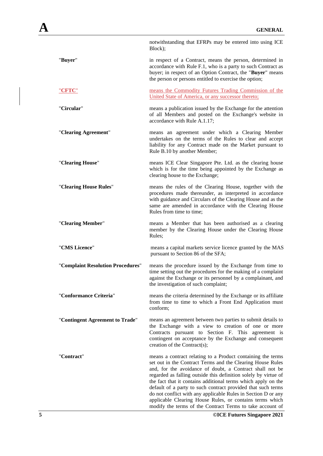|                                   | notwithstanding that EFRPs may be entered into using ICE<br>Block);                                                                                                                                                                                                                                                                                                                                                                                                                                                                                                                 |
|-----------------------------------|-------------------------------------------------------------------------------------------------------------------------------------------------------------------------------------------------------------------------------------------------------------------------------------------------------------------------------------------------------------------------------------------------------------------------------------------------------------------------------------------------------------------------------------------------------------------------------------|
| "Buyer"                           | in respect of a Contract, means the person, determined in<br>accordance with Rule F.1, who is a party to such Contract as<br>buyer; in respect of an Option Contract, the "Buyer" means<br>the person or persons entitled to exercise the option;                                                                                                                                                                                                                                                                                                                                   |
| "CFTC"                            | means the Commodity Futures Trading Commission of the<br>United State of America, or any successor thereto;                                                                                                                                                                                                                                                                                                                                                                                                                                                                         |
| "Circular"                        | means a publication issued by the Exchange for the attention<br>of all Members and posted on the Exchange's website in<br>accordance with Rule A.1.17;                                                                                                                                                                                                                                                                                                                                                                                                                              |
| "Clearing Agreement"              | means an agreement under which a Clearing Member<br>undertakes on the terms of the Rules to clear and accept<br>liability for any Contract made on the Market pursuant to<br>Rule B.10 by another Member;                                                                                                                                                                                                                                                                                                                                                                           |
| "Clearing House"                  | means ICE Clear Singapore Pte. Ltd. as the clearing house<br>which is for the time being appointed by the Exchange as<br>clearing house to the Exchange;                                                                                                                                                                                                                                                                                                                                                                                                                            |
| "Clearing House Rules"            | means the rules of the Clearing House, together with the<br>procedures made thereunder, as interpreted in accordance<br>with guidance and Circulars of the Clearing House and as the<br>same are amended in accordance with the Clearing House<br>Rules from time to time;                                                                                                                                                                                                                                                                                                          |
| "Clearing Member"                 | means a Member that has been authorised as a clearing<br>member by the Clearing House under the Clearing House<br>Rules;                                                                                                                                                                                                                                                                                                                                                                                                                                                            |
| "CMS Licence"                     | means a capital markets service licence granted by the MAS<br>pursuant to Section 86 of the SFA;                                                                                                                                                                                                                                                                                                                                                                                                                                                                                    |
| "Complaint Resolution Procedures" | means the procedure issued by the Exchange from time to<br>time setting out the procedures for the making of a complaint<br>against the Exchange or its personnel by a complainant, and<br>the investigation of such complaint;                                                                                                                                                                                                                                                                                                                                                     |
| "Conformance Criteria"            | means the criteria determined by the Exchange or its affiliate<br>from time to time to which a Front End Application must<br>conform;                                                                                                                                                                                                                                                                                                                                                                                                                                               |
| "Contingent Agreement to Trade"   | means an agreement between two parties to submit details to<br>the Exchange with a view to creation of one or more<br>Contracts pursuant to Section F. This agreement is<br>contingent on acceptance by the Exchange and consequent<br>creation of the Contract(s);                                                                                                                                                                                                                                                                                                                 |
| "Contract"                        | means a contract relating to a Product containing the terms<br>set out in the Contract Terms and the Clearing House Rules<br>and, for the avoidance of doubt, a Contract shall not be<br>regarded as falling outside this definition solely by virtue of<br>the fact that it contains additional terms which apply on the<br>default of a party to such contract provided that such terms<br>do not conflict with any applicable Rules in Section D or any<br>applicable Clearing House Rules, or contains terms which<br>modify the terms of the Contract Terms to take account of |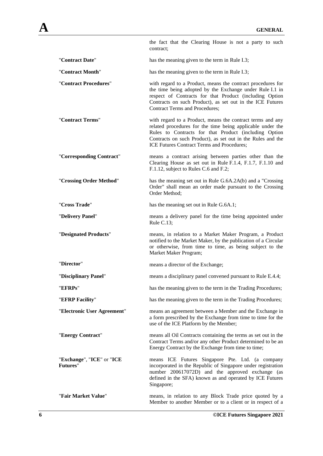|                                       | the fact that the Clearing House is not a party to such<br>contract:                                                                                                                                                                                                                           |
|---------------------------------------|------------------------------------------------------------------------------------------------------------------------------------------------------------------------------------------------------------------------------------------------------------------------------------------------|
| "Contract Date"                       | has the meaning given to the term in Rule I.3;                                                                                                                                                                                                                                                 |
| "Contract Month"                      | has the meaning given to the term in Rule I.3;                                                                                                                                                                                                                                                 |
| "Contract Procedures"                 | with regard to a Product, means the contract procedures for<br>the time being adopted by the Exchange under Rule I.1 in<br>respect of Contracts for that Product (including Option<br>Contracts on such Product), as set out in the ICE Futures<br><b>Contract Terms and Procedures;</b>       |
| "Contract Terms"                      | with regard to a Product, means the contract terms and any<br>related procedures for the time being applicable under the<br>Rules to Contracts for that Product (including Option<br>Contracts on such Product), as set out in the Rules and the<br>ICE Futures Contract Terms and Procedures; |
| "Corresponding Contract"              | means a contract arising between parties other than the<br>Clearing House as set out in Rule F.1.4, F.1.7, F.1.10 and<br>F.1.12, subject to Rules C.6 and F.2;                                                                                                                                 |
| "Crossing Order Method"               | has the meaning set out in Rule G.6A.2A(b) and a "Crossing<br>Order" shall mean an order made pursuant to the Crossing<br>Order Method;                                                                                                                                                        |
| "Cross Trade"                         | has the meaning set out in Rule G.6A.1;                                                                                                                                                                                                                                                        |
| "Delivery Panel"                      | means a delivery panel for the time being appointed under<br>Rule C.13;                                                                                                                                                                                                                        |
| "Designated Products"                 | means, in relation to a Market Maker Program, a Product<br>notified to the Market Maker, by the publication of a Circular<br>or otherwise, from time to time, as being subject to the<br>Market Maker Program;                                                                                 |
| "Director"                            | means a director of the Exchange;                                                                                                                                                                                                                                                              |
| "Disciplinary Panel"                  | means a disciplinary panel convened pursuant to Rule E.4.4;                                                                                                                                                                                                                                    |
| "EFRPs"                               | has the meaning given to the term in the Trading Procedures;                                                                                                                                                                                                                                   |
| "EFRP Facility"                       | has the meaning given to the term in the Trading Procedures;                                                                                                                                                                                                                                   |
| "Electronic User Agreement"           | means an agreement between a Member and the Exchange in<br>a form prescribed by the Exchange from time to time for the<br>use of the ICE Platform by the Member;                                                                                                                               |
| "Energy Contract"                     | means all Oil Contracts containing the terms as set out in the<br>Contract Terms and/or any other Product determined to be an<br>Energy Contract by the Exchange from time to time;                                                                                                            |
| "Exchange", "ICE" or "ICE<br>Futures" | means ICE Futures Singapore Pte. Ltd. (a company<br>incorporated in the Republic of Singapore under registration<br>number 200617072D) and the approved exchange (as<br>defined in the SFA) known as and operated by ICE Futures<br>Singapore;                                                 |
| "Fair Market Value"                   | means, in relation to any Block Trade price quoted by a<br>Member to another Member or to a client or in respect of a                                                                                                                                                                          |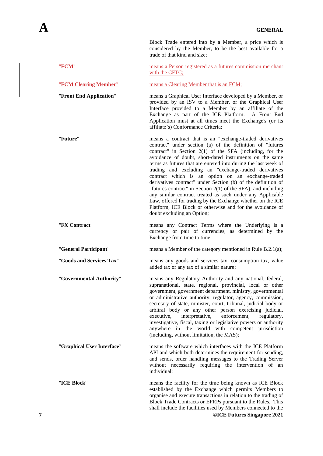Block Trade entered into by a Member, a price which is considered by the Member, to be the best available for a trade of that kind and size;

| "FCM"                      | means a Person registered as a futures commission merchant<br>with the CFTC;                                                                                                                                                                                                                                                                                                                                                                                                                                                                                                                                                                                                                                                                                                             |
|----------------------------|------------------------------------------------------------------------------------------------------------------------------------------------------------------------------------------------------------------------------------------------------------------------------------------------------------------------------------------------------------------------------------------------------------------------------------------------------------------------------------------------------------------------------------------------------------------------------------------------------------------------------------------------------------------------------------------------------------------------------------------------------------------------------------------|
| "FCM Clearing Member"      | means a Clearing Member that is an FCM;                                                                                                                                                                                                                                                                                                                                                                                                                                                                                                                                                                                                                                                                                                                                                  |
| "Front End Application"    | means a Graphical User Interface developed by a Member, or<br>provided by an ISV to a Member, or the Graphical User<br>Interface provided to a Member by an affiliate of the<br>Exchange as part of the ICE Platform.<br>A Front End<br>Application must at all times meet the Exchange's (or its<br>affiliate's) Conformance Criteria;                                                                                                                                                                                                                                                                                                                                                                                                                                                  |
| "Future"                   | means a contract that is an "exchange-traded derivatives<br>contract" under section (a) of the definition of "futures<br>contract" in Section $2(1)$ of the SFA (including, for the<br>avoidance of doubt, short-dated instruments on the same<br>terms as futures that are entered into during the last week of<br>trading and excluding an "exchange-traded derivatives<br>contract which is an option on an exchange-traded<br>derivatives contract" under Section (b) of the definition of<br>"futures contract" in Section $2(1)$ of the SFA), and including<br>any similar contract treated as such under any Applicable<br>Law, offered for trading by the Exchange whether on the ICE<br>Platform, ICE Block or otherwise and for the avoidance of<br>doubt excluding an Option; |
| "FX Contract"              | means any Contract Terms where the Underlying is a<br>currency or pair of currencies, as determined by the<br>Exchange from time to time;                                                                                                                                                                                                                                                                                                                                                                                                                                                                                                                                                                                                                                                |
| "General Participant"      | means a Member of the category mentioned in Rule B.2.1(a);                                                                                                                                                                                                                                                                                                                                                                                                                                                                                                                                                                                                                                                                                                                               |
| "Goods and Services Tax"   | means any goods and services tax, consumption tax, value<br>added tax or any tax of a similar nature;                                                                                                                                                                                                                                                                                                                                                                                                                                                                                                                                                                                                                                                                                    |
| "Governmental Authority"   | means any Regulatory Authority and any national, federal,<br>supranational, state, regional, provincial, local or other<br>government, government department, ministry, governmental<br>or administrative authority, regulator, agency, commission,<br>secretary of state, minister, court, tribunal, judicial body or<br>arbitral body or any other person exercising judicial,<br>interpretative,<br>executive,<br>enforcement,<br>regulatory,<br>investigative, fiscal, taxing or legislative powers or authority<br>anywhere in the world with competent jurisdiction<br>(including, without limitation, the MAS);                                                                                                                                                                   |
| "Graphical User Interface" | means the software which interfaces with the ICE Platform<br>API and which both determines the requirement for sending,<br>and sends, order handling messages to the Trading Server<br>without necessarily requiring the intervention of an<br>individual;                                                                                                                                                                                                                                                                                                                                                                                                                                                                                                                               |
| "ICE Block"                | means the facility for the time being known as ICE Block<br>established by the Exchange which permits Members to<br>organise and execute transactions in relation to the trading of<br>Block Trade Contracts or EFRPs pursuant to the Rules. This<br>shall include the facilities used by Members connected to the                                                                                                                                                                                                                                                                                                                                                                                                                                                                       |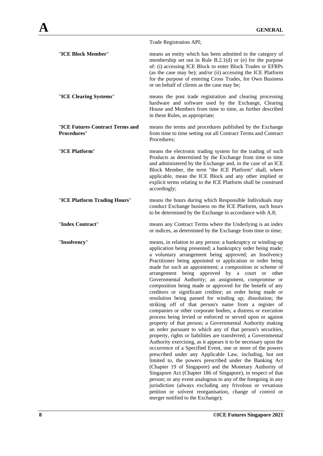|                                                       | Trade Registration API;                                                                                                                                                                                                                                                                                                                                                                                                                                                                                                                                                                                                                                                                                                                                                                                                                                                                                                                                                                                                                                                                                                                                                                                                                                                                                                                                                                                                                                |
|-------------------------------------------------------|--------------------------------------------------------------------------------------------------------------------------------------------------------------------------------------------------------------------------------------------------------------------------------------------------------------------------------------------------------------------------------------------------------------------------------------------------------------------------------------------------------------------------------------------------------------------------------------------------------------------------------------------------------------------------------------------------------------------------------------------------------------------------------------------------------------------------------------------------------------------------------------------------------------------------------------------------------------------------------------------------------------------------------------------------------------------------------------------------------------------------------------------------------------------------------------------------------------------------------------------------------------------------------------------------------------------------------------------------------------------------------------------------------------------------------------------------------|
| "ICE Block Member"                                    | means an entity which has been admitted to the category of<br>membership set out in Rule B.2.1 $(d)$ or $(e)$ for the purpose<br>of: (i) accessing ICE Block to enter Block Trades or EFRPs<br>(as the case may be); and/or (ii) accessing the ICE Platform<br>for the purpose of entering Cross Trades, for Own Business<br>or on behalf of clients as the case may be;                                                                                                                                                                                                                                                                                                                                                                                                                                                                                                                                                                                                                                                                                                                                                                                                                                                                                                                                                                                                                                                                               |
| "ICE Clearing Systems"                                | means the post trade registration and clearing processing<br>hardware and software used by the Exchange, Clearing<br>House and Members from time to time, as further described<br>in these Rules, as appropriate;                                                                                                                                                                                                                                                                                                                                                                                                                                                                                                                                                                                                                                                                                                                                                                                                                                                                                                                                                                                                                                                                                                                                                                                                                                      |
| "ICE Futures Contract Terms and<br><b>Procedures"</b> | means the terms and procedures published by the Exchange<br>from time to time setting out all Contract Terms and Contract<br>Procedures:                                                                                                                                                                                                                                                                                                                                                                                                                                                                                                                                                                                                                                                                                                                                                                                                                                                                                                                                                                                                                                                                                                                                                                                                                                                                                                               |
| "ICE Platform"                                        | means the electronic trading system for the trading of such<br>Products as determined by the Exchange from time to time<br>and administered by the Exchange and, in the case of an ICE<br>Block Member, the term "the ICE Platform" shall, where<br>applicable, mean the ICE Block and any other implied or<br>explicit terms relating to the ICE Platform shall be construed<br>accordingly;                                                                                                                                                                                                                                                                                                                                                                                                                                                                                                                                                                                                                                                                                                                                                                                                                                                                                                                                                                                                                                                          |
| "ICE Platform Trading Hours"                          | means the hours during which Responsible Individuals may<br>conduct Exchange business on the ICE Platform, such hours<br>to be determined by the Exchange in accordance with A.8;                                                                                                                                                                                                                                                                                                                                                                                                                                                                                                                                                                                                                                                                                                                                                                                                                                                                                                                                                                                                                                                                                                                                                                                                                                                                      |
| "Index Contract"                                      | means any Contract Terms where the Underlying is an index<br>or indices, as determined by the Exchange from time to time;                                                                                                                                                                                                                                                                                                                                                                                                                                                                                                                                                                                                                                                                                                                                                                                                                                                                                                                                                                                                                                                                                                                                                                                                                                                                                                                              |
| "Insolvency"                                          | means, in relation to any person: a bankruptcy or winding-up<br>application being presented; a bankruptcy order being made;<br>a voluntary arrangement being approved; an Insolvency<br>Practitioner being appointed or application or order being<br>made for such an appointment; a composition or scheme of<br>arrangement being approved by a court or other<br>Governmental Authority; an assignment, compromise or<br>composition being made or approved for the benefit of any<br>creditors or significant creditor; an order being made or<br>resolution being passed for winding up; dissolution; the<br>striking off of that person's name from a register of<br>companies or other corporate bodies; a distress or execution<br>process being levied or enforced or served upon or against<br>property of that person; a Governmental Authority making<br>an order pursuant to which any of that person's securities,<br>property, rights or liabilities are transferred; a Governmental<br>Authority exercising, as it appears it to be necessary upon the<br>occurrence of a Specified Event, one or more of the powers<br>prescribed under any Applicable Law, including, but not<br>limited to, the powers prescribed under the Banking Act<br>(Chapter 19 of Singapore) and the Monetary Authority of<br>Singapore Act (Chapter 186 of Singapore), in respect of that<br>person; or any event analogous to any of the foregoing in any |

jurisdiction (always excluding any frivolous or vexatious petition or solvent reorganisation, change of control or

merger notified to the Exchange);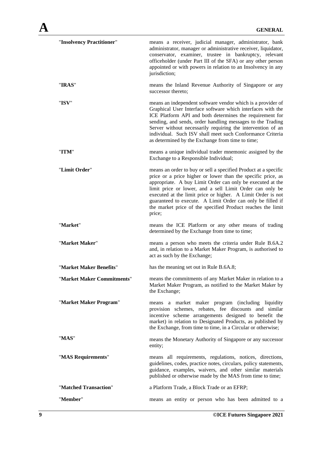| "Insolvency Practitioner"  | means a receiver, judicial manager, administrator, bank<br>administrator, manager or administrative receiver, liquidator,<br>conservator, examiner, trustee in bankruptcy, relevant<br>officeholder (under Part III of the SFA) or any other person<br>appointed or with powers in relation to an Insolvency in any<br>jurisdiction;                                                                                                                            |
|----------------------------|-----------------------------------------------------------------------------------------------------------------------------------------------------------------------------------------------------------------------------------------------------------------------------------------------------------------------------------------------------------------------------------------------------------------------------------------------------------------|
| "IRAS"                     | means the Inland Revenue Authority of Singapore or any<br>successor thereto;                                                                                                                                                                                                                                                                                                                                                                                    |
| "ISV"                      | means an independent software vendor which is a provider of<br>Graphical User Interface software which interfaces with the<br>ICE Platform API and both determines the requirement for<br>sending, and sends, order handling messages to the Trading<br>Server without necessarily requiring the intervention of an<br>individual. Such ISV shall meet such Conformance Criteria<br>as determined by the Exchange from time to time;                            |
| "ITM"                      | means a unique individual trader mnemonic assigned by the<br>Exchange to a Responsible Individual;                                                                                                                                                                                                                                                                                                                                                              |
| "Limit Order"              | means an order to buy or sell a specified Product at a specific<br>price or a price higher or lower than the specific price, as<br>appropriate. A buy Limit Order can only be executed at the<br>limit price or lower, and a sell Limit Order can only be<br>executed at the limit price or higher. A Limit Order is not<br>guaranteed to execute. A Limit Order can only be filled if<br>the market price of the specified Product reaches the limit<br>price; |
| "Market"                   | means the ICE Platform or any other means of trading<br>determined by the Exchange from time to time;                                                                                                                                                                                                                                                                                                                                                           |
| "Market Maker"             | means a person who meets the criteria under Rule B.6A.2<br>and, in relation to a Market Maker Program, is authorised to<br>act as such by the Exchange;                                                                                                                                                                                                                                                                                                         |
| "Market Maker Benefits"    | has the meaning set out in Rule B.6A.8;                                                                                                                                                                                                                                                                                                                                                                                                                         |
| "Market Maker Commitments" | means the commitments of any Market Maker in relation to a<br>Market Maker Program, as notified to the Market Maker by<br>the Exchange;                                                                                                                                                                                                                                                                                                                         |
| "Market Maker Program"     | means a market maker program (including liquidity<br>provision schemes, rebates, fee discounts and similar<br>incentive scheme arrangements designed to benefit the<br>market) in relation to Designated Products, as published by<br>the Exchange, from time to time, in a Circular or otherwise;                                                                                                                                                              |
| "MAS"                      | means the Monetary Authority of Singapore or any successor<br>entity;                                                                                                                                                                                                                                                                                                                                                                                           |
| "MAS Requirements"         | means all requirements, regulations, notices, directions,<br>guidelines, codes, practice notes, circulars, policy statements,<br>guidance, examples, waivers, and other similar materials<br>published or otherwise made by the MAS from time to time;                                                                                                                                                                                                          |
| "Matched Transaction"      | a Platform Trade, a Block Trade or an EFRP;                                                                                                                                                                                                                                                                                                                                                                                                                     |
| "Member"                   | means an entity or person who has been admitted to a                                                                                                                                                                                                                                                                                                                                                                                                            |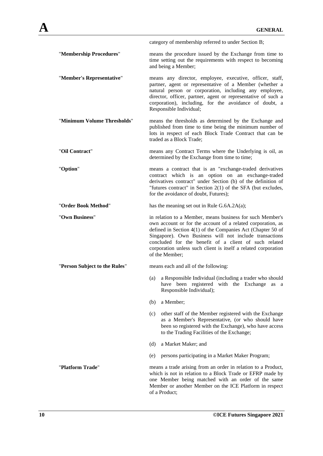|                               | category of membership referred to under Section B;                                                                                                                                                                                                                                                                                                                                            |
|-------------------------------|------------------------------------------------------------------------------------------------------------------------------------------------------------------------------------------------------------------------------------------------------------------------------------------------------------------------------------------------------------------------------------------------|
| "Membership Procedures"       | means the procedure issued by the Exchange from time to<br>time setting out the requirements with respect to becoming<br>and being a Member;                                                                                                                                                                                                                                                   |
| "Member's Representative"     | means any director, employee, executive, officer, staff,<br>partner, agent or representative of a Member (whether a<br>natural person or corporation, including any employee,<br>director, officer, partner, agent or representative of such a<br>corporation), including, for the avoidance of doubt, a<br>Responsible Individual;                                                            |
| "Minimum Volume Thresholds"   | means the thresholds as determined by the Exchange and<br>published from time to time being the minimum number of<br>lots in respect of each Block Trade Contract that can be<br>traded as a Block Trade;                                                                                                                                                                                      |
| "Oil Contract"                | means any Contract Terms where the Underlying is oil, as<br>determined by the Exchange from time to time;                                                                                                                                                                                                                                                                                      |
| "Option"                      | means a contract that is an "exchange-traded derivatives<br>contract which is an option on an exchange-traded<br>derivatives contract" under Section (b) of the definition of<br>"futures contract" in Section $2(1)$ of the SFA (but excludes,<br>for the avoidance of doubt, Futures);                                                                                                       |
| "Order Book Method"           | has the meaning set out in Rule G.6A.2A(a);                                                                                                                                                                                                                                                                                                                                                    |
| "Own Business"                | in relation to a Member, means business for such Member's<br>own account or for the account of a related corporation, as<br>defined in Section 4(1) of the Companies Act (Chapter 50 of<br>Singapore). Own Business will not include transactions<br>concluded for the benefit of a client of such related<br>corporation unless such client is itself a related corporation<br>of the Member; |
| "Person Subject to the Rules" | means each and all of the following:                                                                                                                                                                                                                                                                                                                                                           |
|                               | a Responsible Individual (including a trader who should<br>(a)<br>have been registered with the Exchange as a<br>Responsible Individual);                                                                                                                                                                                                                                                      |
|                               | (b)<br>a Member;                                                                                                                                                                                                                                                                                                                                                                               |
|                               | other staff of the Member registered with the Exchange<br>(c)<br>as a Member's Representative, (or who should have<br>been so registered with the Exchange), who have access<br>to the Trading Facilities of the Exchange;                                                                                                                                                                     |
|                               | a Market Maker; and<br>(d)                                                                                                                                                                                                                                                                                                                                                                     |
|                               | persons participating in a Market Maker Program;<br>(e)                                                                                                                                                                                                                                                                                                                                        |
| "Platform Trade"              | means a trade arising from an order in relation to a Product,<br>which is not in relation to a Block Trade or EFRP made by<br>one Member being matched with an order of the same<br>Member or another Member on the ICE Platform in respect<br>of a Product;                                                                                                                                   |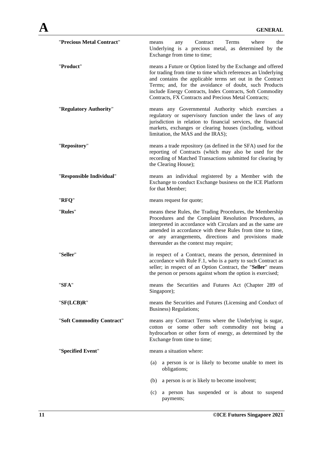| "Precious Metal Contract"    | Contract<br>Terms<br>where<br>the<br>any<br>means<br>Underlying is a precious metal, as determined by<br>the<br>Exchange from time to time;                                                                                                                                                                                                                             |
|------------------------------|-------------------------------------------------------------------------------------------------------------------------------------------------------------------------------------------------------------------------------------------------------------------------------------------------------------------------------------------------------------------------|
| "Product"                    | means a Future or Option listed by the Exchange and offered<br>for trading from time to time which references an Underlying<br>and contains the applicable terms set out in the Contract<br>Terms; and, for the avoidance of doubt, such Products<br>include Energy Contracts, Index Contracts, Soft Commodity<br>Contracts, FX Contracts and Precious Metal Contracts; |
| "Regulatory Authority"       | means any Governmental Authority which exercises a<br>regulatory or supervisory function under the laws of any<br>jurisdiction in relation to financial services, the financial<br>markets, exchanges or clearing houses (including, without<br>limitation, the MAS and the IRAS);                                                                                      |
| "Repository"                 | means a trade repository (as defined in the SFA) used for the<br>reporting of Contracts (which may also be used for the<br>recording of Matched Transactions submitted for clearing by<br>the Clearing House);                                                                                                                                                          |
| "Responsible Individual"     | means an individual registered by a Member with the<br>Exchange to conduct Exchange business on the ICE Platform<br>for that Member;                                                                                                                                                                                                                                    |
| "RFQ"                        | means request for quote;                                                                                                                                                                                                                                                                                                                                                |
| "Rules"                      | means these Rules, the Trading Procedures, the Membership<br>Procedures and the Complaint Resolution Procedures, as<br>interpreted in accordance with Circulars and as the same are<br>amended in accordance with these Rules from time to time,<br>or any arrangements, directions and provisions made<br>thereunder as the context may require;                       |
| "Seller"                     | in respect of a Contract, means the person, determined in<br>accordance with Rule F.1, who is a party to such Contract as<br>seller; in respect of an Option Contract, the "Seller" means<br>the person or persons against whom the option is exercised;                                                                                                                |
| "SFA"                        | means the Securities and Futures Act (Chapter 289 of<br>Singapore);                                                                                                                                                                                                                                                                                                     |
| $"S$ <b>F</b> ( $LC$ B) $R"$ | means the Securities and Futures (Licensing and Conduct of<br>Business) Regulations;                                                                                                                                                                                                                                                                                    |
| "Soft Commodity Contract"    | means any Contract Terms where the Underlying is sugar,<br>cotton or some other soft commodity not being a<br>hydrocarbon or other form of energy, as determined by the<br>Exchange from time to time;                                                                                                                                                                  |
| "Specified Event"            | means a situation where:                                                                                                                                                                                                                                                                                                                                                |
|                              | a person is or is likely to become unable to meet its<br>(a)<br>obligations;                                                                                                                                                                                                                                                                                            |
|                              | (b)<br>a person is or is likely to become insolvent;                                                                                                                                                                                                                                                                                                                    |
|                              | (c)<br>a person has suspended or is about to suspend<br>payments;                                                                                                                                                                                                                                                                                                       |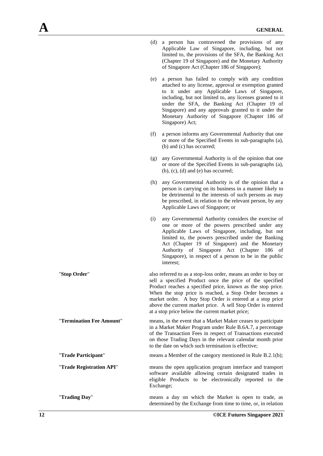| (d) a person has contravened the provisions of any     |  |
|--------------------------------------------------------|--|
| Applicable Law of Singapore, including, but not        |  |
| limited to, the provisions of the SFA, the Banking Act |  |
| (Chapter 19 of Singapore) and the Monetary Authority   |  |
| of Singapore Act (Chapter 186 of Singapore);           |  |

- (e) a person has failed to comply with any condition attached to any license, approval or exemption granted to it under any Applicable Laws of Singapore, including, but not limited to, any licenses granted to it under the SFA, the Banking Act (Chapter 19 of Singapore) and any approvals granted to it under the Monetary Authority of Singapore (Chapter 186 of Singapore) Act;
- (f) a person informs any Governmental Authority that one or more of the Specified Events in sub-paragraphs (a), (b) and (c) has occurred;
- (g) any Governmental Authority is of the opinion that one or more of the Specified Events in sub-paragraphs (a),  $(b)$ ,  $(c)$ ,  $(d)$  and  $(e)$  has occurred;
- (h) any Governmental Authority is of the opinion that a person is carrying on its business in a manner likely to be detrimental to the interests of such persons as may be prescribed, in relation to the relevant person, by any Applicable Laws of Singapore; or
- (i) any Governmental Authority considers the exercise of one or more of the powers prescribed under any Applicable Laws of Singapore, including, but not limited to, the powers prescribed under the Banking Act (Chapter 19 of Singapore) and the Monetary Authority of Singapore Act (Chapter 186 of Singapore), in respect of a person to be in the public interest;

"**Stop Order**" also referred to as a stop-loss order, means an order to buy or sell a specified Product once the price of the specified Product reaches a specified price, known as the stop price. When the stop price is reached, a Stop Order becomes a market order. A buy Stop Order is entered at a stop price above the current market price. A sell Stop Order is entered at a stop price below the current market price;

"**Termination Fee Amount**" means, in the event that a Market Maker ceases to participate in a Market Maker Program under Rule B.6A.7, a percentage of the Transaction Fees in respect of Transactions executed on those Trading Days in the relevant calendar month prior to the date on which such termination is effective;

"**Trade Participant**" means a Member of the category mentioned in Rule B.2.1(b);

"**Trade Registration API**" means the open application program interface and transport software available allowing certain designated trades in eligible Products to be electronically reported to the Exchange;

"**Trading Day**" means a day on which the Market is open to trade, as determined by the Exchange from time to time, or, in relation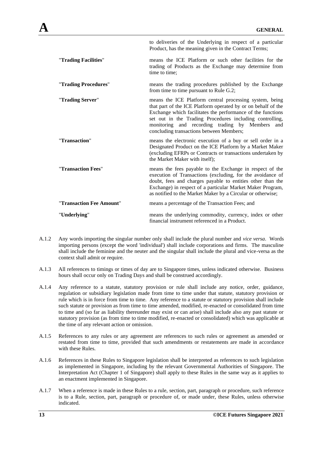|                          | to deliveries of the Underlying in respect of a particular<br>Product, has the meaning given in the Contract Terms;                                                                                                                                                                                                                                   |
|--------------------------|-------------------------------------------------------------------------------------------------------------------------------------------------------------------------------------------------------------------------------------------------------------------------------------------------------------------------------------------------------|
| "Trading Facilities"     | means the ICE Platform or such other facilities for the<br>trading of Products as the Exchange may determine from<br>time to time:                                                                                                                                                                                                                    |
| "Trading Procedures"     | means the trading procedures published by the Exchange<br>from time to time pursuant to Rule G.2;                                                                                                                                                                                                                                                     |
| "Trading Server"         | means the ICE Platform central processing system, being<br>that part of the ICE Platform operated by or on behalf of the<br>Exchange which facilitates the performance of the functions<br>set out in the Trading Procedures including controlling,<br>monitoring and recording trading by Members<br>and<br>concluding transactions between Members; |
| "Transaction"            | means the electronic execution of a buy or sell order in a<br>Designated Product on the ICE Platform by a Market Maker<br>(excluding EFRPs or Contracts or transactions undertaken by<br>the Market Maker with itself);                                                                                                                               |
| "Transaction Fees"       | means the fees payable to the Exchange in respect of the<br>execution of Transactions (excluding, for the avoidance of<br>doubt, fees and charges payable to entities other than the<br>Exchange) in respect of a particular Market Maker Program,<br>as notified to the Market Maker by a Circular or otherwise;                                     |
| "Transaction Fee Amount" | means a percentage of the Transaction Fees; and                                                                                                                                                                                                                                                                                                       |
| "Underlying"             | means the underlying commodity, currency, index or other<br>financial instrument referenced in a Product.                                                                                                                                                                                                                                             |

- A.1.2 Any words importing the singular number only shall include the plural number and *vice versa*. Words importing persons (except the word 'individual') shall include corporations and firms. The masculine shall include the feminine and the neuter and the singular shall include the plural and vice-versa as the context shall admit or require.
- A.1.3 All references to timings or times of day are to Singapore times, unless indicated otherwise. Business hours shall occur only on Trading Days and shall be construed accordingly.
- A.1.4 Any reference to a statute, statutory provision or rule shall include any notice, order, guidance, regulation or subsidiary legislation made from time to time under that statute, statutory provision or rule which is in force from time to time. Any reference to a statute or statutory provision shall include such statute or provision as from time to time amended, modified, re-enacted or consolidated from time to time and (so far as liability thereunder may exist or can arise) shall include also any past statute or statutory provision (as from time to time modified, re-enacted or consolidated) which was applicable at the time of any relevant action or omission.
- A.1.5 References to any rules or any agreement are references to such rules or agreement as amended or restated from time to time, provided that such amendments or restatements are made in accordance with these Rules.
- A.1.6 References in these Rules to Singapore legislation shall be interpreted as references to such legislation as implemented in Singapore, including by the relevant Governmental Authorities of Singapore. The Interpretation Act (Chapter 1 of Singapore) shall apply to these Rules in the same way as it applies to an enactment implemented in Singapore.
- A.1.7 When a reference is made in these Rules to a rule, section, part, paragraph or procedure, such reference is to a Rule, section, part, paragraph or procedure of, or made under, these Rules, unless otherwise indicated.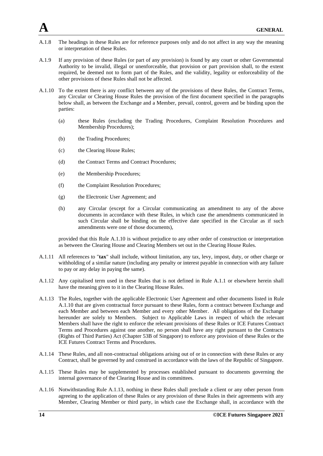- A.1.8 The headings in these Rules are for reference purposes only and do not affect in any way the meaning or interpretation of these Rules.
- A.1.9 If any provision of these Rules (or part of any provision) is found by any court or other Governmental Authority to be invalid, illegal or unenforceable, that provision or part provision shall, to the extent required, be deemed not to form part of the Rules, and the validity, legality or enforceability of the other provisions of these Rules shall not be affected.
- A.1.10 To the extent there is any conflict between any of the provisions of these Rules, the Contract Terms, any Circular or Clearing House Rules the provision of the first document specified in the paragraphs below shall, as between the Exchange and a Member, prevail, control, govern and be binding upon the parties:
	- (a) these Rules (excluding the Trading Procedures, Complaint Resolution Procedures and Membership Procedures);
	- (b) the Trading Procedures;
	- (c) the Clearing House Rules;
	- (d) the Contract Terms and Contract Procedures;
	- (e) the Membership Procedures;
	- (f) the Complaint Resolution Procedures;
	- (g) the Electronic User Agreement; and
	- (h) any Circular (except for a Circular communicating an amendment to any of the above documents in accordance with these Rules, in which case the amendments communicated in such Circular shall be binding on the effective date specified in the Circular as if such amendments were one of those documents),

provided that this Rule A.1.10 is without prejudice to any other order of construction or interpretation as between the Clearing House and Clearing Members set out in the Clearing House Rules.

- A.1.11 All references to "**tax**" shall include, without limitation, any tax, levy, impost, duty, or other charge or withholding of a similar nature (including any penalty or interest payable in connection with any failure to pay or any delay in paying the same).
- A.1.12 Any capitalised term used in these Rules that is not defined in Rule A.1.1 or elsewhere herein shall have the meaning given to it in the Clearing House Rules.
- A.1.13 The Rules, together with the applicable Electronic User Agreement and other documents listed in Rule A.1.10 that are given contractual force pursuant to these Rules, form a contract between Exchange and each Member and between each Member and every other Member. All obligations of the Exchange hereunder are solely to Members. Subject to Applicable Laws in respect of which the relevant Members shall have the right to enforce the relevant provisions of these Rules or ICE Futures Contract Terms and Procedures against one another, no person shall have any right pursuant to the Contracts (Rights of Third Parties) Act (Chapter 53B of Singapore) to enforce any provision of these Rules or the ICE Futures Contract Terms and Procedures.
- A.1.14 These Rules, and all non-contractual obligations arising out of or in connection with these Rules or any Contract, shall be governed by and construed in accordance with the laws of the Republic of Singapore.
- A.1.15 These Rules may be supplemented by processes established pursuant to documents governing the internal governance of the Clearing House and its committees.
- A.1.16 Notwithstanding Rule A.1.13, nothing in these Rules shall preclude a client or any other person from agreeing to the application of these Rules or any provision of these Rules in their agreements with any Member, Clearing Member or third party, in which case the Exchange shall, in accordance with the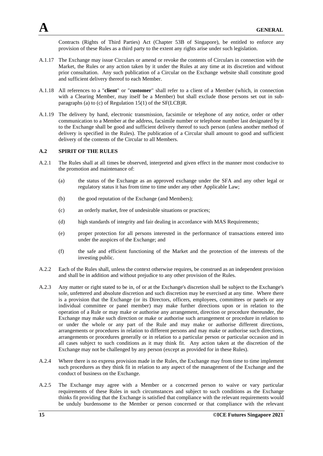Contracts (Rights of Third Parties) Act (Chapter 53B of Singapore), be entitled to enforce any provision of these Rules as a third party to the extent any rights arise under such legislation.

- A.1.17 The Exchange may issue Circulars or amend or revoke the contents of Circulars in connection with the Market, the Rules or any action taken by it under the Rules at any time at its discretion and without prior consultation. Any such publication of a Circular on the Exchange website shall constitute good and sufficient delivery thereof to each Member.
- A.1.18 All references to a "**client**" or "**customer**" shall refer to a client of a Member (which, in connection with a Clearing Member, may itself be a Member) but shall exclude those persons set out in subparagraphs (a) to (c) of Regulation 15(1) of the SF(LCB)R.
- A.1.19 The delivery by hand, electronic transmission, facsimile or telephone of any notice, order or other communication to a Member at the address, facsimile number or telephone number last designated by it to the Exchange shall be good and sufficient delivery thereof to such person (unless another method of delivery is specified in the Rules). The publication of a Circular shall amount to good and sufficient delivery of the contents of the Circular to all Members.

# **A.2 SPIRIT OF THE RULES**

- A.2.1 The Rules shall at all times be observed, interpreted and given effect in the manner most conducive to the promotion and maintenance of:
	- (a) the status of the Exchange as an approved exchange under the SFA and any other legal or regulatory status it has from time to time under any other Applicable Law;
	- (b) the good reputation of the Exchange (and Members);
	- (c) an orderly market, free of undesirable situations or practices;
	- (d) high standards of integrity and fair dealing in accordance with MAS Requirements;
	- (e) proper protection for all persons interested in the performance of transactions entered into under the auspices of the Exchange; and
	- (f) the safe and efficient functioning of the Market and the protection of the interests of the investing public.
- A.2.2 Each of the Rules shall, unless the context otherwise requires, be construed as an independent provision and shall be in addition and without prejudice to any other provision of the Rules.
- A.2.3 Any matter or right stated to be in, of or at the Exchange's discretion shall be subject to the Exchange's sole, unfettered and absolute discretion and such discretion may be exercised at any time. Where there is a provision that the Exchange (or its Directors, officers, employees, committees or panels or any individual committee or panel member) may make further directions upon or in relation to the operation of a Rule or may make or authorise any arrangement, direction or procedure thereunder, the Exchange may make such direction or make or authorise such arrangement or procedure in relation to or under the whole or any part of the Rule and may make or authorise different directions, arrangements or procedures in relation to different persons and may make or authorise such directions, arrangements or procedures generally or in relation to a particular person or particular occasion and in all cases subject to such conditions as it may think fit. Any action taken at the discretion of the Exchange may not be challenged by any person (except as provided for in these Rules).
- A.2.4 Where there is no express provision made in the Rules, the Exchange may from time to time implement such procedures as they think fit in relation to any aspect of the management of the Exchange and the conduct of business on the Exchange.
- A.2.5 The Exchange may agree with a Member or a concerned person to waive or vary particular requirements of these Rules in such circumstances and subject to such conditions as the Exchange thinks fit providing that the Exchange is satisfied that compliance with the relevant requirements would be unduly burdensome to the Member or person concerned or that compliance with the relevant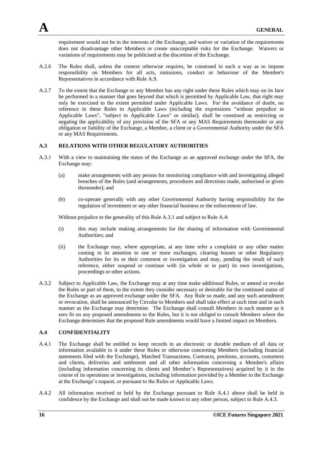requirement would not be in the interests of the Exchange, and waiver or variation of the requirements does not disadvantage other Members or create unacceptable risks for the Exchange. Waivers or variations of requirements may be publicised at the discretion of the Exchange.

- A.2.6 The Rules shall, unless the context otherwise requires, be construed in such a way as to impose responsibility on Members for all acts, omissions, conduct or behaviour of the Member's Representatives in accordance with Rule A.9.
- A.2.7 To the extent that the Exchange or any Member has any right under these Rules which may on its face be performed in a manner that goes beyond that which is permitted by Applicable Law, that right may only be exercised to the extent permitted under Applicable Laws. For the avoidance of doubt, no reference in these Rules to Applicable Laws (including the expressions "without prejudice to Applicable Laws", "subject to Applicable Laws" or similar), shall be construed as restricting or negating the applicability of any provision of the SFA or any MAS Requirements thereunder or any obligation or liability of the Exchange, a Member, a client or a Governmental Authority under the SFA or any MAS Requirements.

#### **A.3 RELATIONS WITH OTHER REGULATORY AUTHORITIES**

- A.3.1 With a view to maintaining the status of the Exchange as an approved exchange under the SFA, the Exchange may:
	- (a) make arrangements with any person for monitoring compliance with and investigating alleged breaches of the Rules (and arrangements, procedures and directions made, authorised or given thereunder); and
	- (b) co-operate generally with any other Governmental Authority having responsibility for the regulation of investment or any other financial business or the enforcement of law.

Without prejudice to the generality of this Rule A.3.1 and subject to Rule A.4:

- (i) this may include making arrangements for the sharing of information with Governmental Authorities; and
- (ii) the Exchange may, where appropriate, at any time refer a complaint or any other matter coming to its attention to one or more exchanges, clearing houses or other Regulatory Authorities for its or their comment or investigation and may, pending the result of such reference, either suspend or continue with (in whole or in part) its own investigations, proceedings or other actions.
- A.3.2 Subject to Applicable Law, the Exchange may at any time make additional Rules, or amend or revoke the Rules or part of them, to the extent they consider necessary or desirable for the continued status of the Exchange as an approved exchange under the SFA. Any Rule so made, and any such amendment or revocation, shall be announced by Circular to Members and shall take effect at such time and in such manner as the Exchange may determine. The Exchange shall consult Members in such manner as it sees fit on any proposed amendments to the Rules, but it is not obliged to consult Members where the Exchange determines that the proposed Rule amendments would have a limited impact on Members.

#### **A.4 CONFIDENTIALITY**

- A.4.1 The Exchange shall be entitled to keep records in an electronic or durable medium of all data or information available to it under these Rules or otherwise concerning Members (including financial statements filed with the Exchange), Matched Transactions, Contracts, positions, accounts, customers and clients, deliveries and settlement and all other information concerning a Member's affairs (including information concerning its clients and Member's Representatives) acquired by it in the course of its operations or investigations, including information provided by a Member to the Exchange at the Exchange's request, or pursuant to the Rules or Applicable Laws.
- A.4.2 All information received or held by the Exchange pursuant to Rule A.4.1 above shall be held in confidence by the Exchange and shall not be made known to any other person, subject to Rule A.4.3.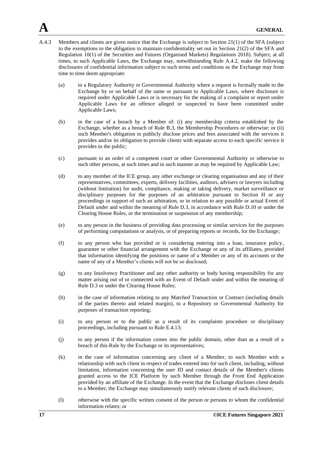- A.4.3 Members and clients are given notice that the Exchange is subject to Section 21(1) of the SFA (subject to the exemptions to the obligation to maintain confidentiality set out in Section 21(2) of the SFA and Regulation 10(1) of the Securities and Futures (Organised Markets) Regulations 2018). Subject, at all times, to such Applicable Laws, the Exchange may, notwithstanding Rule A.4.2, make the following disclosures of confidential information subject to such terms and conditions as the Exchange may from time to time deem appropriate:
	- (a) to a Regulatory Authority or Governmental Authority where a request is formally made to the Exchange by or on behalf of the same or pursuant to Applicable Laws, where disclosure is required under Applicable Laws or is necessary for the making of a complaint or report under Applicable Laws for an offence alleged or suspected to have been committed under Applicable Laws;
	- (b) in the case of a breach by a Member of: (i) any membership criteria established by the Exchange, whether as a breach of Rule B.3, the Membership Procedures or otherwise; or (ii) such Member's obligation to publicly disclose prices and fees associated with the services it provides and/or its obligation to provide clients with separate access to each specific service it provides to the public;
	- (c) pursuant to an order of a competent court or other Governmental Authority or otherwise to such other persons, at such times and in such manner as may be required by Applicable Law;
	- (d) to any member of the ICE group, any other exchange or clearing organisation and any of their representatives, committees, experts, delivery facilities, auditors, advisers or lawyers including (without limitation) for audit, compliance, making or taking delivery, market surveillance or disciplinary purposes for the purposes of an arbitration pursuant to Section H or any proceedings in support of such an arbitration, or in relation to any possible or actual Event of Default under and within the meaning of Rule D.3, in accordance with Rule D.10 or under the Clearing House Rules, or the termination or suspension of any membership;
	- (e) to any person in the business of providing data processing or similar services for the purposes of performing computations or analysis, or of preparing reports or records, for the Exchange;
	- (f) to any person who has provided or is considering entering into a loan, insurance policy, guarantee or other financial arrangement with the Exchange or any of its affiliates, provided that information identifying the positions or name of a Member or any of its accounts or the name of any of a Member's clients will not be so disclosed;
	- (g) to any Insolvency Practitioner and any other authority or body having responsibility for any matter arising out of or connected with an Event of Default under and within the meaning of Rule D.3 or under the Clearing House Rules;
	- (h) in the case of information relating to any Matched Transaction or Contract (including details of the parties thereto and related margin), to a Repository or Governmental Authority for purposes of transaction reporting;
	- (i) to any person or to the public as a result of its complaints procedure or disciplinary proceedings, including pursuant to Rule E.4.13;
	- (j) to any person if the information comes into the public domain, other than as a result of a breach of this Rule by the Exchange or its representatives;
	- (k) in the case of information concerning any client of a Member, to such Member with a relationship with such client in respect of trades entered into for such client, including, without limitation, information concerning the user ID and contact details of the Member's clients granted access to the ICE Platform by such Member through the Front End Application provided by an affiliate of the Exchange. In the event that the Exchange discloses client details to a Member, the Exchange may simultaneously notify relevant clients of such disclosure;
	- (l) otherwise with the specific written consent of the person or persons to whom the confidential information relates; or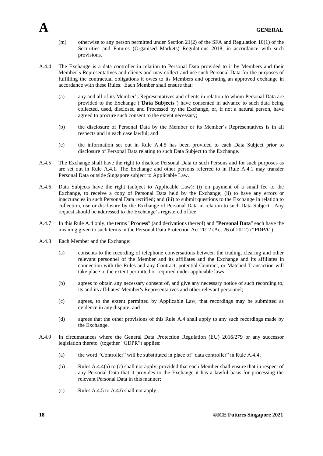- (m) otherwise to any person permitted under Section 21(2) of the SFA and Regulation 10(1) of the Securities and Futures (Organised Markets) Regulations 2018, in accordance with such provisions.
- A.4.4 The Exchange is a data controller in relation to Personal Data provided to it by Members and their Member's Representatives and clients and may collect and use such Personal Data for the purposes of fulfilling the contractual obligations it owes to its Members and operating an approved exchange in accordance with these Rules. Each Member shall ensure that:
	- (a) any and all of its Member's Representatives and clients in relation to whom Personal Data are provided to the Exchange ("**Data Subjects**") have consented in advance to such data being collected, used, disclosed and Processed by the Exchange, or, if not a natural person, have agreed to procure such consent to the extent necessary;
	- (b) the disclosure of Personal Data by the Member or its Member's Representatives is in all respects and in each case lawful; and
	- (c) the information set out in Rule A.4.5 has been provided to each Data Subject prior to disclosure of Personal Data relating to such Data Subject to the Exchange.
- A.4.5 The Exchange shall have the right to disclose Personal Data to such Persons and for such purposes as are set out in Rule A.4.1. The Exchange and other persons referred to in Rule A.4.1 may transfer Personal Data outside Singapore subject to Applicable Law.
- A.4.6 Data Subjects have the right (subject to Applicable Law): (i) on payment of a small fee to the Exchange, to receive a copy of Personal Data held by the Exchange; (ii) to have any errors or inaccuracies in such Personal Data rectified; and (iii) to submit questions to the Exchange in relation to collection, use or disclosure by the Exchange of Personal Data in relation to such Data Subject. Any request should be addressed to the Exchange's registered office.
- A.4.7 In this Rule A.4 only, the terms "**Process**" (and derivations thereof) and "**Personal Data**" each have the meaning given to such terms in the Personal Data Protection Act 2012 (Act 26 of 2012) ("**PDPA**").
- A.4.8 Each Member and the Exchange:
	- (a) consents to the recording of telephone conversations between the trading, clearing and other relevant personnel of the Member and its affiliates and the Exchange and its affiliates in connection with the Rules and any Contract, potential Contract, or Matched Transaction will take place to the extent permitted or required under applicable laws;
	- (b) agrees to obtain any necessary consent of, and give any necessary notice of such recording to, its and its affiliates' Member's Representatives and other relevant personnel;
	- (c) agrees, to the extent permitted by Applicable Law, that recordings may be submitted as evidence in any dispute; and
	- (d) agrees that the other provisions of this Rule A.4 shall apply to any such recordings made by the Exchange.
- A.4.9 In circumstances where the General Data Protection Regulation (EU) 2016/279 or any successor legislation thereto (together "GDPR") applies:
	- (a) the word "Controller" will be substituted in place of "data controller" in Rule A.4.4;
	- (b) Rules A.4.4(a) to (c) shall not apply, provided that each Member shall ensure that in respect of any Personal Data that it provides to the Exchange it has a lawful basis for processing the relevant Personal Data in this manner;
	- (c) Rules A.4.5 to A.4.6 shall not apply;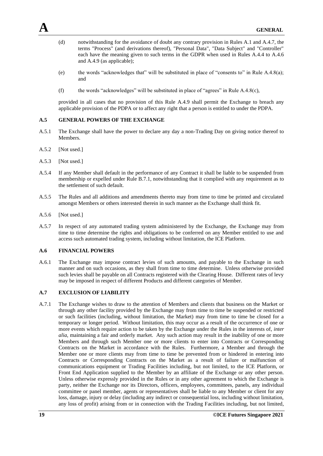- (d) notwithstanding for the avoidance of doubt any contrary provision in Rules A.1 and A.4.7, the terms "Process" (and derivations thereof), "Personal Data", "Data Subject" and "Controller" each have the meaning given to such terms in the GDPR when used in Rules A.4.4 to A.4.6 and A.4.9 (as applicable);
- (e) the words "acknowledges that" will be substituted in place of "consents to" in Rule A.4.8(a); and
- (f) the words "acknowledges" will be substituted in place of "agrees" in Rule  $A.4.8(c)$ ,

provided in all cases that no provision of this Rule A.4.9 shall permit the Exchange to breach any applicable provision of the PDPA or to affect any right that a person is entitled to under the PDPA.

#### **A.5 GENERAL POWERS OF THE EXCHANGE**

- A.5.1 The Exchange shall have the power to declare any day a non-Trading Day on giving notice thereof to Members.
- A.5.2 [Not used.]
- A.5.3 [Not used.]
- A.5.4 If any Member shall default in the performance of any Contract it shall be liable to be suspended from membership or expelled under Rule B.7.1, notwithstanding that it complied with any requirement as to the settlement of such default.
- A.5.5 The Rules and all additions and amendments thereto may from time to time be printed and circulated amongst Members or others interested therein in such manner as the Exchange shall think fit.
- A.5.6 [Not used.]
- A.5.7 In respect of any automated trading system administered by the Exchange, the Exchange may from time to time determine the rights and obligations to be conferred on any Member entitled to use and access such automated trading system, including without limitation, the ICE Platform.

#### **A.6 FINANCIAL POWERS**

A.6.1 The Exchange may impose contract levies of such amounts, and payable to the Exchange in such manner and on such occasions, as they shall from time to time determine. Unless otherwise provided such levies shall be payable on all Contracts registered with the Clearing House. Different rates of levy may be imposed in respect of different Products and different categories of Member.

## **A.7 EXCLUSION OF LIABILITY**

A.7.1 The Exchange wishes to draw to the attention of Members and clients that business on the Market or through any other facility provided by the Exchange may from time to time be suspended or restricted or such facilities (including, without limitation, the Market) may from time to time be closed for a temporary or longer period. Without limitation, this may occur as a result of the occurrence of one or more events which require action to be taken by the Exchange under the Rules in the interests of, *inter alia*, maintaining a fair and orderly market. Any such action may result in the inability of one or more Members and through such Member one or more clients to enter into Contracts or Corresponding Contracts on the Market in accordance with the Rules. Furthermore, a Member and through the Member one or more clients may from time to time be prevented from or hindered in entering into Contracts or Corresponding Contracts on the Market as a result of failure or malfunction of communications equipment or Trading Facilities including, but not limited, to the ICE Platform, or Front End Application supplied to the Member by an affiliate of the Exchange or any other person. Unless otherwise expressly provided in the Rules or in any other agreement to which the Exchange is party, neither the Exchange nor its Directors, officers, employees, committees, panels, any individual committee or panel member, agents or representatives shall be liable to any Member or client for any loss, damage, injury or delay (including any indirect or consequential loss, including without limitation, any loss of profit) arising from or in connection with the Trading Facilities including, but not limited,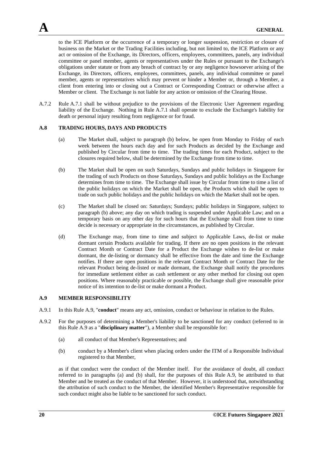to the ICE Platform or the occurrence of a temporary or longer suspension, restriction or closure of business on the Market or the Trading Facilities including, but not limited to, the ICE Platform or any act or omission of the Exchange, its Directors, officers, employees, committees, panels, any individual committee or panel member, agents or representatives under the Rules or pursuant to the Exchange's obligations under statute or from any breach of contract by or any negligence howsoever arising of the Exchange, its Directors, officers, employees, committees, panels, any individual committee or panel member, agents or representatives which may prevent or hinder a Member or, through a Member, a client from entering into or closing out a Contract or Corresponding Contract or otherwise affect a Member or client. The Exchange is not liable for any action or omission of the Clearing House.

A.7.2 Rule A.7.1 shall be without prejudice to the provisions of the Electronic User Agreement regarding liability of the Exchange. Nothing in Rule A.7.1 shall operate to exclude the Exchange's liability for death or personal injury resulting from negligence or for fraud.

#### **A.8 TRADING HOURS, DAYS AND PRODUCTS**

- (a) The Market shall, subject to paragraph (b) below, be open from Monday to Friday of each week between the hours each day and for such Products as decided by the Exchange and published by Circular from time to time. The trading times for each Product, subject to the closures required below, shall be determined by the Exchange from time to time.
- (b) The Market shall be open on such Saturdays, Sundays and public holidays in Singapore for the trading of such Products on those Saturdays, Sundays and public holidays as the Exchange determines from time to time. The Exchange shall issue by Circular from time to time a list of the public holidays on which the Market shall be open, the Products which shall be open to trade on such public holidays and the public holidays on which the Market shall not be open.
- (c) The Market shall be closed on: Saturdays; Sundays; public holidays in Singapore, subject to paragraph (b) above; any day on which trading is suspended under Applicable Law; and on a temporary basis on any other day for such hours that the Exchange shall from time to time decide is necessary or appropriate in the circumstances, as published by Circular.
- (d) The Exchange may, from time to time and subject to Applicable Laws, de-list or make dormant certain Products available for trading. If there are no open positions in the relevant Contract Month or Contract Date for a Product the Exchange wishes to de-list or make dormant, the de-listing or dormancy shall be effective from the date and time the Exchange notifies. If there are open positions in the relevant Contract Month or Contract Date for the relevant Product being de-listed or made dormant, the Exchange shall notify the procedures for immediate settlement either as cash settlement or any other method for closing out open positions. Where reasonably practicable or possible, the Exchange shall give reasonable prior notice of its intention to de-list or make dormant a Product.

#### **A.9 MEMBER RESPONSIBILITY**

- A.9.1 In this Rule A.9, "**conduct**" means any act, omission, conduct or behaviour in relation to the Rules.
- A.9.2 For the purposes of determining a Member's liability to be sanctioned for any conduct (referred to in this Rule A.9 as a "**disciplinary matter**"), a Member shall be responsible for:
	- (a) all conduct of that Member's Representatives; and
	- (b) conduct by a Member's client when placing orders under the ITM of a Responsible Individual registered to that Member,

as if that conduct were the conduct of the Member itself. For the avoidance of doubt, all conduct referred to in paragraphs (a) and (b) shall, for the purposes of this Rule A.9, be attributed to that Member and be treated as the conduct of that Member. However, it is understood that, notwithstanding the attribution of such conduct to the Member, the identified Member's Representative responsible for such conduct might also be liable to be sanctioned for such conduct.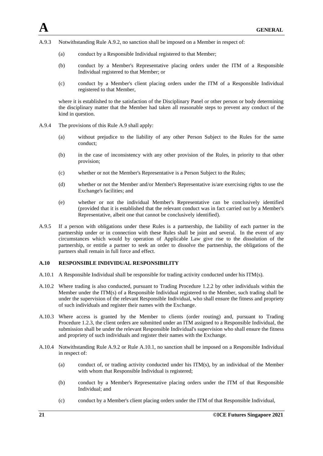- A.9.3 Notwithstanding Rule A.9.2, no sanction shall be imposed on a Member in respect of:
	- (a) conduct by a Responsible Individual registered to that Member;
	- (b) conduct by a Member's Representative placing orders under the ITM of a Responsible Individual registered to that Member; or
	- (c) conduct by a Member's client placing orders under the ITM of a Responsible Individual registered to that Member,

where it is established to the satisfaction of the Disciplinary Panel or other person or body determining the disciplinary matter that the Member had taken all reasonable steps to prevent any conduct of the kind in question.

- A.9.4 The provisions of this Rule A.9 shall apply:
	- (a) without prejudice to the liability of any other Person Subject to the Rules for the same conduct;
	- (b) in the case of inconsistency with any other provision of the Rules, in priority to that other provision;
	- (c) whether or not the Member's Representative is a Person Subject to the Rules;
	- (d) whether or not the Member and/or Member's Representative is/are exercising rights to use the Exchange's facilities; and
	- (e) whether or not the individual Member's Representative can be conclusively identified (provided that it is established that the relevant conduct was in fact carried out by a Member's Representative, albeit one that cannot be conclusively identified).
- A.9.5 If a person with obligations under these Rules is a partnership, the liability of each partner in the partnership under or in connection with these Rules shall be joint and several. In the event of any circumstances which would by operation of Applicable Law give rise to the dissolution of the partnership, or entitle a partner to seek an order to dissolve the partnership, the obligations of the partners shall remain in full force and effect.

# **A.10 RESPONSIBLE INDIVIDUAL RESPONSIBILITY**

- A.10.1 A Responsible Individual shall be responsible for trading activity conducted under his ITM(s).
- A.10.2 Where trading is also conducted, pursuant to Trading Procedure 1.2.2 by other individuals within the Member under the ITM(s) of a Responsible Individual registered to the Member, such trading shall be under the supervision of the relevant Responsible Individual, who shall ensure the fitness and propriety of such individuals and register their names with the Exchange.
- A.10.3 Where access is granted by the Member to clients (order routing) and, pursuant to Trading Procedure 1.2.3, the client orders are submitted under an ITM assigned to a Responsible Individual, the submission shall be under the relevant Responsible Individual's supervision who shall ensure the fitness and propriety of such individuals and register their names with the Exchange.
- A.10.4 Notwithstanding Rule A.9.2 or Rule A.10.1, no sanction shall be imposed on a Responsible Individual in respect of:
	- (a) conduct of, or trading activity conducted under his ITM(s), by an individual of the Member with whom that Responsible Individual is registered:
	- (b) conduct by a Member's Representative placing orders under the ITM of that Responsible Individual; and
	- (c) conduct by a Member's client placing orders under the ITM of that Responsible Individual,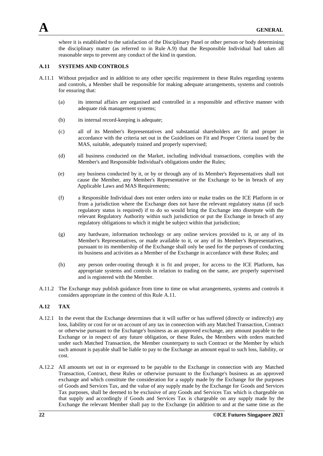

where it is established to the satisfaction of the Disciplinary Panel or other person or body determining the disciplinary matter (as referred to in Rule A.9) that the Responsible Individual had taken all reasonable steps to prevent any conduct of the kind in question.

## **A.11 SYSTEMS AND CONTROLS**

- A.11.1 Without prejudice and in addition to any other specific requirement in these Rules regarding systems and controls, a Member shall be responsible for making adequate arrangements, systems and controls for ensuring that:
	- (a) its internal affairs are organised and controlled in a responsible and effective manner with adequate risk management systems;
	- (b) its internal record-keeping is adequate;
	- (c) all of its Member's Representatives and substantial shareholders are fit and proper in accordance with the criteria set out in the Guidelines on Fit and Proper Criteria issued by the MAS, suitable, adequately trained and properly supervised;
	- (d) all business conducted on the Market, including individual transactions, complies with the Member's and Responsible Individual's obligations under the Rules;
	- (e) any business conducted by it, or by or through any of its Member's Representatives shall not cause the Member, any Member's Representative or the Exchange to be in breach of any Applicable Laws and MAS Requirements;
	- (f) a Responsible Individual does not enter orders into or make trades on the ICE Platform in or from a jurisdiction where the Exchange does not have the relevant regulatory status (if such regulatory status is required) if to do so would bring the Exchange into disrepute with the relevant Regulatory Authority within such jurisdiction or put the Exchange in breach of any regulatory obligations to which it might be subject within that jurisdiction;
	- (g) any hardware, information technology or any online services provided to it, or any of its Member's Representatives, or made available to it, or any of its Member's Representatives, pursuant to its membership of the Exchange shall only be used for the purposes of conducting its business and activities as a Member of the Exchange in accordance with these Rules; and
	- (h) any person order-routing through it is fit and proper, for access to the ICE Platform, has appropriate systems and controls in relation to trading on the same, are properly supervised and is registered with the Member.
- A.11.2 The Exchange may publish guidance from time to time on what arrangements, systems and controls it considers appropriate in the context of this Rule A.11.

## **A.12 TAX**

- A.12.1 In the event that the Exchange determines that it will suffer or has suffered (directly or indirectly) any loss, liability or cost for or on account of any tax in connection with any Matched Transaction, Contract or otherwise pursuant to the Exchange's business as an approved exchange, any amount payable to the Exchange or in respect of any future obligation, or these Rules, the Members with orders matched under such Matched Transaction, the Member counterparty to such Contract or the Member by which such amount is payable shall be liable to pay to the Exchange an amount equal to such loss, liability, or cost.
- A.12.2 All amounts set out in or expressed to be payable to the Exchange in connection with any Matched Transaction, Contract, these Rules or otherwise pursuant to the Exchange's business as an approved exchange and which constitute the consideration for a supply made by the Exchange for the purposes of Goods and Services Tax, and the value of any supply made by the Exchange for Goods and Services Tax purposes, shall be deemed to be exclusive of any Goods and Services Tax which is chargeable on that supply and accordingly if Goods and Services Tax is chargeable on any supply made by the Exchange the relevant Member shall pay to the Exchange (in addition to and at the same time as the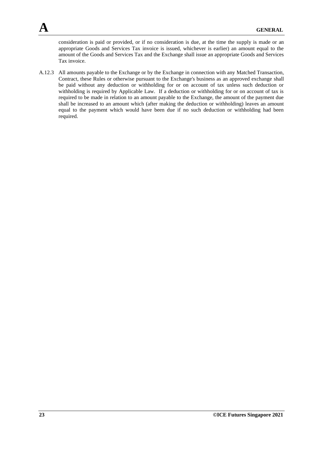consideration is paid or provided, or if no consideration is due, at the time the supply is made or an appropriate Goods and Services Tax invoice is issued, whichever is earlier) an amount equal to the amount of the Goods and Services Tax and the Exchange shall issue an appropriate Goods and Services Tax invoice.

A.12.3 All amounts payable to the Exchange or by the Exchange in connection with any Matched Transaction, Contract, these Rules or otherwise pursuant to the Exchange's business as an approved exchange shall be paid without any deduction or withholding for or on account of tax unless such deduction or withholding is required by Applicable Law. If a deduction or withholding for or on account of tax is required to be made in relation to an amount payable to the Exchange, the amount of the payment due shall be increased to an amount which (after making the deduction or withholding) leaves an amount equal to the payment which would have been due if no such deduction or withholding had been required.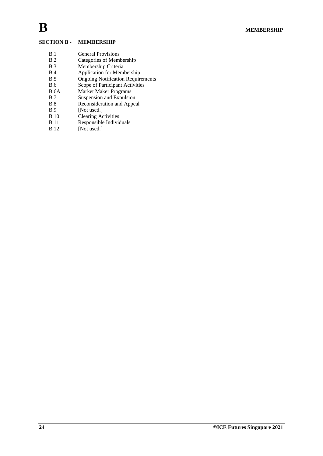# **SECTION B - MEMBERSHIP**

- B.1 General Provisions
- B.2 Categories of Membership<br>B.3 Membership Criteria
- Membership Criteria
- B.4 Application for Membership
- B.5 Ongoing Notification Requirements
- B.6 Scope of Participant Activities
- B.6A Market Maker Programs
- B.7 Suspension and Expulsion<br>B.8 Reconsideration and Appea
- B.8 Reconsideration and Appeal<br>B.9 [Not used.]
- B.9 [Not used.]<br>B.10 Clearing Ac
- B.10 Clearing Activities<br>B.11 Responsible Individ
- B.11 Responsible Individuals<br>B.12 [Not used.]
- $[Not used.]$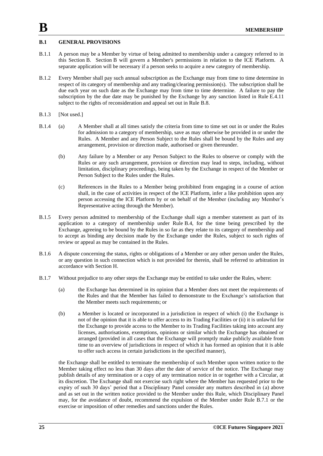### **B.1 GENERAL PROVISIONS**

- B.1.1 A person may be a Member by virtue of being admitted to membership under a category referred to in this Section B. Section B will govern a Member's permissions in relation to the ICE Platform. A separate application will be necessary if a person seeks to acquire a new category of membership.
- B.1.2 Every Member shall pay such annual subscription as the Exchange may from time to time determine in respect of its category of membership and any trading/clearing permission(s). The subscription shall be due each year on such date as the Exchange may from time to time determine. A failure to pay the subscription by the due date may be punished by the Exchange by any sanction listed in Rule E.4.11 subject to the rights of reconsideration and appeal set out in Rule B.8.
- B.1.3 [Not used.]
- B.1.4 (a) A Member shall at all times satisfy the criteria from time to time set out in or under the Rules for admission to a category of membership, save as may otherwise be provided in or under the Rules. A Member and any Person Subject to the Rules shall be bound by the Rules and any arrangement, provision or direction made, authorised or given thereunder.
	- (b) Any failure by a Member or any Person Subject to the Rules to observe or comply with the Rules or any such arrangement, provision or direction may lead to steps, including, without limitation, disciplinary proceedings, being taken by the Exchange in respect of the Member or Person Subject to the Rules under the Rules.
	- (c) References in the Rules to a Member being prohibited from engaging in a course of action shall, in the case of activities in respect of the ICE Platform, infer a like prohibition upon any person accessing the ICE Platform by or on behalf of the Member (including any Member's Representative acting through the Member).
- B.1.5 Every person admitted to membership of the Exchange shall sign a member statement as part of its application to a category of membership under Rule B.4, for the time being prescribed by the Exchange, agreeing to be bound by the Rules in so far as they relate to its category of membership and to accept as binding any decision made by the Exchange under the Rules, subject to such rights of review or appeal as may be contained in the Rules.
- B.1.6 A dispute concerning the status, rights or obligations of a Member or any other person under the Rules, or any question in such connection which is not provided for therein, shall be referred to arbitration in accordance with Section H.
- B.1.7 Without prejudice to any other steps the Exchange may be entitled to take under the Rules, where:
	- (a) the Exchange has determined in its opinion that a Member does not meet the requirements of the Rules and that the Member has failed to demonstrate to the Exchange's satisfaction that the Member meets such requirements; or
	- (b) a Member is located or incorporated in a jurisdiction in respect of which (i) the Exchange is not of the opinion that it is able to offer access to its Trading Facilities or (ii) it is unlawful for the Exchange to provide access to the Member to its Trading Facilities taking into account any licenses, authorisations, exemptions, opinions or similar which the Exchange has obtained or arranged (provided in all cases that the Exchange will promptly make publicly available from time to an overview of jurisdictions in respect of which it has formed an opinion that it is able to offer such access in certain jurisdictions in the specified manner),

the Exchange shall be entitled to terminate the membership of such Member upon written notice to the Member taking effect no less than 30 days after the date of service of the notice. The Exchange may publish details of any termination or a copy of any termination notice in or together with a Circular, at its discretion. The Exchange shall not exercise such right where the Member has requested prior to the expiry of such 30 days' period that a Disciplinary Panel consider any matters described in (a) above and as set out in the written notice provided to the Member under this Rule, which Disciplinary Panel may, for the avoidance of doubt, recommend the expulsion of the Member under Rule B.7.1 or the exercise or imposition of other remedies and sanctions under the Rules.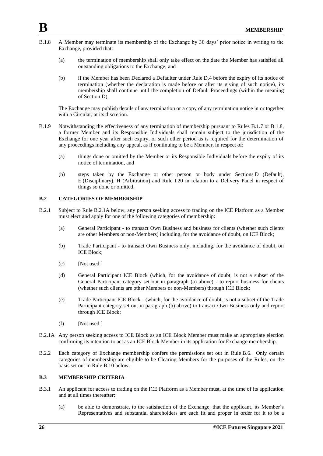- B.1.8 A Member may terminate its membership of the Exchange by 30 days' prior notice in writing to the Exchange, provided that:
	- (a) the termination of membership shall only take effect on the date the Member has satisfied all outstanding obligations to the Exchange; and
	- (b) if the Member has been Declared a Defaulter under Rule D.4 before the expiry of its notice of termination (whether the declaration is made before or after its giving of such notice), its membership shall continue until the completion of Default Proceedings (within the meaning of Section D).

The Exchange may publish details of any termination or a copy of any termination notice in or together with a Circular, at its discretion.

- B.1.9 Notwithstanding the effectiveness of any termination of membership pursuant to Rules B.1.7 or B.1.8, a former Member and its Responsible Individuals shall remain subject to the jurisdiction of the Exchange for one year after such expiry, or such other period as is required for the determination of any proceedings including any appeal, as if continuing to be a Member, in respect of:
	- (a) things done or omitted by the Member or its Responsible Individuals before the expiry of its notice of termination, and
	- (b) steps taken by the Exchange or other person or body under Sections D (Default), E (Disciplinary), H (Arbitration) and Rule I.20 in relation to a Delivery Panel in respect of things so done or omitted.

## **B.2 CATEGORIES OF MEMBERSHIP**

- B.2.1 Subject to Rule B.2.1A below, any person seeking access to trading on the ICE Platform as a Member must elect and apply for one of the following categories of membership:
	- (a) General Participant to transact Own Business and business for clients (whether such clients are other Members or non-Members) including, for the avoidance of doubt, on ICE Block;
	- (b) Trade Participant to transact Own Business only, including, for the avoidance of doubt, on ICE Block;
	- (c) [Not used.]
	- (d) General Participant ICE Block (which, for the avoidance of doubt, is not a subset of the General Participant category set out in paragraph (a) above) - to report business for clients (whether such clients are other Members or non-Members) through ICE Block;
	- (e) Trade Participant ICE Block (which, for the avoidance of doubt, is not a subset of the Trade Participant category set out in paragraph (b) above) to transact Own Business only and report through ICE Block;
	- $(f)$  [Not used.]
- B.2.1A Any person seeking access to ICE Block as an ICE Block Member must make an appropriate election confirming its intention to act as an ICE Block Member in its application for Exchange membership.
- B.2.2 Each category of Exchange membership confers the permissions set out in Rule B.6. Only certain categories of membership are eligible to be Clearing Members for the purposes of the Rules, on the basis set out in Rule B.10 below.

## **B.3 MEMBERSHIP CRITERIA**

- B.3.1 An applicant for access to trading on the ICE Platform as a Member must, at the time of its application and at all times thereafter:
	- (a) be able to demonstrate, to the satisfaction of the Exchange, that the applicant, its Member's Representatives and substantial shareholders are each fit and proper in order for it to be a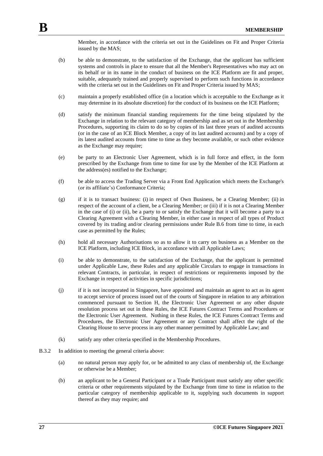Member, in accordance with the criteria set out in the Guidelines on Fit and Proper Criteria issued by the MAS;

- (b) be able to demonstrate, to the satisfaction of the Exchange, that the applicant has sufficient systems and controls in place to ensure that all the Member's Representatives who may act on its behalf or in its name in the conduct of business on the ICE Platform are fit and proper, suitable, adequately trained and properly supervised to perform such functions in accordance with the criteria set out in the Guidelines on Fit and Proper Criteria issued by MAS;
- (c) maintain a properly established office (in a location which is acceptable to the Exchange as it may determine in its absolute discretion) for the conduct of its business on the ICE Platform;
- (d) satisfy the minimum financial standing requirements for the time being stipulated by the Exchange in relation to the relevant category of membership and as set out in the Membership Procedures, supporting its claim to do so by copies of its last three years of audited accounts (or in the case of an ICE Block Member, a copy of its last audited accounts) and by a copy of its latest audited accounts from time to time as they become available, or such other evidence as the Exchange may require;
- (e) be party to an Electronic User Agreement, which is in full force and effect, in the form prescribed by the Exchange from time to time for use by the Member of the ICE Platform at the address(es) notified to the Exchange;
- (f) be able to access the Trading Server via a Front End Application which meets the Exchange's (or its affiliate's) Conformance Criteria;
- (g) if it is to transact business: (i) in respect of Own Business, be a Clearing Member; (ii) in respect of the account of a client, be a Clearing Member; or (iii) if it is not a Clearing Member in the case of (i) or (ii), be a party to or satisfy the Exchange that it will become a party to a Clearing Agreement with a Clearing Member, in either case in respect of all types of Product covered by its trading and/or clearing permissions under Rule B.6 from time to time, in each case as permitted by the Rules;
- (h) hold all necessary Authorisations so as to allow it to carry on business as a Member on the ICE Platform, including ICE Block, in accordance with all Applicable Laws;
- (i) be able to demonstrate, to the satisfaction of the Exchange, that the applicant is permitted under Applicable Law, these Rules and any applicable Circulars to engage in transactions in relevant Contracts, in particular, in respect of restrictions or requirements imposed by the Exchange in respect of activities in specific jurisdictions;
- (j) if it is not incorporated in Singapore, have appointed and maintain an agent to act as its agent to accept service of process issued out of the courts of Singapore in relation to any arbitration commenced pursuant to Section H, the Electronic User Agreement or any other dispute resolution process set out in these Rules, the ICE Futures Contract Terms and Procedures or the Electronic User Agreement. Nothing in these Rules, the ICE Futures Contract Terms and Procedures, the Electronic User Agreement or any Contract shall affect the right of the Clearing House to serve process in any other manner permitted by Applicable Law; and
- (k) satisfy any other criteria specified in the Membership Procedures.
- B.3.2 In addition to meeting the general criteria above:
	- (a) no natural person may apply for, or be admitted to any class of membership of, the Exchange or otherwise be a Member;
	- (b) an applicant to be a General Participant or a Trade Participant must satisfy any other specific criteria or other requirements stipulated by the Exchange from time to time in relation to the particular category of membership applicable to it, supplying such documents in support thereof as they may require; and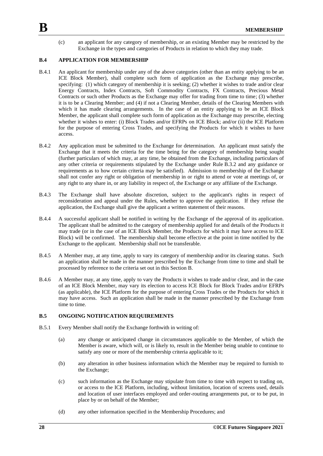(c) an applicant for any category of membership, or an existing Member may be restricted by the Exchange in the types and categories of Products in relation to which they may trade.

#### **B.4 APPLICATION FOR MEMBERSHIP**

- B.4.1 An applicant for membership under any of the above categories (other than an entity applying to be an ICE Block Member), shall complete such form of application as the Exchange may prescribe, specifying: (1) which category of membership it is seeking; (2) whether it wishes to trade and/or clear Energy Contracts, Index Contracts, Soft Commodity Contracts, FX Contracts, Precious Metal Contracts or such other Products as the Exchange may offer for trading from time to time; (3) whether it is to be a Clearing Member; and (4) if not a Clearing Member, details of the Clearing Members with which it has made clearing arrangements. In the case of an entity applying to be an ICE Block Member, the applicant shall complete such form of application as the Exchange may prescribe, electing whether it wishes to enter: (i) Block Trades and/or EFRPs on ICE Block; and/or (ii) the ICE Platform for the purpose of entering Cross Trades, and specifying the Products for which it wishes to have access.
- B.4.2 Any application must be submitted to the Exchange for determination. An applicant must satisfy the Exchange that it meets the criteria for the time being for the category of membership being sought (further particulars of which may, at any time, be obtained from the Exchange, including particulars of any other criteria or requirements stipulated by the Exchange under Rule B.3.2 and any guidance or requirements as to how certain criteria may be satisfied). Admission to membership of the Exchange shall not confer any right or obligation of membership in or right to attend or vote at meetings of, or any right to any share in, or any liability in respect of, the Exchange or any affiliate of the Exchange.
- B.4.3 The Exchange shall have absolute discretion, subject to the applicant's rights in respect of reconsideration and appeal under the Rules, whether to approve the application. If they refuse the application, the Exchange shall give the applicant a written statement of their reasons.
- B.4.4 A successful applicant shall be notified in writing by the Exchange of the approval of its application. The applicant shall be admitted to the category of membership applied for and details of the Products it may trade (or in the case of an ICE Block Member, the Products for which it may have access to ICE Block) will be confirmed. The membership shall become effective at the point in time notified by the Exchange to the applicant. Membership shall not be transferable.
- B.4.5 A Member may, at any time, apply to vary its category of membership and/or its clearing status. Such an application shall be made in the manner prescribed by the Exchange from time to time and shall be processed by reference to the criteria set out in this Section B.
- B.4.6 A Member may, at any time, apply to vary the Products it wishes to trade and/or clear, and in the case of an ICE Block Member, may vary its election to access ICE Block for Block Trades and/or EFRPs (as applicable), the ICE Platform for the purpose of entering Cross Trades or the Products for which it may have access. Such an application shall be made in the manner prescribed by the Exchange from time to time.

#### **B.5 ONGOING NOTIFICATION REQUIREMENTS**

- B.5.1 Every Member shall notify the Exchange forthwith in writing of:
	- (a) any change or anticipated change in circumstances applicable to the Member, of which the Member is aware, which will, or is likely to, result in the Member being unable to continue to satisfy any one or more of the membership criteria applicable to it;
	- (b) any alteration in other business information which the Member may be required to furnish to the Exchange;
	- (c) such information as the Exchange may stipulate from time to time with respect to trading on, or access to the ICE Platform, including, without limitation, location of screens used, details and location of user interfaces employed and order-routing arrangements put, or to be put, in place by or on behalf of the Member;
	- (d) any other information specified in the Membership Procedures; and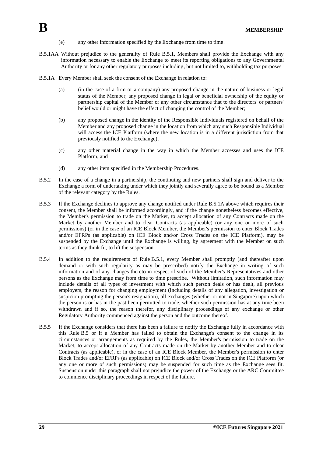- (e) any other information specified by the Exchange from time to time.
- B.5.1AA Without prejudice to the generality of Rule B.5.1, Members shall provide the Exchange with any information necessary to enable the Exchange to meet its reporting obligations to any Governmental Authority or for any other regulatory purposes including, but not limited to, withholding tax purposes.
- B.5.1A Every Member shall seek the consent of the Exchange in relation to:
	- (a) (in the case of a firm or a company) any proposed change in the nature of business or legal status of the Member, any proposed change in legal or beneficial ownership of the equity or partnership capital of the Member or any other circumstance that to the directors' or partners' belief would or might have the effect of changing the control of the Member;
	- (b) any proposed change in the identity of the Responsible Individuals registered on behalf of the Member and any proposed change in the location from which any such Responsible Individual will access the ICE Platform (where the new location is in a different jurisdiction from that previously notified to the Exchange);
	- (c) any other material change in the way in which the Member accesses and uses the ICE Platform; and
	- (d) any other item specified in the Membership Procedures.
- B.5.2 In the case of a change in a partnership, the continuing and new partners shall sign and deliver to the Exchange a form of undertaking under which they jointly and severally agree to be bound as a Member of the relevant category by the Rules.
- B.5.3 If the Exchange declines to approve any change notified under Rule B.5.1A above which requires their consent, the Member shall be informed accordingly, and if the change nonetheless becomes effective, the Member's permission to trade on the Market, to accept allocation of any Contracts made on the Market by another Member and to clear Contracts (as applicable) (or any one or more of such permissions) (or in the case of an ICE Block Member, the Member's permission to enter Block Trades and/or EFRPs (as applicable) on ICE Block and/or Cross Trades on the ICE Platform), may be suspended by the Exchange until the Exchange is willing, by agreement with the Member on such terms as they think fit, to lift the suspension.
- B.5.4 In addition to the requirements of Rule B.5.1, every Member shall promptly (and thereafter upon demand or with such regularity as may be prescribed) notify the Exchange in writing of such information and of any changes thereto in respect of such of the Member's Representatives and other persons as the Exchange may from time to time prescribe. Without limitation, such information may include details of all types of investment with which such person deals or has dealt, all previous employers, the reason for changing employment (including details of any allegation, investigation or suspicion prompting the person's resignation), all exchanges (whether or not in Singapore) upon which the person is or has in the past been permitted to trade, whether such permission has at any time been withdrawn and if so, the reason therefor, any disciplinary proceedings of any exchange or other Regulatory Authority commenced against the person and the outcome thereof.
- B.5.5 If the Exchange considers that there has been a failure to notify the Exchange fully in accordance with this Rule B.5 or if a Member has failed to obtain the Exchange's consent to the change in its circumstances or arrangements as required by the Rules, the Member's permission to trade on the Market, to accept allocation of any Contracts made on the Market by another Member and to clear Contracts (as applicable), or in the case of an ICE Block Member, the Member's permission to enter Block Trades and/or EFRPs (as applicable) on ICE Block and/or Cross Trades on the ICE Platform (or any one or more of such permissions) may be suspended for such time as the Exchange sees fit. Suspension under this paragraph shall not prejudice the power of the Exchange or the ARC Committee to commence disciplinary proceedings in respect of the failure.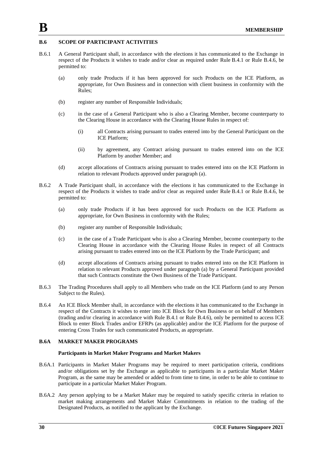# **B.6 SCOPE OF PARTICIPANT ACTIVITIES**

- B.6.1 A General Participant shall, in accordance with the elections it has communicated to the Exchange in respect of the Products it wishes to trade and/or clear as required under Rule B.4.1 or Rule B.4.6, be permitted to:
	- (a) only trade Products if it has been approved for such Products on the ICE Platform, as appropriate, for Own Business and in connection with client business in conformity with the Rules;
	- (b) register any number of Responsible Individuals;
	- (c) in the case of a General Participant who is also a Clearing Member, become counterparty to the Clearing House in accordance with the Clearing House Rules in respect of:
		- (i) all Contracts arising pursuant to trades entered into by the General Participant on the ICE Platform;
		- (ii) by agreement, any Contract arising pursuant to trades entered into on the ICE Platform by another Member; and
	- (d) accept allocations of Contracts arising pursuant to trades entered into on the ICE Platform in relation to relevant Products approved under paragraph (a).
- B.6.2 A Trade Participant shall, in accordance with the elections it has communicated to the Exchange in respect of the Products it wishes to trade and/or clear as required under Rule B.4.1 or Rule B.4.6, be permitted to:
	- (a) only trade Products if it has been approved for such Products on the ICE Platform as appropriate, for Own Business in conformity with the Rules;
	- (b) register any number of Responsible Individuals;
	- (c) in the case of a Trade Participant who is also a Clearing Member, become counterparty to the Clearing House in accordance with the Clearing House Rules in respect of all Contracts arising pursuant to trades entered into on the ICE Platform by the Trade Participant; and
	- (d) accept allocations of Contracts arising pursuant to trades entered into on the ICE Platform in relation to relevant Products approved under paragraph (a) by a General Participant provided that such Contracts constitute the Own Business of the Trade Participant.
- B.6.3 The Trading Procedures shall apply to all Members who trade on the ICE Platform (and to any Person Subject to the Rules).
- B.6.4 An ICE Block Member shall, in accordance with the elections it has communicated to the Exchange in respect of the Contracts it wishes to enter into ICE Block for Own Business or on behalf of Members (trading and/or clearing in accordance with Rule B.4.1 or Rule B.4.6), only be permitted to access ICE Block to enter Block Trades and/or EFRPs (as applicable) and/or the ICE Platform for the purpose of entering Cross Trades for such communicated Products, as appropriate.

## **B.6A MARKET MAKER PROGRAMS**

#### **Participants in Market Maker Programs and Market Makers**

- B.6A.1 Participants in Market Maker Programs may be required to meet participation criteria, conditions and/or obligations set by the Exchange as applicable to participants in a particular Market Maker Program, as the same may be amended or added to from time to time, in order to be able to continue to participate in a particular Market Maker Program.
- B.6A.2 Any person applying to be a Market Maker may be required to satisfy specific criteria in relation to market making arrangements and Market Maker Commitments in relation to the trading of the Designated Products, as notified to the applicant by the Exchange.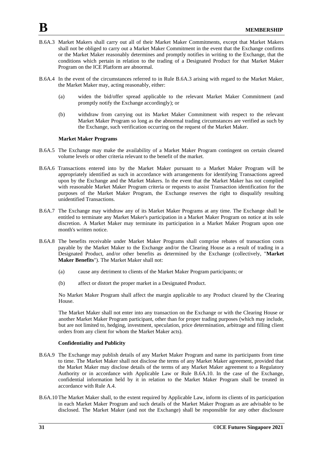- B.6A.3 Market Makers shall carry out all of their Market Maker Commitments, except that Market Makers shall not be obliged to carry out a Market Maker Commitment in the event that the Exchange confirms or the Market Maker reasonably determines and promptly notifies in writing to the Exchange, that the conditions which pertain in relation to the trading of a Designated Product for that Market Maker Program on the ICE Platform are abnormal.
- B.6A.4 In the event of the circumstances referred to in Rule B.6A.3 arising with regard to the Market Maker, the Market Maker may, acting reasonably, either:
	- (a) widen the bid/offer spread applicable to the relevant Market Maker Commitment (and promptly notify the Exchange accordingly); or
	- (b) withdraw from carrying out its Market Maker Commitment with respect to the relevant Market Maker Program so long as the abnormal trading circumstances are verified as such by the Exchange, such verification occurring on the request of the Market Maker.

#### **Market Maker Programs**

- B.6A.5 The Exchange may make the availability of a Market Maker Program contingent on certain cleared volume levels or other criteria relevant to the benefit of the market.
- B.6A.6 Transactions entered into by the Market Maker pursuant to a Market Maker Program will be appropriately identified as such in accordance with arrangements for identifying Transactions agreed upon by the Exchange and the Market Makers. In the event that the Market Maker has not complied with reasonable Market Maker Program criteria or requests to assist Transaction identification for the purposes of the Market Maker Program, the Exchange reserves the right to disqualify resulting unidentified Transactions.
- B.6A.7 The Exchange may withdraw any of its Market Maker Programs at any time. The Exchange shall be entitled to terminate any Market Maker's participation in a Market Maker Program on notice at its sole discretion. A Market Maker may terminate its participation in a Market Maker Program upon one month's written notice.
- B.6A.8 The benefits receivable under Market Maker Programs shall comprise rebates of transaction costs payable by the Market Maker to the Exchange and/or the Clearing House as a result of trading in a Designated Product, and/or other benefits as determined by the Exchange (collectively, "**Market Maker Benefits**"). The Market Maker shall not:
	- (a) cause any detriment to clients of the Market Maker Program participants; or
	- (b) affect or distort the proper market in a Designated Product.

No Market Maker Program shall affect the margin applicable to any Product cleared by the Clearing House.

The Market Maker shall not enter into any transaction on the Exchange or with the Clearing House or another Market Maker Program participant, other than for proper trading purposes (which may include, but are not limited to, hedging, investment, speculation, price determination, arbitrage and filling client orders from any client for whom the Market Maker acts).

#### **Confidentiality and Publicity**

- B.6A.9 The Exchange may publish details of any Market Maker Program and name its participants from time to time. The Market Maker shall not disclose the terms of any Market Maker agreement, provided that the Market Maker may disclose details of the terms of any Market Maker agreement to a Regulatory Authority or in accordance with Applicable Law or Rule B.6A.10. In the case of the Exchange, confidential information held by it in relation to the Market Maker Program shall be treated in accordance with Rule A.4.
- B.6A.10 The Market Maker shall, to the extent required by Applicable Law, inform its clients of its participation in each Market Maker Program and such details of the Market Maker Program as are advisable to be disclosed. The Market Maker (and not the Exchange) shall be responsible for any other disclosure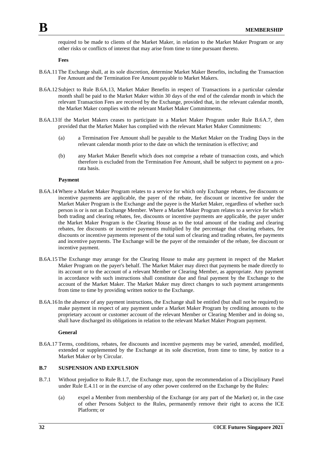required to be made to clients of the Market Maker, in relation to the Market Maker Program or any other risks or conflicts of interest that may arise from time to time pursuant thereto.

**Fees**

- B.6A.11 The Exchange shall, at its sole discretion, determine Market Maker Benefits, including the Transaction Fee Amount and the Termination Fee Amount payable to Market Makers.
- B.6A.12 Subject to Rule B.6A.13, Market Maker Benefits in respect of Transactions in a particular calendar month shall be paid to the Market Maker within 30 days of the end of the calendar month in which the relevant Transaction Fees are received by the Exchange, provided that, in the relevant calendar month, the Market Maker complies with the relevant Market Maker Commitments.
- B.6A.13 If the Market Makers ceases to participate in a Market Maker Program under Rule B.6A.7, then provided that the Market Maker has complied with the relevant Market Maker Commitments:
	- (a) a Termination Fee Amount shall be payable to the Market Maker on the Trading Days in the relevant calendar month prior to the date on which the termination is effective; and
	- (b) any Market Maker Benefit which does not comprise a rebate of transaction costs, and which therefore is excluded from the Termination Fee Amount, shall be subject to payment on a prorata basis.

#### **Payment**

- B.6A.14Where a Market Maker Program relates to a service for which only Exchange rebates, fee discounts or incentive payments are applicable, the payer of the rebate, fee discount or incentive fee under the Market Maker Program is the Exchange and the payee is the Market Maker, regardless of whether such person is or is not an Exchange Member. Where a Market Maker Program relates to a service for which both trading and clearing rebates, fee, discounts or incentive payments are applicable, the payer under the Market Maker Program is the Clearing House as to the total amount of the trading and clearing rebates, fee discounts or incentive payments multiplied by the percentage that clearing rebates, fee discounts or incentive payments represent of the total sum of clearing and trading rebates, fee payments and incentive payments. The Exchange will be the payer of the remainder of the rebate, fee discount or incentive payment.
- B.6A.15The Exchange may arrange for the Clearing House to make any payment in respect of the Market Maker Program on the payer's behalf. The Market Maker may direct that payments be made directly to its account or to the account of a relevant Member or Clearing Member, as appropriate. Any payment in accordance with such instructions shall constitute due and final payment by the Exchange to the account of the Market Maker. The Market Maker may direct changes to such payment arrangements from time to time by providing written notice to the Exchange.
- B.6A.16 In the absence of any payment instructions, the Exchange shall be entitled (but shall not be required) to make payment in respect of any payment under a Market Maker Program by crediting amounts to the proprietary account or customer account of the relevant Member or Clearing Member and in doing so, shall have discharged its obligations in relation to the relevant Market Maker Program payment.

#### **General**

B.6A.17 Terms, conditions, rebates, fee discounts and incentive payments may be varied, amended, modified, extended or supplemented by the Exchange at its sole discretion, from time to time, by notice to a Market Maker or by Circular.

#### **B.7 SUSPENSION AND EXPULSION**

- B.7.1 Without prejudice to Rule B.1.7, the Exchange may, upon the recommendation of a Disciplinary Panel under Rule E.4.11 or in the exercise of any other power conferred on the Exchange by the Rules:
	- (a) expel a Member from membership of the Exchange (or any part of the Market) or, in the case of other Persons Subject to the Rules, permanently remove their right to access the ICE Platform; or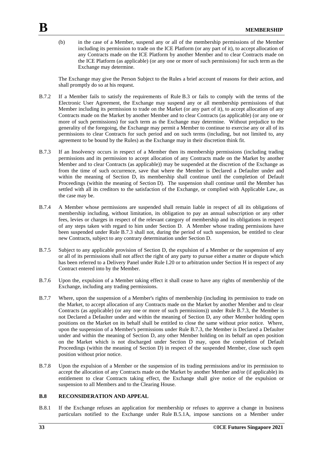(b) in the case of a Member, suspend any or all of the membership permissions of the Member including its permission to trade on the ICE Platform (or any part of it), to accept allocation of any Contracts made on the ICE Platform by another Member and to clear Contracts made on the ICE Platform (as applicable) (or any one or more of such permissions) for such term as the Exchange may determine.

The Exchange may give the Person Subject to the Rules a brief account of reasons for their action, and shall promptly do so at his request.

- B.7.2 If a Member fails to satisfy the requirements of Rule B.3 or fails to comply with the terms of the Electronic User Agreement, the Exchange may suspend any or all membership permissions of that Member including its permission to trade on the Market (or any part of it), to accept allocation of any Contracts made on the Market by another Member and to clear Contracts (as applicable) (or any one or more of such permissions) for such term as the Exchange may determine. Without prejudice to the generality of the foregoing, the Exchange may permit a Member to continue to exercise any or all of its permissions to clear Contracts for such period and on such terms (including, but not limited to, any agreement to be bound by the Rules) as the Exchange may in their discretion think fit.
- B.7.3 If an Insolvency occurs in respect of a Member then its membership permissions (including trading permissions and its permission to accept allocation of any Contracts made on the Market by another Member and to clear Contracts (as applicable)) may be suspended at the discretion of the Exchange as from the time of such occurrence, save that where the Member is Declared a Defaulter under and within the meaning of Section D, its membership shall continue until the completion of Default Proceedings (within the meaning of Section D). The suspension shall continue until the Member has settled with all its creditors to the satisfaction of the Exchange, or complied with Applicable Law, as the case may be.
- B.7.4 A Member whose permissions are suspended shall remain liable in respect of all its obligations of membership including, without limitation, its obligation to pay an annual subscription or any other fees, levies or charges in respect of the relevant category of membership and its obligations in respect of any steps taken with regard to him under Section D. A Member whose trading permissions have been suspended under Rule B.7.3 shall not, during the period of such suspension, be entitled to clear new Contracts, subject to any contrary determination under Section D.
- B.7.5 Subject to any applicable provision of Section D, the expulsion of a Member or the suspension of any or all of its permissions shall not affect the right of any party to pursue either a matter or dispute which has been referred to a Delivery Panel under Rule I.20 or to arbitration under Section H in respect of any Contract entered into by the Member.
- B.7.6 Upon the, expulsion of a Member taking effect it shall cease to have any rights of membership of the Exchange, including any trading permissions.
- B.7.7 Where, upon the suspension of a Member's rights of membership (including its permission to trade on the Market, to accept allocation of any Contracts made on the Market by another Member and to clear Contracts (as applicable) (or any one or more of such permissions)) under Rule B.7.3, the Member is not Declared a Defaulter under and within the meaning of Section D, any other Member holding open positions on the Market on its behalf shall be entitled to close the same without prior notice. Where, upon the suspension of a Member's permissions under Rule B.7.3, the Member is Declared a Defaulter under and within the meaning of Section D, any other Member holding on its behalf an open position on the Market which is not discharged under Section D may, upon the completion of Default Proceedings (within the meaning of Section D) in respect of the suspended Member, close such open position without prior notice.
- B.7.8 Upon the expulsion of a Member or the suspension of its trading permissions and/or its permission to accept the allocation of any Contracts made on the Market by another Member and/or (if applicable) its entitlement to clear Contracts taking effect, the Exchange shall give notice of the expulsion or suspension to all Members and to the Clearing House.

#### **B.8 RECONSIDERATION AND APPEAL**

B.8.1 If the Exchange refuses an application for membership or refuses to approve a change in business particulars notified to the Exchange under Rule B.5.1A, impose sanctions on a Member under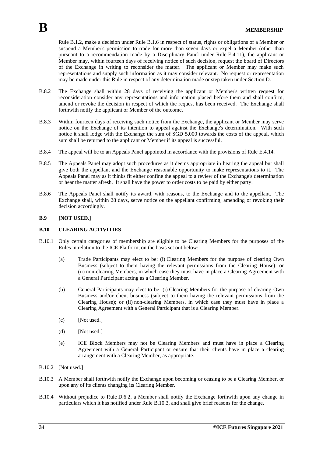Rule B.1.2, make a decision under Rule B.1.6 in respect of status, rights or obligations of a Member or suspend a Member's permission to trade for more than seven days or expel a Member (other than pursuant to a recommendation made by a Disciplinary Panel under Rule E.4.11), the applicant or Member may, within fourteen days of receiving notice of such decision, request the board of Directors of the Exchange in writing to reconsider the matter. The applicant or Member may make such representations and supply such information as it may consider relevant. No request or representation may be made under this Rule in respect of any determination made or step taken under Section D.

- B.8.2 The Exchange shall within 28 days of receiving the applicant or Member's written request for reconsideration consider any representations and information placed before them and shall confirm, amend or revoke the decision in respect of which the request has been received. The Exchange shall forthwith notify the applicant or Member of the outcome.
- B.8.3 Within fourteen days of receiving such notice from the Exchange, the applicant or Member may serve notice on the Exchange of its intention to appeal against the Exchange's determination. With such notice it shall lodge with the Exchange the sum of SGD 5,000 towards the costs of the appeal, which sum shall be returned to the applicant or Member if its appeal is successful.
- B.8.4 The appeal will be to an Appeals Panel appointed in accordance with the provisions of Rule E.4.14.
- B.8.5 The Appeals Panel may adopt such procedures as it deems appropriate in hearing the appeal but shall give both the appellant and the Exchange reasonable opportunity to make representations to it. The Appeals Panel may as it thinks fit either confine the appeal to a review of the Exchange's determination or hear the matter afresh. It shall have the power to order costs to be paid by either party.
- B.8.6 The Appeals Panel shall notify its award, with reasons, to the Exchange and to the appellant. The Exchange shall, within 28 days, serve notice on the appellant confirming, amending or revoking their decision accordingly.

#### **B.9 [NOT USED.]**

#### **B.10 CLEARING ACTIVITIES**

- B.10.1 Only certain categories of membership are eligible to be Clearing Members for the purposes of the Rules in relation to the ICE Platform, on the basis set out below:
	- (a) Trade Participants may elect to be: (i) Clearing Members for the purpose of clearing Own Business (subject to them having the relevant permissions from the Clearing House); or (ii) non-clearing Members, in which case they must have in place a Clearing Agreement with a General Participant acting as a Clearing Member.
	- (b) General Participants may elect to be: (i) Clearing Members for the purpose of clearing Own Business and/or client business (subject to them having the relevant permissions from the Clearing House); or (ii) non-clearing Members, in which case they must have in place a Clearing Agreement with a General Participant that is a Clearing Member.
	- (c) [Not used.]
	- (d) [Not used.]
	- (e) ICE Block Members may not be Clearing Members and must have in place a Clearing Agreement with a General Participant or ensure that their clients have in place a clearing arrangement with a Clearing Member, as appropriate.
- B.10.2 [Not used.]
- B.10.3 A Member shall forthwith notify the Exchange upon becoming or ceasing to be a Clearing Member, or upon any of its clients changing its Clearing Member.
- B.10.4 Without prejudice to Rule D.6.2, a Member shall notify the Exchange forthwith upon any change in particulars which it has notified under Rule B.10.3, and shall give brief reasons for the change.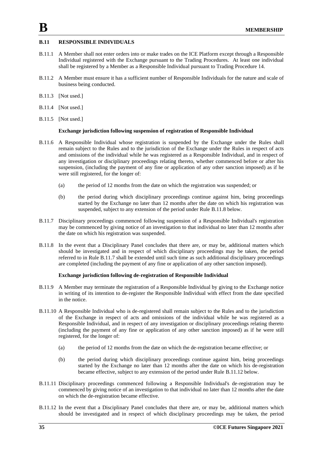# **B.11 RESPONSIBLE INDIVIDUALS**

- B.11.1 A Member shall not enter orders into or make trades on the ICE Platform except through a Responsible Individual registered with the Exchange pursuant to the Trading Procedures. At least one individual shall be registered by a Member as a Responsible Individual pursuant to Trading Procedure 14.
- B.11.2 A Member must ensure it has a sufficient number of Responsible Individuals for the nature and scale of business being conducted.
- B.11.3 [Not used.]
- B.11.4 [Not used.]
- B.11.5 [Not used.]

#### **Exchange jurisdiction following suspension of registration of Responsible Individual**

- B.11.6 A Responsible Individual whose registration is suspended by the Exchange under the Rules shall remain subject to the Rules and to the jurisdiction of the Exchange under the Rules in respect of acts and omissions of the individual while he was registered as a Responsible Individual, and in respect of any investigation or disciplinary proceedings relating thereto, whether commenced before or after his suspension, (including the payment of any fine or application of any other sanction imposed) as if he were still registered, for the longer of:
	- (a) the period of 12 months from the date on which the registration was suspended; or
	- (b) the period during which disciplinary proceedings continue against him, being proceedings started by the Exchange no later than 12 months after the date on which his registration was suspended, subject to any extension of the period under Rule B.11.8 below.
- B.11.7 Disciplinary proceedings commenced following suspension of a Responsible Individual's registration may be commenced by giving notice of an investigation to that individual no later than 12 months after the date on which his registration was suspended.
- B.11.8 In the event that a Disciplinary Panel concludes that there are, or may be, additional matters which should be investigated and in respect of which disciplinary proceedings may be taken, the period referred to in Rule B.11.7 shall be extended until such time as such additional disciplinary proceedings are completed (including the payment of any fine or application of any other sanction imposed).

# **Exchange jurisdiction following de-registration of Responsible Individual**

- B.11.9 A Member may terminate the registration of a Responsible Individual by giving to the Exchange notice in writing of its intention to de-register the Responsible Individual with effect from the date specified in the notice.
- B.11.10 A Responsible Individual who is de-registered shall remain subject to the Rules and to the jurisdiction of the Exchange in respect of acts and omissions of the individual while he was registered as a Responsible Individual, and in respect of any investigation or disciplinary proceedings relating thereto (including the payment of any fine or application of any other sanction imposed) as if he were still registered, for the longer of:
	- (a) the period of 12 months from the date on which the de-registration became effective; or
	- (b) the period during which disciplinary proceedings continue against him, being proceedings started by the Exchange no later than 12 months after the date on which his de-registration became effective, subject to any extension of the period under Rule B.11.12 below.
- B.11.11 Disciplinary proceedings commenced following a Responsible Individual's de-registration may be commenced by giving notice of an investigation to that individual no later than 12 months after the date on which the de-registration became effective.
- B.11.12 In the event that a Disciplinary Panel concludes that there are, or may be, additional matters which should be investigated and in respect of which disciplinary proceedings may be taken, the period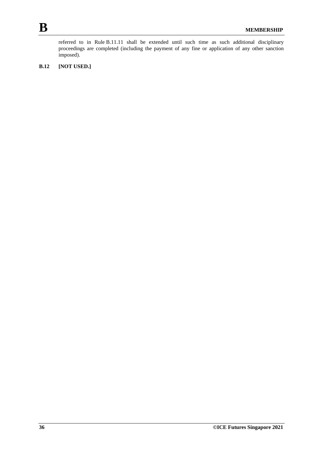referred to in Rule B.11.11 shall be extended until such time as such additional disciplinary proceedings are completed (including the payment of any fine or application of any other sanction imposed).

# **B.12 [NOT USED.]**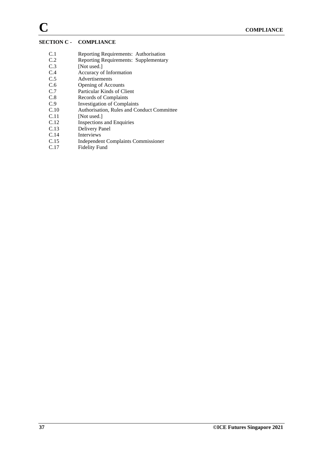# **SECTION C - COMPLIANCE**

- C.1 Reporting Requirements: Authorisation<br>C.2 Reporting Requirements: Supplementary
- C.2 Reporting Requirements: Supplementary<br>C.3 [Not used.]
- C.3 [Not used.]<br>C.4 Accuracy of
- Accuracy of Information
- C.5 Advertisements
- C.6 Opening of Accounts
- C.7 Particular Kinds of Client
- C.8 Records of Complaints<br>C.9 Investigation of Compla
- C.9 Investigation of Complaints<br>C.10 Authorisation, Rules and Co.
- C.10 Authorisation, Rules and Conduct Committee<br>C.11 [Not used.]
- C.11 [Not used.]<br>C.12 Inspections
- C.12 Inspections and Enquiries<br>C.13 Delivery Panel
- Delivery Panel
- C.14 Interviews
- C.15 Independent Complaints Commissioner
- C.17 Fidelity Fund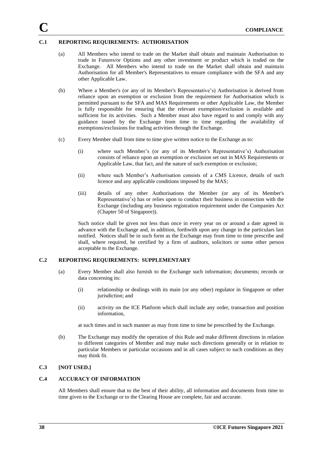### **C.1 REPORTING REQUIREMENTS: AUTHORISATION**

- (a) All Members who intend to trade on the Market shall obtain and maintain Authorisation to trade in Futures/or Options and any other investment or product which is traded on the Exchange. All Members who intend to trade on the Market shall obtain and maintain Authorisation for all Member's Representatives to ensure compliance with the SFA and any other Applicable Law.
- (b) Where a Member's (or any of its Member's Representative's) Authorisation is derived from reliance upon an exemption or exclusion from the requirement for Authorisation which is permitted pursuant to the SFA and MAS Requirements or other Applicable Law, the Member is fully responsible for ensuring that the relevant exemption/exclusion is available and sufficient for its activities. Such a Member must also have regard to and comply with any guidance issued by the Exchange from time to time regarding the availability of exemptions/exclusions for trading activities through the Exchange.
- (c) Every Member shall from time to time give written notice to the Exchange as to:
	- (i) where such Member's (or any of its Member's Representative's) Authorisation consists of reliance upon an exemption or exclusion set out in MAS Requirements or Applicable Law, that fact, and the nature of such exemption or exclusion;
	- (ii) where such Member's Authorisation consists of a CMS Licence, details of such licence and any applicable conditions imposed by the MAS;
	- (iii) details of any other Authorisations the Member (or any of its Member's Representative's) has or relies upon to conduct their business in connection with the Exchange (including any business registration requirement under the Companies Act (Chapter 50 of Singapore)).

Such notice shall be given not less than once in every year on or around a date agreed in advance with the Exchange and, in addition, forthwith upon any change in the particulars last notified. Notices shall be in such form as the Exchange may from time to time prescribe and shall, where required, be certified by a firm of auditors, solicitors or some other person acceptable to the Exchange.

### **C.2 REPORTING REQUIREMENTS: SUPPLEMENTARY**

- (a) Every Member shall also furnish to the Exchange such information; documents; records or data concerning its:
	- (i) relationship or dealings with its main (or any other) regulator in Singapore or other jurisdiction; and
	- (ii) activity on the ICE Platform which shall include any order, transaction and position information,

at such times and in such manner as may from time to time be prescribed by the Exchange.

(b) The Exchange may modify the operation of this Rule and make different directions in relation to different categories of Member and may make such directions generally or in relation to particular Members or particular occasions and in all cases subject to such conditions as they may think fit.

# **C.3 [NOT USED.]**

# **C.4 ACCURACY OF INFORMATION**

All Members shall ensure that to the best of their ability, all information and documents from time to time given to the Exchange or to the Clearing House are complete, fair and accurate.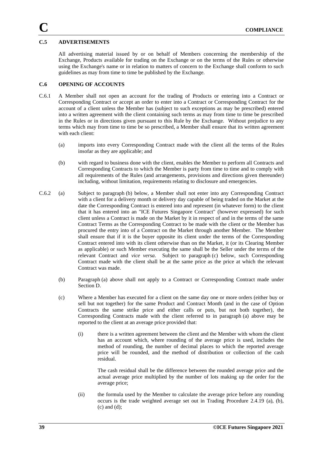# **C.5 ADVERTISEMENTS**

All advertising material issued by or on behalf of Members concerning the membership of the Exchange, Products available for trading on the Exchange or on the terms of the Rules or otherwise using the Exchange's name or in relation to matters of concern to the Exchange shall conform to such guidelines as may from time to time be published by the Exchange.

# **C.6 OPENING OF ACCOUNTS**

- C.6.1 A Member shall not open an account for the trading of Products or entering into a Contract or Corresponding Contract or accept an order to enter into a Contract or Corresponding Contract for the account of a client unless the Member has (subject to such exceptions as may be prescribed) entered into a written agreement with the client containing such terms as may from time to time be prescribed in the Rules or in directions given pursuant to this Rule by the Exchange. Without prejudice to any terms which may from time to time be so prescribed, a Member shall ensure that its written agreement with each client:
	- (a) imports into every Corresponding Contract made with the client all the terms of the Rules insofar as they are applicable; and
	- (b) with regard to business done with the client, enables the Member to perform all Contracts and Corresponding Contracts to which the Member is party from time to time and to comply with all requirements of the Rules (and arrangements, provisions and directions given thereunder) including, without limitation, requirements relating to disclosure and emergencies.
- C.6.2 (a) Subject to paragraph (b) below, a Member shall not enter into any Corresponding Contract with a client for a delivery month or delivery day capable of being traded on the Market at the date the Corresponding Contract is entered into and represent (in whatever form) to the client that it has entered into an "ICE Futures Singapore Contract" (however expressed) for such client unless a Contract is made on the Market by it in respect of and in the terms of the same Contract Terms as the Corresponding Contract to be made with the client or the Member has procured the entry into of a Contract on the Market through another Member. The Member shall ensure that if it is the buyer opposite its client under the terms of the Corresponding Contract entered into with its client otherwise than on the Market, it (or its Clearing Member as applicable) or such Member executing the same shall be the Seller under the terms of the relevant Contract and *vice versa*. Subject to paragraph (c) below, such Corresponding Contract made with the client shall be at the same price as the price at which the relevant Contract was made.
	- (b) Paragraph (a) above shall not apply to a Contract or Corresponding Contract made under Section D.
	- (c) Where a Member has executed for a client on the same day one or more orders (either buy or sell but not together) for the same Product and Contract Month (and in the case of Option Contracts the same strike price and either calls or puts, but not both together), the Corresponding Contracts made with the client referred to in paragraph (a) above may be reported to the client at an average price provided that:
		- (i) there is a written agreement between the client and the Member with whom the client has an account which, where rounding of the average price is used, includes the method of rounding, the number of decimal places to which the reported average price will be rounded, and the method of distribution or collection of the cash residual.

The cash residual shall be the difference between the rounded average price and the actual average price multiplied by the number of lots making up the order for the average price;

(ii) the formula used by the Member to calculate the average price before any rounding occurs is the trade weighted average set out in Trading Procedure 2.4.19 (a), (b), (c) and (d);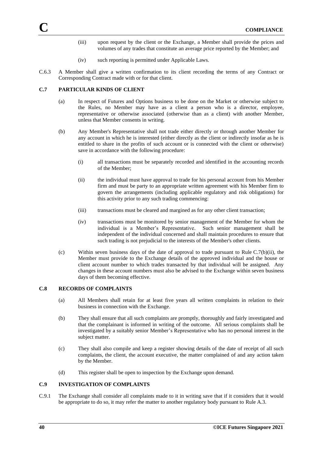- (iii) upon request by the client or the Exchange, a Member shall provide the prices and volumes of any trades that constitute an average price reported by the Member; and
- (iv) such reporting is permitted under Applicable Laws.
- C.6.3 A Member shall give a written confirmation to its client recording the terms of any Contract or Corresponding Contract made with or for that client.

### **C.7 PARTICULAR KINDS OF CLIENT**

- (a) In respect of Futures and Options business to be done on the Market or otherwise subject to the Rules, no Member may have as a client a person who is a director, employee, representative or otherwise associated (otherwise than as a client) with another Member, unless that Member consents in writing.
- (b) Any Member's Representative shall not trade either directly or through another Member for any account in which he is interested (either directly as the client or indirectly insofar as he is entitled to share in the profits of such account or is connected with the client or otherwise) save in accordance with the following procedure:
	- (i) all transactions must be separately recorded and identified in the accounting records of the Member;
	- (ii) the individual must have approval to trade for his personal account from his Member firm and must be party to an appropriate written agreement with his Member firm to govern the arrangements (including applicable regulatory and risk obligations) for this activity prior to any such trading commencing:
	- (iii) transactions must be cleared and margined as for any other client transaction;
	- (iv) transactions must be monitored by senior management of the Member for whom the individual is a Member's Representative. Such senior management shall be independent of the individual concerned and shall maintain procedures to ensure that such trading is not prejudicial to the interests of the Member's other clients.
- (c) Within seven business days of the date of approval to trade pursuant to Rule C.7(b)(ii), the Member must provide to the Exchange details of the approved individual and the house or client account number to which trades transacted by that individual will be assigned. Any changes in these account numbers must also be advised to the Exchange within seven business days of them becoming effective.

#### **C.8 RECORDS OF COMPLAINTS**

- (a) All Members shall retain for at least five years all written complaints in relation to their business in connection with the Exchange.
- (b) They shall ensure that all such complaints are promptly, thoroughly and fairly investigated and that the complainant is informed in writing of the outcome. All serious complaints shall be investigated by a suitably senior Member's Representative who has no personal interest in the subject matter.
- (c) They shall also compile and keep a register showing details of the date of receipt of all such complaints, the client, the account executive, the matter complained of and any action taken by the Member.
- (d) This register shall be open to inspection by the Exchange upon demand.

# **C.9 INVESTIGATION OF COMPLAINTS**

C.9.1 The Exchange shall consider all complaints made to it in writing save that if it considers that it would be appropriate to do so, it may refer the matter to another regulatory body pursuant to Rule A.3.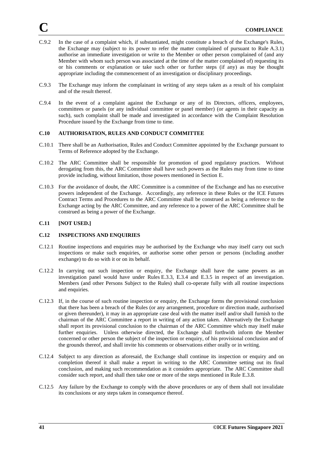- C.9.2 In the case of a complaint which, if substantiated, might constitute a breach of the Exchange's Rules, the Exchange may (subject to its power to refer the matter complained of pursuant to Rule A.3.1) authorise an immediate investigation or write to the Member or other person complained of (and any Member with whom such person was associated at the time of the matter complained of) requesting its or his comments or explanation or take such other or further steps (if any) as may be thought appropriate including the commencement of an investigation or disciplinary proceedings.
- C.9.3 The Exchange may inform the complainant in writing of any steps taken as a result of his complaint and of the result thereof.
- C.9.4 In the event of a complaint against the Exchange or any of its Directors, officers, employees, committees or panels (or any individual committee or panel member) (or agents in their capacity as such), such complaint shall be made and investigated in accordance with the Complaint Resolution Procedure issued by the Exchange from time to time.

### **C.10 AUTHORISATION, RULES AND CONDUCT COMMITTEE**

- C.10.1 There shall be an Authorisation, Rules and Conduct Committee appointed by the Exchange pursuant to Terms of Reference adopted by the Exchange.
- C.10.2 The ARC Committee shall be responsible for promotion of good regulatory practices. Without derogating from this, the ARC Committee shall have such powers as the Rules may from time to time provide including, without limitation, those powers mentioned in Section E.
- C.10.3 For the avoidance of doubt, the ARC Committee is a committee of the Exchange and has no executive powers independent of the Exchange. Accordingly, any reference in these Rules or the ICE Futures Contract Terms and Procedures to the ARC Committee shall be construed as being a reference to the Exchange acting by the ARC Committee, and any reference to a power of the ARC Committee shall be construed as being a power of the Exchange.

# **C.11 [NOT USED.]**

# **C.12 INSPECTIONS AND ENQUIRIES**

- C.12.1 Routine inspections and enquiries may be authorised by the Exchange who may itself carry out such inspections or make such enquiries, or authorise some other person or persons (including another exchange) to do so with it or on its behalf.
- C.12.2 In carrying out such inspection or enquiry, the Exchange shall have the same powers as an investigation panel would have under Rules E.3.3, E.3.4 and E.3.5 in respect of an investigation. Members (and other Persons Subject to the Rules) shall co-operate fully with all routine inspections and enquiries.
- C.12.3 If, in the course of such routine inspection or enquiry, the Exchange forms the provisional conclusion that there has been a breach of the Rules (or any arrangement, procedure or direction made, authorised or given thereunder), it may in an appropriate case deal with the matter itself and/or shall furnish to the chairman of the ARC Committee a report in writing of any action taken. Alternatively the Exchange shall report its provisional conclusion to the chairman of the ARC Committee which may itself make further enquiries. Unless otherwise directed, the Exchange shall forthwith inform the Member concerned or other person the subject of the inspection or enquiry, of his provisional conclusion and of the grounds thereof, and shall invite his comments or observations either orally or in writing.
- C.12.4 Subject to any direction as aforesaid, the Exchange shall continue its inspection or enquiry and on completion thereof it shall make a report in writing to the ARC Committee setting out its final conclusion, and making such recommendation as it considers appropriate. The ARC Committee shall consider such report, and shall then take one or more of the steps mentioned in Rule E.3.8.
- C.12.5 Any failure by the Exchange to comply with the above procedures or any of them shall not invalidate its conclusions or any steps taken in consequence thereof.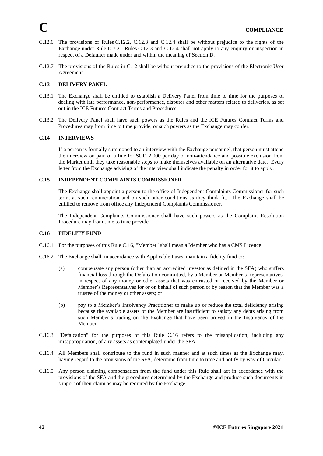- C.12.6 The provisions of Rules C.12.2, C.12.3 and C.12.4 shall be without prejudice to the rights of the Exchange under Rule D.7.2. Rules C.12.3 and C.12.4 shall not apply to any enquiry or inspection in respect of a Defaulter made under and within the meaning of Section D.
- C.12.7 The provisions of the Rules in C.12 shall be without prejudice to the provisions of the Electronic User Agreement.

### **C.13 DELIVERY PANEL**

- C.13.1 The Exchange shall be entitled to establish a Delivery Panel from time to time for the purposes of dealing with late performance, non-performance, disputes and other matters related to deliveries, as set out in the ICE Futures Contract Terms and Procedures.
- C.13.2 The Delivery Panel shall have such powers as the Rules and the ICE Futures Contract Terms and Procedures may from time to time provide, or such powers as the Exchange may confer.

#### **C.14 INTERVIEWS**

If a person is formally summoned to an interview with the Exchange personnel, that person must attend the interview on pain of a fine for SGD 2,000 per day of non-attendance and possible exclusion from the Market until they take reasonable steps to make themselves available on an alternative date. Every letter from the Exchange advising of the interview shall indicate the penalty in order for it to apply.

### **C.15 INDEPENDENT COMPLAINTS COMMISSIONER**

The Exchange shall appoint a person to the office of Independent Complaints Commissioner for such term, at such remuneration and on such other conditions as they think fit. The Exchange shall be entitled to remove from office any Independent Complaints Commissioner.

The Independent Complaints Commissioner shall have such powers as the Complaint Resolution Procedure may from time to time provide.

#### **C.16 FIDELITY FUND**

- C.16.1 For the purposes of this Rule C.16, "Member" shall mean a Member who has a CMS Licence.
- C.16.2 The Exchange shall, in accordance with Applicable Laws, maintain a fidelity fund to:
	- (a) compensate any person (other than an accredited investor as defined in the SFA) who suffers financial loss through the Defalcation committed, by a Member or Member's Representatives, in respect of any money or other assets that was entrusted or received by the Member or Member's Representatives for or on behalf of such person or by reason that the Member was a trustee of the money or other assets; or
	- (b) pay to a Member's Insolvency Practitioner to make up or reduce the total deficiency arising because the available assets of the Member are insufficient to satisfy any debts arising from such Member's trading on the Exchange that have been proved in the Insolvency of the Member.
- C.16.3 "Defalcation" for the purposes of this Rule C.16 refers to the misapplication, including any misappropriation, of any assets as contemplated under the SFA.
- C.16.4 All Members shall contribute to the fund in such manner and at such times as the Exchange may, having regard to the provisions of the SFA, determine from time to time and notify by way of Circular.
- C.16.5 Any person claiming compensation from the fund under this Rule shall act in accordance with the provisions of the SFA and the procedures determined by the Exchange and produce such documents in support of their claim as may be required by the Exchange.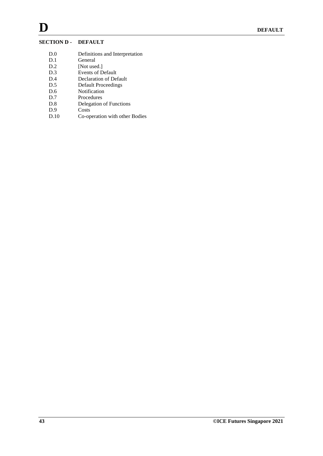# **SECTION D - DEFAULT**

- D.0 Definitions and Interpretation
- D.1 General<br>D.2 [Not use
- [Not used.]
- D.3 Events of Default
- D.4 Declaration of Default
- D.5 Default Proceedings
- D.6 Notification
- D.7 Procedures<br>D.8 Delegation
- D.8 Delegation of Functions<br>D.9 Costs
- D.9 Costs<br>D.10 Co-op
- Co-operation with other Bodies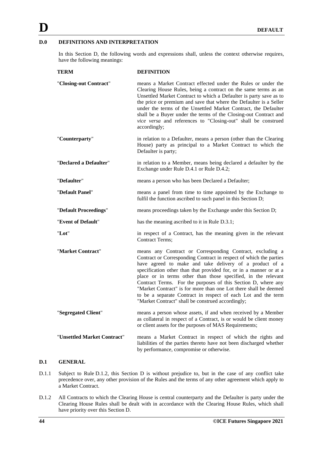# **D.0 DEFINITIONS AND INTERPRETATION**

In this Section D, the following words and expressions shall, unless the context otherwise requires, have the following meanings:

| <b>TERM</b>                 | <b>DEFINITION</b>                                                                                                                                                                                                                                                                                                                                                                                                                                                                                                                                                                            |
|-----------------------------|----------------------------------------------------------------------------------------------------------------------------------------------------------------------------------------------------------------------------------------------------------------------------------------------------------------------------------------------------------------------------------------------------------------------------------------------------------------------------------------------------------------------------------------------------------------------------------------------|
| "Closing-out Contract"      | means a Market Contract effected under the Rules or under the<br>Clearing House Rules, being a contract on the same terms as an<br>Unsettled Market Contract to which a Defaulter is party save as to<br>the price or premium and save that where the Defaulter is a Seller<br>under the terms of the Unsettled Market Contract, the Defaulter<br>shall be a Buyer under the terms of the Closing-out Contract and<br>vice versa and references to "Closing-out" shall be construed<br>accordingly;                                                                                          |
| "Counterparty"              | in relation to a Defaulter, means a person (other than the Clearing<br>House) party as principal to a Market Contract to which the<br>Defaulter is party;                                                                                                                                                                                                                                                                                                                                                                                                                                    |
| "Declared a Defaulter"      | in relation to a Member, means being declared a defaulter by the<br>Exchange under Rule D.4.1 or Rule D.4.2;                                                                                                                                                                                                                                                                                                                                                                                                                                                                                 |
| "Defaulter"                 | means a person who has been Declared a Defaulter;                                                                                                                                                                                                                                                                                                                                                                                                                                                                                                                                            |
| "Default Panel"             | means a panel from time to time appointed by the Exchange to<br>fulfil the function ascribed to such panel in this Section D;                                                                                                                                                                                                                                                                                                                                                                                                                                                                |
| "Default Proceedings"       | means proceedings taken by the Exchange under this Section D;                                                                                                                                                                                                                                                                                                                                                                                                                                                                                                                                |
| "Event of Default"          | has the meaning ascribed to it in Rule D.3.1;                                                                                                                                                                                                                                                                                                                                                                                                                                                                                                                                                |
| "Lot"                       | in respect of a Contract, has the meaning given in the relevant<br><b>Contract Terms;</b>                                                                                                                                                                                                                                                                                                                                                                                                                                                                                                    |
| "Market Contract"           | means any Contract or Corresponding Contract, excluding a<br>Contract or Corresponding Contract in respect of which the parties<br>have agreed to make and take delivery of a product of a<br>specification other than that provided for, or in a manner or at a<br>place or in terms other than those specified, in the relevant<br>Contract Terms. For the purposes of this Section D, where any<br>"Market Contract" is for more than one Lot there shall be deemed<br>to be a separate Contract in respect of each Lot and the term<br>"Market Contract" shall be construed accordingly; |
| "Segregated Client"         | means a person whose assets, if and when received by a Member<br>as collateral in respect of a Contract, is or would be client money<br>or client assets for the purposes of MAS Requirements;                                                                                                                                                                                                                                                                                                                                                                                               |
| "Unsettled Market Contract" | means a Market Contract in respect of which the rights and<br>liabilities of the parties thereto have not been discharged whether<br>by performance, compromise or otherwise.                                                                                                                                                                                                                                                                                                                                                                                                                |

### **D.1 GENERAL**

- D.1.1 Subject to Rule D.1.2, this Section D is without prejudice to, but in the case of any conflict take precedence over, any other provision of the Rules and the terms of any other agreement which apply to a Market Contract.
- D.1.2 All Contracts to which the Clearing House is central counterparty and the Defaulter is party under the Clearing House Rules shall be dealt with in accordance with the Clearing House Rules, which shall have priority over this Section D.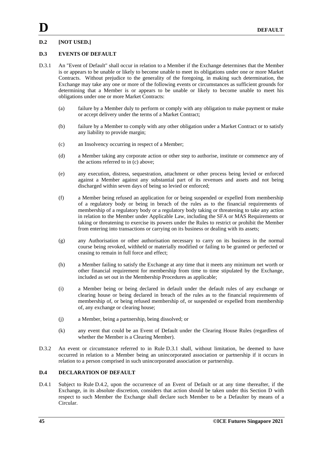# **D.2 [NOT USED.]**

# **D.3 EVENTS OF DEFAULT**

- D.3.1 An "Event of Default" shall occur in relation to a Member if the Exchange determines that the Member is or appears to be unable or likely to become unable to meet its obligations under one or more Market Contracts. Without prejudice to the generality of the foregoing, in making such determination, the Exchange may take any one or more of the following events or circumstances as sufficient grounds for determining that a Member is or appears to be unable or likely to become unable to meet his obligations under one or more Market Contracts:
	- (a) failure by a Member duly to perform or comply with any obligation to make payment or make or accept delivery under the terms of a Market Contract;
	- (b) failure by a Member to comply with any other obligation under a Market Contract or to satisfy any liability to provide margin;
	- (c) an Insolvency occurring in respect of a Member;
	- (d) a Member taking any corporate action or other step to authorise, institute or commence any of the actions referred to in (c) above;
	- (e) any execution, distress, sequestration, attachment or other process being levied or enforced against a Member against any substantial part of its revenues and assets and not being discharged within seven days of being so levied or enforced;
	- (f) a Member being refused an application for or being suspended or expelled from membership of a regulatory body or being in breach of the rules as to the financial requirements of membership of a regulatory body or a regulatory body taking or threatening to take any action in relation to the Member under Applicable Law, including the SFA or MAS Requirements or taking or threatening to exercise its powers under the Rules to restrict or prohibit the Member from entering into transactions or carrying on its business or dealing with its assets;
	- (g) any Authorisation or other authorisation necessary to carry on its business in the normal course being revoked, withheld or materially modified or failing to be granted or perfected or ceasing to remain in full force and effect;
	- (h) a Member failing to satisfy the Exchange at any time that it meets any minimum net worth or other financial requirement for membership from time to time stipulated by the Exchange, included as set out in the Membership Procedures as applicable;
	- (i) a Member being or being declared in default under the default rules of any exchange or clearing house or being declared in breach of the rules as to the financial requirements of membership of, or being refused membership of, or suspended or expelled from membership of, any exchange or clearing house;
	- (j) a Member, being a partnership, being dissolved; or
	- (k) any event that could be an Event of Default under the Clearing House Rules (regardless of whether the Member is a Clearing Member).
- D.3.2 An event or circumstance referred to in Rule D.3.1 shall, without limitation, be deemed to have occurred in relation to a Member being an unincorporated association or partnership if it occurs in relation to a person comprised in such unincorporated association or partnership.

# **D.4 DECLARATION OF DEFAULT**

D.4.1 Subject to Rule D.4.2, upon the occurrence of an Event of Default or at any time thereafter, if the Exchange, in its absolute discretion, considers that action should be taken under this Section D with respect to such Member the Exchange shall declare such Member to be a Defaulter by means of a Circular.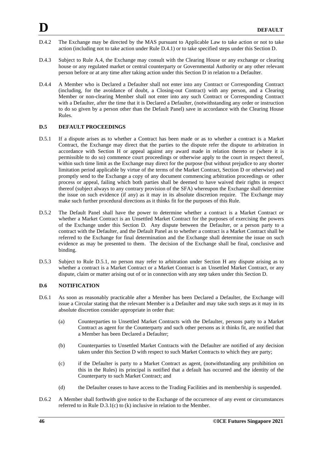- D.4.2 The Exchange may be directed by the MAS pursuant to Applicable Law to take action or not to take action (including not to take action under Rule D.4.1) or to take specified steps under this Section D.
- D.4.3 Subject to Rule A.4, the Exchange may consult with the Clearing House or any exchange or clearing house or any regulated market or central counterparty or Governmental Authority or any other relevant person before or at any time after taking action under this Section D in relation to a Defaulter.
- D.4.4 A Member who is Declared a Defaulter shall not enter into any Contract or Corresponding Contract (including, for the avoidance of doubt, a Closing-out Contract) with any person, and a Clearing Member or non-clearing Member shall not enter into any such Contract or Corresponding Contract with a Defaulter, after the time that it is Declared a Defaulter, (notwithstanding any order or instruction to do so given by a person other than the Default Panel) save in accordance with the Clearing House Rules.

#### **D.5 DEFAULT PROCEEDINGS**

- D.5.1 If a dispute arises as to whether a Contract has been made or as to whether a contract is a Market Contract, the Exchange may direct that the parties to the dispute refer the dispute to arbitration in accordance with Section H or appeal against any award made in relation thereto or (where it is permissible to do so) commence court proceedings or otherwise apply to the court in respect thereof, within such time limit as the Exchange may direct for the purpose (but without prejudice to any shorter limitation period applicable by virtue of the terms of the Market Contract, Section D or otherwise) and promptly send to the Exchange a copy of any document commencing arbitration proceedings or other process or appeal, failing which both parties shall be deemed to have waived their rights in respect thereof (subject always to any contrary provision of the SFA) whereupon the Exchange shall determine the issue on such evidence (if any) as it may in its absolute discretion require. The Exchange may make such further procedural directions as it thinks fit for the purposes of this Rule.
- D.5.2 The Default Panel shall have the power to determine whether a contract is a Market Contract or whether a Market Contract is an Unsettled Market Contract for the purposes of exercising the powers of the Exchange under this Section D. Any dispute between the Defaulter, or a person party to a contract with the Defaulter, and the Default Panel as to whether a contract is a Market Contract shall be referred to the Exchange for final determination and the Exchange shall determine the issue on such evidence as may be presented to them. The decision of the Exchange shall be final, conclusive and binding.
- D.5.3 Subject to Rule D.5.1, no person may refer to arbitration under Section H any dispute arising as to whether a contract is a Market Contract or a Market Contract is an Unsettled Market Contract, or any dispute, claim or matter arising out of or in connection with any step taken under this Section D.

#### **D.6 NOTIFICATION**

- D.6.1 As soon as reasonably practicable after a Member has been Declared a Defaulter, the Exchange will issue a Circular stating that the relevant Member is a Defaulter and may take such steps as it may in its absolute discretion consider appropriate in order that:
	- (a) Counterparties to Unsettled Market Contracts with the Defaulter, persons party to a Market Contract as agent for the Counterparty and such other persons as it thinks fit, are notified that a Member has been Declared a Defaulter;
	- (b) Counterparties to Unsettled Market Contracts with the Defaulter are notified of any decision taken under this Section D with respect to such Market Contracts to which they are party;
	- (c) if the Defaulter is party to a Market Contract as agent, (notwithstanding any prohibition on this in the Rules) its principal is notified that a default has occurred and the identity of the Counterparty to such Market Contract; and
	- (d) the Defaulter ceases to have access to the Trading Facilities and its membership is suspended.
- D.6.2 A Member shall forthwith give notice to the Exchange of the occurrence of any event or circumstances referred to in Rule D.3.1(c) to (k) inclusive in relation to the Member.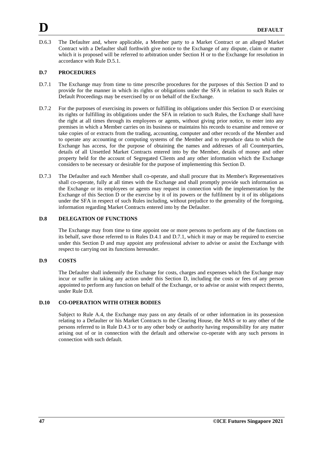D.6.3 The Defaulter and, where applicable, a Member party to a Market Contract or an alleged Market Contract with a Defaulter shall forthwith give notice to the Exchange of any dispute, claim or matter which it is proposed will be referred to arbitration under Section H or to the Exchange for resolution in accordance with Rule D.5.1.

# **D.7 PROCEDURES**

- D.7.1 The Exchange may from time to time prescribe procedures for the purposes of this Section D and to provide for the manner in which its rights or obligations under the SFA in relation to such Rules or Default Proceedings may be exercised by or on behalf of the Exchange.
- D.7.2 For the purposes of exercising its powers or fulfilling its obligations under this Section D or exercising its rights or fulfilling its obligations under the SFA in relation to such Rules, the Exchange shall have the right at all times through its employees or agents, without giving prior notice, to enter into any premises in which a Member carries on its business or maintains his records to examine and remove or take copies of or extracts from the trading, accounting, computer and other records of the Member and to operate any accounting or computing systems of the Member and to reproduce data to which the Exchange has access, for the purpose of obtaining the names and addresses of all Counterparties, details of all Unsettled Market Contracts entered into by the Member, details of money and other property held for the account of Segregated Clients and any other information which the Exchange considers to be necessary or desirable for the purpose of implementing this Section D.
- D.7.3 The Defaulter and each Member shall co-operate, and shall procure that its Member's Representatives shall co-operate, fully at all times with the Exchange and shall promptly provide such information as the Exchange or its employees or agents may request in connection with the implementation by the Exchange of this Section D or the exercise by it of its powers or the fulfilment by it of its obligations under the SFA in respect of such Rules including, without prejudice to the generality of the foregoing, information regarding Market Contracts entered into by the Defaulter.

#### **D.8 DELEGATION OF FUNCTIONS**

The Exchange may from time to time appoint one or more persons to perform any of the functions on its behalf, save those referred to in Rules D.4.1 and D.7.1, which it may or may be required to exercise under this Section D and may appoint any professional adviser to advise or assist the Exchange with respect to carrying out its functions hereunder.

# **D.9 COSTS**

The Defaulter shall indemnify the Exchange for costs, charges and expenses which the Exchange may incur or suffer in taking any action under this Section D, including the costs or fees of any person appointed to perform any function on behalf of the Exchange, or to advise or assist with respect thereto, under Rule D.8.

### **D.10 CO-OPERATION WITH OTHER BODIES**

Subject to Rule A.4, the Exchange may pass on any details of or other information in its possession relating to a Defaulter or his Market Contracts to the Clearing House, the MAS or to any other of the persons referred to in Rule D.4.3 or to any other body or authority having responsibility for any matter arising out of or in connection with the default and otherwise co-operate with any such persons in connection with such default.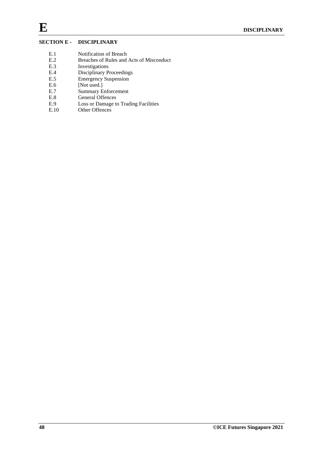# **SECTION E - DISCIPLINARY**

- 
- E.1 Notification of Breach<br>E.2 Breaches of Rules and E.2 Breaches of Rules and Acts of Misconduct<br>E.3 Investigations
- E.3 Investigations<br>E.4 Disciplinary P
- Disciplinary Proceedings
- E.5 Emergency Suspension
- E.6 [Not used.]
- E.7 Summary Enforcement
- E.8 General Offences<br>E.9 Loss or Damage to
- E.9 Loss or Damage to Trading Facilities<br>E.10 Other Offences
- Other Offences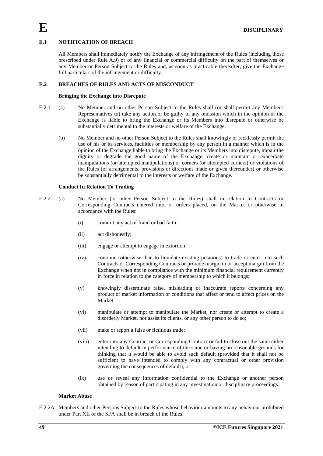# **E.1 NOTIFICATION OF BREACH**

All Members shall immediately notify the Exchange of any infringement of the Rules (including those prescribed under Rule A.9) or of any financial or commercial difficulty on the part of themselves or any Member or Person Subject to the Rules and, as soon as practicable thereafter, give the Exchange full particulars of the infringement or difficulty.

### **E.2 BREACHES OF RULES AND ACTS OF MISCONDUCT**

#### **Bringing the Exchange into Disrepute**

- E.2.1 (a) No Member and no other Person Subject to the Rules shall (or shall permit any Member's Representatives to) take any action or be guilty of any omission which in the opinion of the Exchange is liable to bring the Exchange or its Members into disrepute or otherwise be substantially detrimental to the interests or welfare of the Exchange.
	- (b) No Member and no other Person Subject to the Rules shall knowingly or recklessly permit the use of his or its services, facilities or membership by any person in a manner which is in the opinion of the Exchange liable to bring the Exchange or its Members into disrepute, impair the dignity or degrade the good name of the Exchange, create or maintain or exacerbate manipulations (or attempted manipulations) or corners (or attempted corners) or violations of the Rules (or arrangements, provisions or directions made or given thereunder) or otherwise be substantially detrimental to the interests or welfare of the Exchange.

#### **Conduct In Relation To Trading**

- E.2.2 (a) No Member (or other Person Subject to the Rules) shall in relation to Contracts or Corresponding Contracts entered into, or orders placed, on the Market or otherwise in accordance with the Rules:
	- (i) commit any act of fraud or bad faith;
	- (ii) act dishonestly;
	- (iii) engage or attempt to engage in extortion;
	- (iv) continue (otherwise than to liquidate existing positions) to trade or enter into such Contracts or Corresponding Contracts or provide margin to or accept margin from the Exchange when not in compliance with the minimum financial requirement currently in force in relation to the category of membership to which it belongs;
	- (v) knowingly disseminate false, misleading or inaccurate reports concerning any product or market information or conditions that affect or tend to affect prices on the Market:
	- (vi) manipulate or attempt to manipulate the Market, nor create or attempt to create a disorderly Market, nor assist its clients, or any other person to do so;
	- (vii) make or report a false or fictitious trade;
	- (viii) enter into any Contract or Corresponding Contract or fail to close out the same either intending to default in performance of the same or having no reasonable grounds for thinking that it would be able to avoid such default (provided that it shall not be sufficient to have intended to comply with any contractual or other provision governing the consequences of default); or
	- (ix) use or reveal any information confidential to the Exchange or another person obtained by reason of participating in any investigation or disciplinary proceedings.

#### **Market Abuse**

E.2.2A Members and other Persons Subject to the Rules whose behaviour amounts to any behaviour prohibited under Part XII of the SFA shall be in breach of the Rules.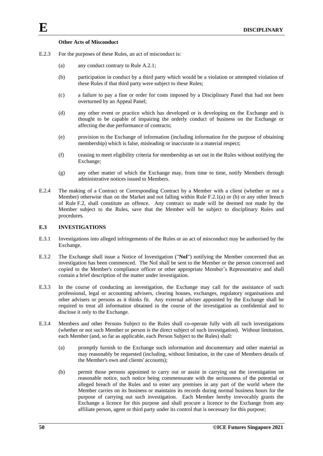### **Other Acts of Misconduct**

- E.2.3 For the purposes of these Rules, an act of misconduct is:
	- (a) any conduct contrary to Rule A.2.1;
	- (b) participation in conduct by a third party which would be a violation or attempted violation of these Rules if that third party were subject to these Rules;
	- (c) a failure to pay a fine or order for costs imposed by a Disciplinary Panel that had not been overturned by an Appeal Panel;
	- (d) any other event or practice which has developed or is developing on the Exchange and is thought to be capable of impairing the orderly conduct of business on the Exchange or affecting the due performance of contracts;
	- (e) provision to the Exchange of information (including information for the purpose of obtaining membership) which is false, misleading or inaccurate in a material respect;
	- (f) ceasing to meet eligibility criteria for membership as set out in the Rules without notifying the Exchange;
	- (g) any other matter of which the Exchange may, from time to time, notify Members through administrative notices issued to Members.
- E.2.4 The making of a Contract or Corresponding Contract by a Member with a client (whether or not a Member) otherwise than on the Market and not falling within Rule F.2.1(a) or (b) or any other breach of Rule F.2, shall constitute an offence. Any contract so made will be deemed not made by the Member subject to the Rules, save that the Member will be subject to disciplinary Rules and procedures.

# **E.3 INVESTIGATIONS**

- E.3.1 Investigations into alleged infringements of the Rules or an act of misconduct may be authorised by the Exchange.
- E.3.2 The Exchange shall issue a Notice of Investigation ("**NoI**") notifying the Member concerned that an investigation has been commenced. The NoI shall be sent to the Member or the person concerned and copied to the Member's compliance officer or other appropriate Member's Representative and shall contain a brief description of the matter under investigation.
- E.3.3 In the course of conducting an investigation, the Exchange may call for the assistance of such professional, legal or accounting advisers, clearing houses, exchanges, regulatory organisations and other advisers or persons as it thinks fit. Any external adviser appointed by the Exchange shall be required to treat all information obtained in the course of the investigation as confidential and to disclose it only to the Exchange.
- E.3.4 Members and other Persons Subject to the Rules shall co-operate fully with all such investigations (whether or not such Member or person is the direct subject of such investigation). Without limitation, each Member (and, so far as applicable, each Person Subject to the Rules) shall:
	- (a) promptly furnish to the Exchange such information and documentary and other material as may reasonably be requested (including, without limitation, in the case of Members details of the Member's own and clients' accounts);
	- (b) permit those persons appointed to carry out or assist in carrying out the investigation on reasonable notice, such notice being commensurate with the seriousness of the potential or alleged breach of the Rules and to enter any premises in any part of the world where the Member carries on its business or maintains its records during normal business hours for the purpose of carrying out such investigation. Each Member hereby irrevocably grants the Exchange a licence for this purpose and shall procure a licence to the Exchange from any affiliate person, agent or third party under its control that is necessary for this purpose;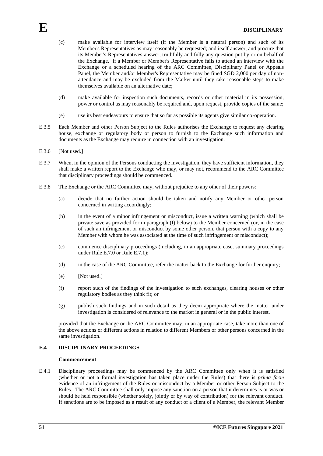- (c) make available for interview itself (if the Member is a natural person) and such of its Member's Representatives as may reasonably be requested; and itself answer, and procure that its Member's Representatives answer, truthfully and fully any question put by or on behalf of the Exchange. If a Member or Member's Representative fails to attend an interview with the Exchange or a scheduled hearing of the ARC Committee, Disciplinary Panel or Appeals Panel, the Member and/or Member's Representative may be fined SGD 2,000 per day of nonattendance and may be excluded from the Market until they take reasonable steps to make themselves available on an alternative date;
- (d) make available for inspection such documents, records or other material in its possession, power or control as may reasonably be required and, upon request, provide copies of the same;
- (e) use its best endeavours to ensure that so far as possible its agents give similar co-operation.
- E.3.5 Each Member and other Person Subject to the Rules authorises the Exchange to request any clearing house, exchange or regulatory body or person to furnish to the Exchange such information and documents as the Exchange may require in connection with an investigation.
- E.3.6 [Not used.]
- E.3.7 When, in the opinion of the Persons conducting the investigation, they have sufficient information, they shall make a written report to the Exchange who may, or may not, recommend to the ARC Committee that disciplinary proceedings should be commenced.
- E.3.8 The Exchange or the ARC Committee may, without prejudice to any other of their powers:
	- (a) decide that no further action should be taken and notify any Member or other person concerned in writing accordingly;
	- (b) in the event of a minor infringement or misconduct, issue a written warning (which shall be private save as provided for in paragraph (f) below) to the Member concerned (or, in the case of such an infringement or misconduct by some other person, that person with a copy to any Member with whom he was associated at the time of such infringement or misconduct);
	- (c) commence disciplinary proceedings (including, in an appropriate case, summary proceedings under Rule E.7.0 or Rule E.7.1);
	- (d) in the case of the ARC Committee, refer the matter back to the Exchange for further enquiry;
	- (e) [Not used.]
	- (f) report such of the findings of the investigation to such exchanges, clearing houses or other regulatory bodies as they think fit; or
	- (g) publish such findings and in such detail as they deem appropriate where the matter under investigation is considered of relevance to the market in general or in the public interest,

provided that the Exchange or the ARC Committee may, in an appropriate case, take more than one of the above actions or different actions in relation to different Members or other persons concerned in the same investigation.

# **E.4 DISCIPLINARY PROCEEDINGS**

#### **Commencement**

E.4.1 Disciplinary proceedings may be commenced by the ARC Committee only when it is satisfied (whether or not a formal investigation has taken place under the Rules) that there is *prima facie* evidence of an infringement of the Rules or misconduct by a Member or other Person Subject to the Rules. The ARC Committee shall only impose any sanction on a person that it determines is or was or should be held responsible (whether solely, jointly or by way of contribution) for the relevant conduct. If sanctions are to be imposed as a result of any conduct of a client of a Member, the relevant Member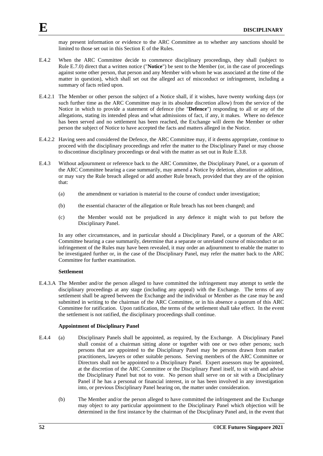may present information or evidence to the ARC Committee as to whether any sanctions should be limited to those set out in this Section E of the Rules.

- E.4.2 When the ARC Committee decide to commence disciplinary proceedings, they shall (subject to Rule E.7.0) direct that a written notice ("**Notice**") be sent to the Member (or, in the case of proceedings against some other person, that person and any Member with whom he was associated at the time of the matter in question), which shall set out the alleged act of misconduct or infringement, including a summary of facts relied upon.
- E.4.2.1 The Member or other person the subject of a Notice shall, if it wishes, have twenty working days (or such further time as the ARC Committee may in its absolute discretion allow) from the service of the Notice in which to provide a statement of defence (the "**Defence**") responding to all or any of the allegations, stating its intended pleas and what admissions of fact, if any, it makes. Where no defence has been served and no settlement has been reached, the Exchange will deem the Member or other person the subject of Notice to have accepted the facts and matters alleged in the Notice.
- E.4.2.2 Having seen and considered the Defence, the ARC Committee may, if it deems appropriate, continue to proceed with the disciplinary proceedings and refer the matter to the Disciplinary Panel or may choose to discontinue disciplinary proceedings or deal with the matter as set out in Rule E.3.8.
- E.4.3 Without adjournment or reference back to the ARC Committee, the Disciplinary Panel, or a quorum of the ARC Committee hearing a case summarily, may amend a Notice by deletion, alteration or addition, or may vary the Rule breach alleged or add another Rule breach, provided that they are of the opinion that:
	- (a) the amendment or variation is material to the course of conduct under investigation;
	- (b) the essential character of the allegation or Rule breach has not been changed; and
	- (c) the Member would not be prejudiced in any defence it might wish to put before the Disciplinary Panel.

In any other circumstances, and in particular should a Disciplinary Panel, or a quorum of the ARC Committee hearing a case summarily, determine that a separate or unrelated course of misconduct or an infringement of the Rules may have been revealed, it may order an adjournment to enable the matter to be investigated further or, in the case of the Disciplinary Panel, may refer the matter back to the ARC Committee for further examination.

### **Settlement**

E.4.3.A The Member and/or the person alleged to have committed the infringement may attempt to settle the disciplinary proceedings at any stage (including any appeal) with the Exchange. The terms of any settlement shall be agreed between the Exchange and the individual or Member as the case may be and submitted in writing to the chairman of the ARC Committee, or in his absence a quorum of this ARC Committee for ratification. Upon ratification, the terms of the settlement shall take effect. In the event the settlement is not ratified, the disciplinary proceedings shall continue.

#### **Appointment of Disciplinary Panel**

- E.4.4 (a) Disciplinary Panels shall be appointed, as required, by the Exchange. A Disciplinary Panel shall consist of a chairman sitting alone or together with one or two other persons; such persons that are appointed to the Disciplinary Panel may be persons drawn from market practitioners, lawyers or other suitable persons. Serving members of the ARC Committee or Directors shall not be appointed to a Disciplinary Panel. Expert assessors may be appointed, at the discretion of the ARC Committee or the Disciplinary Panel itself, to sit with and advise the Disciplinary Panel but not to vote. No person shall serve on or sit with a Disciplinary Panel if he has a personal or financial interest, in or has been involved in any investigation into, or previous Disciplinary Panel hearing on, the matter under consideration.
	- (b) The Member and/or the person alleged to have committed the infringement and the Exchange may object to any particular appointment to the Disciplinary Panel which objection will be determined in the first instance by the chairman of the Disciplinary Panel and, in the event that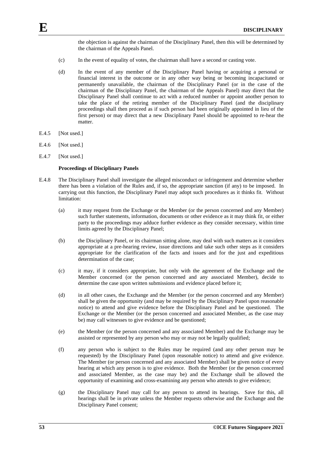the objection is against the chairman of the Disciplinary Panel, then this will be determined by the chairman of the Appeals Panel.

- (c) In the event of equality of votes, the chairman shall have a second or casting vote.
- (d) In the event of any member of the Disciplinary Panel having or acquiring a personal or financial interest in the outcome or in any other way being or becoming incapacitated or permanently unavailable, the chairman of the Disciplinary Panel (or in the case of the chairman of the Disciplinary Panel, the chairman of the Appeals Panel) may direct that the Disciplinary Panel shall continue to act with a reduced number or appoint another person to take the place of the retiring member of the Disciplinary Panel (and the disciplinary proceedings shall then proceed as if such person had been originally appointed in lieu of the first person) or may direct that a new Disciplinary Panel should be appointed to re-hear the matter.
- E.4.5 [Not used.]
- E.4.6 [Not used.]
- E.4.7 [Not used.]

#### **Proceedings of Disciplinary Panels**

- E.4.8 The Disciplinary Panel shall investigate the alleged misconduct or infringement and determine whether there has been a violation of the Rules and, if so, the appropriate sanction (if any) to be imposed. In carrying out this function, the Disciplinary Panel may adopt such procedures as it thinks fit. Without limitation:
	- (a) it may request from the Exchange or the Member (or the person concerned and any Member) such further statements, information, documents or other evidence as it may think fit, or either party to the proceedings may adduce further evidence as they consider necessary, within time limits agreed by the Disciplinary Panel;
	- (b) the Disciplinary Panel, or its chairman sitting alone, may deal with such matters as it considers appropriate at a pre-hearing review, issue directions and take such other steps as it considers appropriate for the clarification of the facts and issues and for the just and expeditious determination of the case;
	- (c) it may, if it considers appropriate, but only with the agreement of the Exchange and the Member concerned (or the person concerned and any associated Member), decide to determine the case upon written submissions and evidence placed before it;
	- (d) in all other cases, the Exchange and the Member (or the person concerned and any Member) shall be given the opportunity (and may be required by the Disciplinary Panel upon reasonable notice) to attend and give evidence before the Disciplinary Panel and be questioned. The Exchange or the Member (or the person concerned and associated Member, as the case may be) may call witnesses to give evidence and be questioned;
	- (e) the Member (or the person concerned and any associated Member) and the Exchange may be assisted or represented by any person who may or may not be legally qualified;
	- (f) any person who is subject to the Rules may be required (and any other person may be requested) by the Disciplinary Panel (upon reasonable notice) to attend and give evidence. The Member (or person concerned and any associated Member) shall be given notice of every hearing at which any person is to give evidence. Both the Member (or the person concerned and associated Member, as the case may be) and the Exchange shall be allowed the opportunity of examining and cross-examining any person who attends to give evidence;
	- (g) the Disciplinary Panel may call for any person to attend its hearings. Save for this, all hearings shall be in private unless the Member requests otherwise and the Exchange and the Disciplinary Panel consent;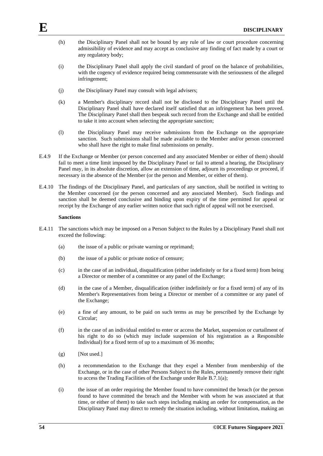- (h) the Disciplinary Panel shall not be bound by any rule of law or court procedure concerning admissibility of evidence and may accept as conclusive any finding of fact made by a court or any regulatory body;
- (i) the Disciplinary Panel shall apply the civil standard of proof on the balance of probabilities, with the cogency of evidence required being commensurate with the seriousness of the alleged infringement;
- (j) the Disciplinary Panel may consult with legal advisers;
- (k) a Member's disciplinary record shall not be disclosed to the Disciplinary Panel until the Disciplinary Panel shall have declared itself satisfied that an infringement has been proved. The Disciplinary Panel shall then bespeak such record from the Exchange and shall be entitled to take it into account when selecting the appropriate sanction;
- (l) the Disciplinary Panel may receive submissions from the Exchange on the appropriate sanction. Such submissions shall be made available to the Member and/or person concerned who shall have the right to make final submissions on penalty.
- E.4.9 If the Exchange or Member (or person concerned and any associated Member or either of them) should fail to meet a time limit imposed by the Disciplinary Panel or fail to attend a hearing, the Disciplinary Panel may, in its absolute discretion, allow an extension of time, adjourn its proceedings or proceed, if necessary in the absence of the Member (or the person and Member, or either of them).
- E.4.10 The findings of the Disciplinary Panel, and particulars of any sanction, shall be notified in writing to the Member concerned (or the person concerned and any associated Member). Such findings and sanction shall be deemed conclusive and binding upon expiry of the time permitted for appeal or receipt by the Exchange of any earlier written notice that such right of appeal will not be exercised.

#### **Sanctions**

- E.4.11 The sanctions which may be imposed on a Person Subject to the Rules by a Disciplinary Panel shall not exceed the following:
	- (a) the issue of a public or private warning or reprimand;
	- (b) the issue of a public or private notice of censure;
	- (c) in the case of an individual, disqualification (either indefinitely or for a fixed term) from being a Director or member of a committee or any panel of the Exchange;
	- (d) in the case of a Member, disqualification (either indefinitely or for a fixed term) of any of its Member's Representatives from being a Director or member of a committee or any panel of the Exchange;
	- (e) a fine of any amount, to be paid on such terms as may be prescribed by the Exchange by Circular;
	- (f) in the case of an individual entitled to enter or access the Market, suspension or curtailment of his right to do so (which may include suspension of his registration as a Responsible Individual) for a fixed term of up to a maximum of 36 months;
	- $(g)$  [Not used.]
	- (h) a recommendation to the Exchange that they expel a Member from membership of the Exchange, or in the case of other Persons Subject to the Rules, permanently remove their right to access the Trading Facilities of the Exchange under Rule B.7.1(a);
	- (i) the issue of an order requiring the Member found to have committed the breach (or the person found to have committed the breach and the Member with whom he was associated at that time, or either of them) to take such steps including making an order for compensation, as the Disciplinary Panel may direct to remedy the situation including, without limitation, making an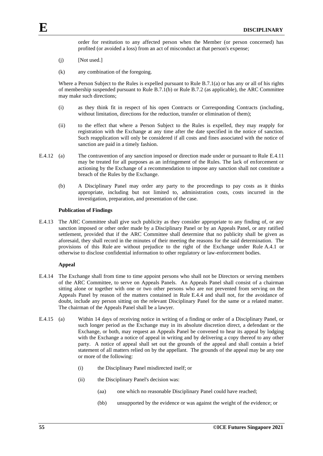order for restitution to any affected person when the Member (or person concerned) has profited (or avoided a loss) from an act of misconduct at that person's expense;

- (j) [Not used.]
- (k) any combination of the foregoing.

Where a Person Subject to the Rules is expelled pursuant to Rule B.7.1(a) or has any or all of his rights of membership suspended pursuant to Rule B.7.1(b) or Rule B.7.2 (as applicable), the ARC Committee may make such directions;

- (i) as they think fit in respect of his open Contracts or Corresponding Contracts (including, without limitation, directions for the reduction, transfer or elimination of them);
- (ii) to the effect that where a Person Subject to the Rules is expelled, they may reapply for registration with the Exchange at any time after the date specified in the notice of sanction. Such reapplication will only be considered if all costs and fines associated with the notice of sanction are paid in a timely fashion.
- E.4.12 (a) The contravention of any sanction imposed or direction made under or pursuant to Rule E.4.11 may be treated for all purposes as an infringement of the Rules. The lack of enforcement or actioning by the Exchange of a recommendation to impose any sanction shall not constitute a breach of the Rules by the Exchange.
	- (b) A Disciplinary Panel may order any party to the proceedings to pay costs as it thinks appropriate, including but not limited to, administration costs, costs incurred in the investigation, preparation, and presentation of the case.

### **Publication of Findings**

E.4.13 The ARC Committee shall give such publicity as they consider appropriate to any finding of, or any sanction imposed or other order made by a Disciplinary Panel or by an Appeals Panel, or any ratified settlement, provided that if the ARC Committee shall determine that no publicity shall be given as aforesaid, they shall record in the minutes of their meeting the reasons for the said determination. The provisions of this Rule are without prejudice to the right of the Exchange under Rule A.4.1 or otherwise to disclose confidential information to other regulatory or law-enforcement bodies.

#### **Appeal**

- E.4.14 The Exchange shall from time to time appoint persons who shall not be Directors or serving members of the ARC Committee, to serve on Appeals Panels. An Appeals Panel shall consist of a chairman sitting alone or together with one or two other persons who are not prevented from serving on the Appeals Panel by reason of the matters contained in Rule E.4.4 and shall not, for the avoidance of doubt, include any person sitting on the relevant Disciplinary Panel for the same or a related matter. The chairman of the Appeals Panel shall be a lawyer.
- E.4.15 (a) Within 14 days of receiving notice in writing of a finding or order of a Disciplinary Panel, or such longer period as the Exchange may in its absolute discretion direct, a defendant or the Exchange, or both, may request an Appeals Panel be convened to hear its appeal by lodging with the Exchange a notice of appeal in writing and by delivering a copy thereof to any other party. A notice of appeal shall set out the grounds of the appeal and shall contain a brief statement of all matters relied on by the appellant. The grounds of the appeal may be any one or more of the following:
	- (i) the Disciplinary Panel misdirected itself; or
	- (ii) the Disciplinary Panel's decision was:
		- (aa) one which no reasonable Disciplinary Panel could have reached;
		- (bb) unsupported by the evidence or was against the weight of the evidence; or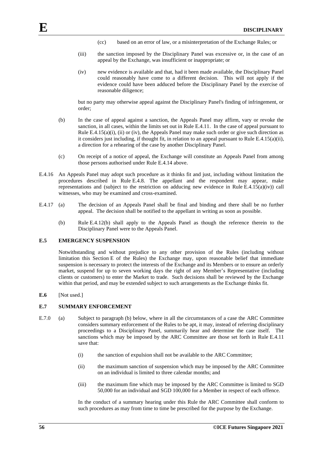- (cc) based on an error of law, or a misinterpretation of the Exchange Rules; or
- (iii) the sanction imposed by the Disciplinary Panel was excessive or, in the case of an appeal by the Exchange, was insufficient or inappropriate; or
- (iv) new evidence is available and that, had it been made available, the Disciplinary Panel could reasonably have come to a different decision. This will not apply if the evidence could have been adduced before the Disciplinary Panel by the exercise of reasonable diligence;

but no party may otherwise appeal against the Disciplinary Panel's finding of infringement, or order;

- (b) In the case of appeal against a sanction, the Appeals Panel may affirm, vary or revoke the sanction, in all cases, within the limits set out in Rule E.4.11. In the case of appeal pursuant to Rule E.4.15(a)(i), (ii) or (iv), the Appeals Panel may make such order or give such direction as it considers just including, if thought fit, in relation to an appeal pursuant to Rule E.4.15(a)(ii), a direction for a rehearing of the case by another Disciplinary Panel.
- (c) On receipt of a notice of appeal, the Exchange will constitute an Appeals Panel from among those persons authorised under Rule E.4.14 above.
- E.4.16 An Appeals Panel may adopt such procedure as it thinks fit and just, including without limitation the procedures described in Rule E.4.8. The appellant and the respondent may appear, make representations and (subject to the restriction on adducing new evidence in Rule  $E.4.15(a)(iv)$ ) call witnesses, who may be examined and cross-examined.
- E.4.17 (a) The decision of an Appeals Panel shall be final and binding and there shall be no further appeal. The decision shall be notified to the appellant in writing as soon as possible.
	- (b) Rule E.4.12(b) shall apply to the Appeals Panel as though the reference therein to the Disciplinary Panel were to the Appeals Panel.

#### **E.5 EMERGENCY SUSPENSION**

Notwithstanding and without prejudice to any other provision of the Rules (including without limitation this Section E of the Rules) the Exchange may, upon reasonable belief that immediate suspension is necessary to protect the interests of the Exchange and its Members or to ensure an orderly market, suspend for up to seven working days the right of any Member's Representative (including clients or customers) to enter the Market to trade. Such decisions shall be reviewed by the Exchange within that period, and may be extended subject to such arrangements as the Exchange thinks fit.

**E.6** [Not used.]

# **E.7 SUMMARY ENFORCEMENT**

- E.7.0 (a) Subject to paragraph (b) below, where in all the circumstances of a case the ARC Committee considers summary enforcement of the Rules to be apt, it may, instead of referring disciplinary proceedings to a Disciplinary Panel, summarily hear and determine the case itself. The sanctions which may be imposed by the ARC Committee are those set forth in Rule E.4.11 save that:
	- (i) the sanction of expulsion shall not be available to the ARC Committee;
	- (ii) the maximum sanction of suspension which may be imposed by the ARC Committee on an individual is limited to three calendar months; and
	- (iii) the maximum fine which may be imposed by the ARC Committee is limited to SGD 50,000 for an individual and SGD 100,000 for a Member in respect of each offence.

In the conduct of a summary hearing under this Rule the ARC Committee shall conform to such procedures as may from time to time be prescribed for the purpose by the Exchange.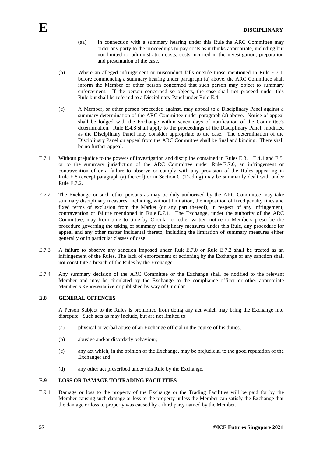- (aa) In connection with a summary hearing under this Rule the ARC Committee may order any party to the proceedings to pay costs as it thinks appropriate, including but not limited to, administration costs, costs incurred in the investigation, preparation and presentation of the case.
- (b) Where an alleged infringement or misconduct falls outside those mentioned in Rule E.7.1, before commencing a summary hearing under paragraph (a) above, the ARC Committee shall inform the Member or other person concerned that such person may object to summary enforcement. If the person concerned so objects, the case shall not proceed under this Rule but shall be referred to a Disciplinary Panel under Rule E.4.1.
- (c) A Member, or other person proceeded against, may appeal to a Disciplinary Panel against a summary determination of the ARC Committee under paragraph (a) above. Notice of appeal shall be lodged with the Exchange within seven days of notification of the Committee's determination. Rule E.4.8 shall apply to the proceedings of the Disciplinary Panel, modified as the Disciplinary Panel may consider appropriate to the case. The determination of the Disciplinary Panel on appeal from the ARC Committee shall be final and binding. There shall be no further appeal.
- E.7.1 Without prejudice to the powers of investigation and discipline contained in Rules E.3.1, E.4.1 and E.5, or to the summary jurisdiction of the ARC Committee under Rule E.7.0, an infringement or contravention of or a failure to observe or comply with any provision of the Rules appearing in Rule E.8 (except paragraph (a) thereof) or in Section G (Trading) may be summarily dealt with under Rule E.7.2.
- E.7.2 The Exchange or such other persons as may be duly authorised by the ARC Committee may take summary disciplinary measures, including, without limitation, the imposition of fixed penalty fines and fixed terms of exclusion from the Market (or any part thereof), in respect of any infringement, contravention or failure mentioned in Rule E.7.1. The Exchange, under the authority of the ARC Committee, may from time to time by Circular or other written notice to Members prescribe the procedure governing the taking of summary disciplinary measures under this Rule, any procedure for appeal and any other matter incidental thereto, including the limitation of summary measures either generally or in particular classes of case.
- E.7.3 A failure to observe any sanction imposed under Rule E.7.0 or Rule E.7.2 shall be treated as an infringement of the Rules. The lack of enforcement or actioning by the Exchange of any sanction shall not constitute a breach of the Rules by the Exchange.
- E.7.4 Any summary decision of the ARC Committee or the Exchange shall be notified to the relevant Member and may be circulated by the Exchange to the compliance officer or other appropriate Member's Representative or published by way of Circular.

# **E.8 GENERAL OFFENCES**

A Person Subject to the Rules is prohibited from doing any act which may bring the Exchange into disrepute. Such acts as may include, but are not limited to:

- (a) physical or verbal abuse of an Exchange official in the course of his duties;
- (b) abusive and/or disorderly behaviour;
- (c) any act which, in the opinion of the Exchange, may be prejudicial to the good reputation of the Exchange; and
- (d) any other act prescribed under this Rule by the Exchange.

#### **E.9 LOSS OR DAMAGE TO TRADING FACILITIES**

E.9.1 Damage or loss to the property of the Exchange or the Trading Facilities will be paid for by the Member causing such damage or loss to the property unless the Member can satisfy the Exchange that the damage or loss to property was caused by a third party named by the Member.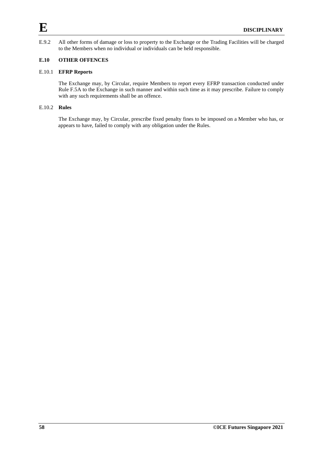E.9.2 All other forms of damage or loss to property to the Exchange or the Trading Facilities will be charged to the Members when no individual or individuals can be held responsible.

# **E.10 OTHER OFFENCES**

# E.10.1 **EFRP Reports**

The Exchange may, by Circular, require Members to report every EFRP transaction conducted under Rule F.5A to the Exchange in such manner and within such time as it may prescribe. Failure to comply with any such requirements shall be an offence.

# E.10.2 **Rules**

The Exchange may, by Circular, prescribe fixed penalty fines to be imposed on a Member who has, or appears to have, failed to comply with any obligation under the Rules.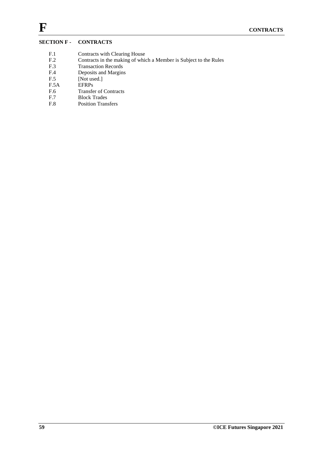# **SECTION F - CONTRACTS**

- F.1 Contracts with Clearing House<br>F.2 Contracts in the making of which
- F.2 Contracts in the making of which a Member is Subject to the Rules<br>F.3 Transaction Records
- F.3 Transaction Records<br>F.4 Deposits and Margins
- Deposits and Margins
- F.5 [Not used.]
- F.5A EFRPs
- F.6 Transfer of Contracts
- F.7 Block Trades<br>F.8 Position Trans
- Position Transfers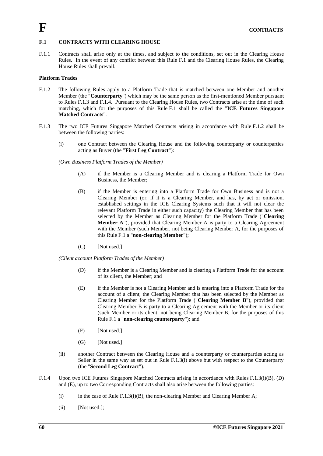# **F.1 CONTRACTS WITH CLEARING HOUSE**

F.1.1 Contracts shall arise only at the times, and subject to the conditions, set out in the Clearing House Rules. In the event of any conflict between this Rule F.1 and the Clearing House Rules, the Clearing House Rules shall prevail.

# **Platform Trades**

- F.1.2 The following Rules apply to a Platform Trade that is matched between one Member and another Member (the "**Counterparty**") which may be the same person as the first-mentioned Member pursuant to Rules F.1.3 and F.1.4. Pursuant to the Clearing House Rules, two Contracts arise at the time of such matching, which for the purposes of this Rule F.1 shall be called the "**ICE Futures Singapore Matched Contracts**".
- F.1.3 The two ICE Futures Singapore Matched Contracts arising in accordance with Rule F.1.2 shall be between the following parties:
	- (i) one Contract between the Clearing House and the following counterparty or counterparties acting as Buyer (the "**First Leg Contract**"):

#### *(Own Business Platform Trades of the Member)*

- (A) if the Member is a Clearing Member and is clearing a Platform Trade for Own Business, the Member;
- (B) if the Member is entering into a Platform Trade for Own Business and is not a Clearing Member (or, if it is a Clearing Member, and has, by act or omission, established settings in the ICE Clearing Systems such that it will not clear the relevant Platform Trade in either such capacity) the Clearing Member that has been selected by the Member as Clearing Member for the Platform Trade ("**Clearing Member A**"), provided that Clearing Member A is party to a Clearing Agreement with the Member (such Member, not being Clearing Member A, for the purposes of this Rule F.1 a "**non-clearing Member**");
- (C) [Not used.]

*(Client account Platform Trades of the Member)*

- (D) if the Member is a Clearing Member and is clearing a Platform Trade for the account of its client, the Member; and
- (E) if the Member is not a Clearing Member and is entering into a Platform Trade for the account of a client, the Clearing Member that has been selected by the Member as Clearing Member for the Platform Trade ("**Clearing Member B**"), provided that Clearing Member B is party to a Clearing Agreement with the Member or its client (such Member or its client, not being Clearing Member B, for the purposes of this Rule F.1 a "**non-clearing counterparty**"); and
- (F) [Not used.]
- (G) [Not used.]
- (ii) another Contract between the Clearing House and a counterparty or counterparties acting as Seller in the same way as set out in Rule F.1.3(i) above but with respect to the Counterparty (the "**Second Leg Contract**").
- F.1.4 Upon two ICE Futures Singapore Matched Contracts arising in accordance with Rules F.1.3(i)(B), (D) and (E), up to two Corresponding Contracts shall also arise between the following parties:
	- (i) in the case of Rule F.1.3(i)(B), the non-clearing Member and Clearing Member A;
	- (ii) [Not used.];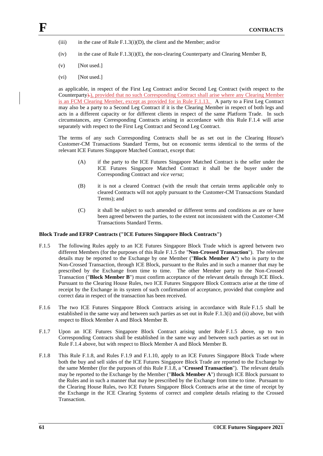- (iii) in the case of Rule F.1.3(i)(D), the client and the Member; and/or
- (iv) in the case of Rule F.1.3(i)(E), the non-clearing Counterparty and Clearing Member B,
- $(v)$  [Not used.]
- (vi) [Not used.]

as applicable, in respect of the First Leg Contract and/or Second Leg Contract (with respect to the Counterparty).), provided that no such Corresponding Contract shall arise where any Clearing Member is an FCM Clearing Member, except as provided for in Rule F.1.13. A party to a First Leg Contract may also be a party to a Second Leg Contract if it is the Clearing Member in respect of both legs and acts in a different capacity or for different clients in respect of the same Platform Trade. In such circumstances, any Corresponding Contracts arising in accordance with this Rule F.1.4 will arise separately with respect to the First Leg Contract and Second Leg Contract.

The terms of any such Corresponding Contracts shall be as set out in the Clearing House's Customer-CM Transactions Standard Terms, but on economic terms identical to the terms of the relevant ICE Futures Singapore Matched Contract, except that:

- (A) if the party to the ICE Futures Singapore Matched Contract is the seller under the ICE Futures Singapore Matched Contract it shall be the buyer under the Corresponding Contract and *vice versa*;
- (B) it is not a cleared Contract (with the result that certain terms applicable only to cleared Contracts will not apply pursuant to the Customer-CM Transactions Standard Terms); and
- (C) it shall be subject to such amended or different terms and conditions as are or have been agreed between the parties, to the extent not inconsistent with the Customer-CM Transactions Standard Terms.

### **Block Trade and EFRP Contracts ("ICE Futures Singapore Block Contracts")**

- F.1.5 The following Rules apply to an ICE Futures Singapore Block Trade which is agreed between two different Members (for the purposes of this Rule F.1.5 the "**Non-Crossed Transaction**"). The relevant details may be reported to the Exchange by one Member ("**Block Member A**") who is party to the Non-Crossed Transaction, through ICE Block, pursuant to the Rules and in such a manner that may be prescribed by the Exchange from time to time. The other Member party to the Non-Crossed Transaction ("**Block Member B**") must confirm acceptance of the relevant details through ICE Block. Pursuant to the Clearing House Rules, two ICE Futures Singapore Block Contracts arise at the time of receipt by the Exchange in its system of such confirmation of acceptance, provided that complete and correct data in respect of the transaction has been received.
- F.1.6 The two ICE Futures Singapore Block Contracts arising in accordance with Rule F.1.5 shall be established in the same way and between such parties as set out in Rule F.1.3(i) and (ii) above, but with respect to Block Member A and Block Member B.
- F.1.7 Upon an ICE Futures Singapore Block Contract arising under Rule F.1.5 above, up to two Corresponding Contracts shall be established in the same way and between such parties as set out in Rule F.1.4 above, but with respect to Block Member A and Block Member B.
- F.1.8 This Rule F.1.8, and Rules F.1.9 and F.1.10, apply to an ICE Futures Singapore Block Trade where both the buy and sell sides of the ICE Futures Singapore Block Trade are reported to the Exchange by the same Member (for the purposes of this Rule F.1.8, a "**Crossed Transaction**"). The relevant details may be reported to the Exchange by the Member ("**Block Member A**") through ICE Block pursuant to the Rules and in such a manner that may be prescribed by the Exchange from time to time. Pursuant to the Clearing House Rules, two ICE Futures Singapore Block Contracts arise at the time of receipt by the Exchange in the ICE Clearing Systems of correct and complete details relating to the Crossed Transaction.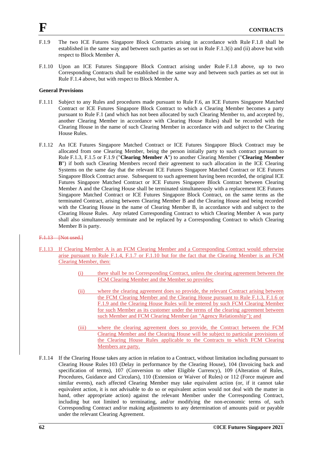- F.1.9 The two ICE Futures Singapore Block Contracts arising in accordance with Rule F.1.8 shall be established in the same way and between such parties as set out in Rule F.1.3(i) and (ii) above but with respect to Block Member A.
- F.1.10 Upon an ICE Futures Singapore Block Contract arising under Rule F.1.8 above, up to two Corresponding Contracts shall be established in the same way and between such parties as set out in Rule F.1.4 above, but with respect to Block Member A.

# **General Provisions**

- F.1.11 Subject to any Rules and procedures made pursuant to Rule F.6, an ICE Futures Singapore Matched Contract or ICE Futures Singapore Block Contract to which a Clearing Member becomes a party pursuant to Rule F.1 (and which has not been allocated by such Clearing Member to, and accepted by, another Clearing Member in accordance with Clearing House Rules) shall be recorded with the Clearing House in the name of such Clearing Member in accordance with and subject to the Clearing House Rules.
- F.1.12 An ICE Futures Singapore Matched Contract or ICE Futures Singapore Block Contract may be allocated from one Clearing Member, being the person initially party to such contract pursuant to Rule F.1.3, F.1.5 or F.1.9 ("**Clearing Member A**") to another Clearing Member ("**Clearing Member B**") if both such Clearing Members record their agreement to such allocation in the ICE Clearing Systems on the same day that the relevant ICE Futures Singapore Matched Contract or ICE Futures Singapore Block Contract arose. Subsequent to such agreement having been recorded, the original ICE Futures Singapore Matched Contract or ICE Futures Singapore Block Contract between Clearing Member A and the Clearing House shall be terminated simultaneously with a replacement ICE Futures Singapore Matched Contract or ICE Futures Singapore Block Contract, on the same terms as the terminated Contract, arising between Clearing Member B and the Clearing House and being recorded with the Clearing House in the name of Clearing Member B, in accordance with and subject to the Clearing House Rules. Any related Corresponding Contract to which Clearing Member A was party shall also simultaneously terminate and be replaced by a Corresponding Contract to which Clearing Member B is party.
- F.1.13 [Not used.]
- F.1.13 If Clearing Member A is an FCM Clearing Member and a Corresponding Contract would otherwise arise pursuant to Rule F.1.4, F.1.7 or F.1.10 but for the fact that the Clearing Member is an FCM Clearing Member, then:
	- (i) there shall be no Corresponding Contract, unless the clearing agreement between the FCM Clearing Member and the Member so provides;
	- (ii) where the clearing agreement does so provide, the relevant Contract arising between the FCM Clearing Member and the Clearing House pursuant to Rule F.1.3, F.1.6 or F.1.9 and the Clearing House Rules will be entered by such FCM Clearing Member for such Member as its customer under the terms of the clearing agreement between such Member and FCM Clearing Member (an "Agency Relationship"); and
	- (iii) where the clearing agreement does so provide, the Contract between the FCM Clearing Member and the Clearing House will be subject to particular provisions of the Clearing House Rules applicable to the Contracts to which FCM Clearing Members are party.
- F.1.14 If the Clearing House takes any action in relation to a Contract, without limitation including pursuant to Clearing House Rules 103 (Delay in performance by the Clearing House), 104 (Invoicing back and specification of terms), 107 (Conversion to other Eligible Currency), 109 (Alteration of Rules, Procedures, Guidance and Circulars), 110 (Extension or Waiver of Rules) or 112 (Force majeure and similar events), each affected Clearing Member may take equivalent action (or, if it cannot take equivalent action, it is not advisable to do so or equivalent action would not deal with the matter in hand, other appropriate action) against the relevant Member under the Corresponding Contract, including but not limited to terminating, and/or modifying the non-economic terms of, such Corresponding Contract and/or making adjustments to any determination of amounts paid or payable under the relevant Clearing Agreement.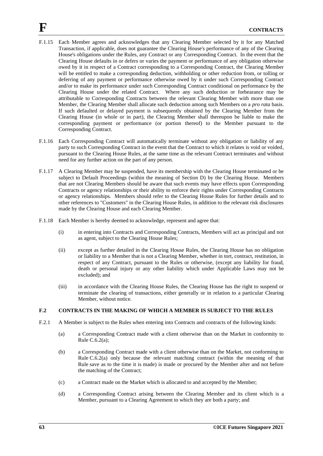- F.1.15 Each Member agrees and acknowledges that any Clearing Member selected by it for any Matched Transaction, if applicable, does not guarantee the Clearing House's performance of any of the Clearing House's obligations under the Rules, any Contract or any Corresponding Contract. In the event that the Clearing House defaults in or defers or varies the payment or performance of any obligation otherwise owed by it in respect of a Contract corresponding to a Corresponding Contract, the Clearing Member will be entitled to make a corresponding deduction, withholding or other reduction from, or tolling or deferring of any payment or performance otherwise owed by it under such Corresponding Contract and/or to make its performance under such Corresponding Contract conditional on performance by the Clearing House under the related Contract. Where any such deduction or forbearance may be attributable to Corresponding Contracts between the relevant Clearing Member with more than one Member, the Clearing Member shall allocate such deduction among such Members on a *pro rata* basis. If such defaulted or delayed payment is subsequently obtained by the Clearing Member from the Clearing House (in whole or in part), the Clearing Member shall thereupon be liable to make the corresponding payment or performance (or portion thereof) to the Member pursuant to the Corresponding Contract.
- F.1.16 Each Corresponding Contract will automatically terminate without any obligation or liability of any party to such Corresponding Contract in the event that the Contract to which it relates is void or voided, pursuant to the Clearing House Rules, at the same time as the relevant Contract terminates and without need for any further action on the part of any person.
- F.1.17 A Clearing Member may be suspended, have its membership with the Clearing House terminated or be subject to Default Proceedings (within the meaning of Section D) by the Clearing House. Members that are not Clearing Members should be aware that such events may have effects upon Corresponding Contracts or agency relationships or their ability to enforce their rights under Corresponding Contracts or agency relationships. Members should refer to the Clearing House Rules for further details and to other references to "Customers" in the Clearing House Rules, in addition to the relevant risk disclosures made by the Clearing House and each Clearing Member.
- F.1.18 Each Member is hereby deemed to acknowledge, represent and agree that:
	- (i) in entering into Contracts and Corresponding Contracts, Members will act as principal and not as agent, subject to the Clearing House Rules;
	- (ii) except as further detailed in the Clearing House Rules, the Clearing House has no obligation or liability to a Member that is not a Clearing Member, whether in tort, contract, restitution, in respect of any Contract, pursuant to the Rules or otherwise, (except any liability for fraud, death or personal injury or any other liability which under Applicable Laws may not be excluded); and
	- (iii) in accordance with the Clearing House Rules, the Clearing House has the right to suspend or terminate the clearing of transactions, either generally or in relation to a particular Clearing Member, without notice.

# **F.2 CONTRACTS IN THE MAKING OF WHICH A MEMBER IS SUBJECT TO THE RULES**

- F.2.1 A Member is subject to the Rules when entering into Contracts and contracts of the following kinds:
	- (a) a Corresponding Contract made with a client otherwise than on the Market in conformity to Rule C.6.2(a);
	- (b) a Corresponding Contract made with a client otherwise than on the Market, not conforming to Rule C.6.2(a) only because the relevant matching contract (within the meaning of that Rule save as to the time it is made) is made or procured by the Member after and not before the matching of the Contract;
	- (c) a Contract made on the Market which is allocated to and accepted by the Member;
	- (d) a Corresponding Contract arising between the Clearing Member and its client which is a Member, pursuant to a Clearing Agreement to which they are both a party; and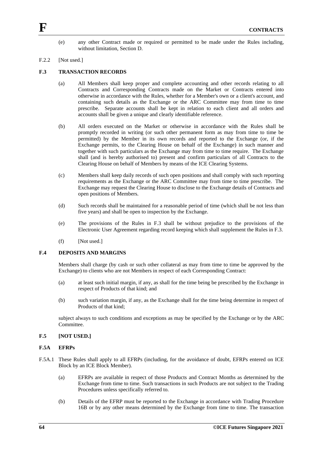(e) any other Contract made or required or permitted to be made under the Rules including, without limitation, Section D.

#### F.2.2 [Not used.]

### **F.3 TRANSACTION RECORDS**

- (a) All Members shall keep proper and complete accounting and other records relating to all Contracts and Corresponding Contracts made on the Market or Contracts entered into otherwise in accordance with the Rules, whether for a Member's own or a client's account, and containing such details as the Exchange or the ARC Committee may from time to time prescribe. Separate accounts shall be kept in relation to each client and all orders and accounts shall be given a unique and clearly identifiable reference.
- (b) All orders executed on the Market or otherwise in accordance with the Rules shall be promptly recorded in writing (or such other permanent form as may from time to time be permitted) by the Member in its own records and reported to the Exchange (or, if the Exchange permits, to the Clearing House on behalf of the Exchange) in such manner and together with such particulars as the Exchange may from time to time require. The Exchange shall (and is hereby authorised to) present and confirm particulars of all Contracts to the Clearing House on behalf of Members by means of the ICE Clearing Systems.
- (c) Members shall keep daily records of such open positions and shall comply with such reporting requirements as the Exchange or the ARC Committee may from time to time prescribe. The Exchange may request the Clearing House to disclose to the Exchange details of Contracts and open positions of Members.
- (d) Such records shall be maintained for a reasonable period of time (which shall be not less than five years) and shall be open to inspection by the Exchange.
- (e) The provisions of the Rules in F.3 shall be without prejudice to the provisions of the Electronic User Agreement regarding record keeping which shall supplement the Rules in F.3.
- $(f)$  [Not used.]

### **F.4 DEPOSITS AND MARGINS**

Members shall charge (by cash or such other collateral as may from time to time be approved by the Exchange) to clients who are not Members in respect of each Corresponding Contract:

- (a) at least such initial margin, if any, as shall for the time being be prescribed by the Exchange in respect of Products of that kind; and
- (b) such variation margin, if any, as the Exchange shall for the time being determine in respect of Products of that kind;

subject always to such conditions and exceptions as may be specified by the Exchange or by the ARC Committee.

#### **F.5 [NOT USED.]**

### **F.5A EFRPs**

- F.5A.1 These Rules shall apply to all EFRPs (including, for the avoidance of doubt, EFRPs entered on ICE Block by an ICE Block Member).
	- (a) EFRPs are available in respect of those Products and Contract Months as determined by the Exchange from time to time. Such transactions in such Products are not subject to the Trading Procedures unless specifically referred to.
	- (b) Details of the EFRP must be reported to the Exchange in accordance with Trading Procedure 16B or by any other means determined by the Exchange from time to time. The transaction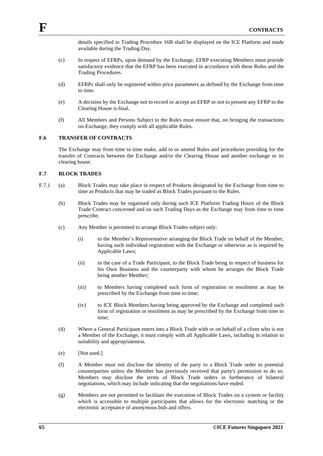details specified in Trading Procedure 16B shall be displayed on the ICE Platform and made available during the Trading Day.

- (c) In respect of EFRPs, upon demand by the Exchange, EFRP executing Members must provide satisfactory evidence that the EFRP has been executed in accordance with these Rules and the Trading Procedures.
- (d) EFRPs shall only be registered within price parameters as defined by the Exchange from time to time.
- (e) A decision by the Exchange not to record or accept an EFRP or not to present any EFRP to the Clearing House is final.
- (f) All Members and Persons Subject to the Rules must ensure that, on bringing the transactions on-Exchange, they comply with all applicable Rules.

#### **F.6 TRANSFER OF CONTRACTS**

The Exchange may from time to time make, add to or amend Rules and procedures providing for the transfer of Contracts between the Exchange and/or the Clearing House and another exchange or its clearing house.

### **F.7 BLOCK TRADES**

- F.7.1 (a) Block Trades may take place in respect of Products designated by the Exchange from time to time as Products that may be traded as Block Trades pursuant to the Rules.
	- (b) Block Trades may be organised only during such ICE Platform Trading Hours of the Block Trade Contract concerned and on such Trading Days as the Exchange may from time to time prescribe.
	- (c) Any Member is permitted to arrange Block Trades subject only:
		- (i) to the Member's Representative arranging the Block Trade on behalf of the Member, having such individual registration with the Exchange or otherwise as is required by Applicable Laws;
		- (ii) in the case of a Trade Participant, to the Block Trade being in respect of business for his Own Business and the counterparty with whom he arranges the Block Trade being another Member;
		- (iii) to Members having completed such form of registration or enrolment as may be prescribed by the Exchange from time to time;
		- (iv) to ICE Block Members having being approved by the Exchange and completed such form of registration or enrolment as may be prescribed by the Exchange from time to time;
	- (d) Where a General Participant enters into a Block Trade with or on behalf of a client who is not a Member of the Exchange, it must comply with all Applicable Laws, including in relation to suitability and appropriateness.
	- (e) [Not used.]
	- (f) A Member must not disclose the identity of the party to a Block Trade order to potential counterparties unless the Member has previously received that party's permission to do so. Members may disclose the terms of Block Trade orders in furtherance of bilateral negotiations, which may include indicating that the negotiations have ended.
	- (g) Members are not permitted to facilitate the execution of Block Trades on a system or facility which is accessible to multiple participants that allows for the electronic matching or the electronic acceptance of anonymous bids and offers.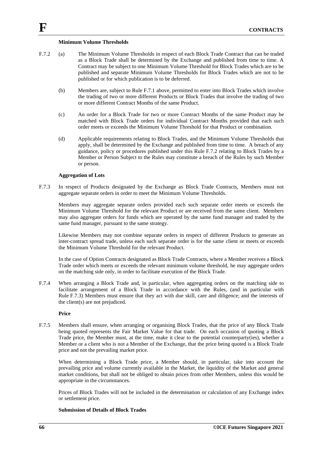#### **Minimum Volume Thresholds**

- F.7.2 (a) The Minimum Volume Thresholds in respect of each Block Trade Contract that can be traded as a Block Trade shall be determined by the Exchange and published from time to time. A Contract may be subject to one Minimum Volume Threshold for Block Trades which are to be published and separate Minimum Volume Thresholds for Block Trades which are not to be published or for which publication is to be deferred.
	- (b) Members are, subject to Rule F.7.1 above, permitted to enter into Block Trades which involve the trading of two or more different Products or Block Trades that involve the trading of two or more different Contract Months of the same Product.
	- (c) An order for a Block Trade for two or more Contract Months of the same Product may be matched with Block Trade orders for individual Contract Months provided that each such order meets or exceeds the Minimum Volume Threshold for that Product or combination.
	- (d) Applicable requirements relating to Block Trades, and the Minimum Volume Thresholds that apply, shall be determined by the Exchange and published from time to time. A breach of any guidance, policy or procedures published under this Rule F.7.2 relating to Block Trades by a Member or Person Subject to the Rules may constitute a breach of the Rules by such Member or person.

#### **Aggregation of Lots**

F.7.3 In respect of Products designated by the Exchange as Block Trade Contracts, Members must not aggregate separate orders in order to meet the Minimum Volume Thresholds.

Members may aggregate separate orders provided each such separate order meets or exceeds the Minimum Volume Threshold for the relevant Product or are received from the same client. Members may also aggregate orders for funds which are operated by the same fund manager and traded by the same fund manager, pursuant to the same strategy.

Likewise Members may not combine separate orders in respect of different Products to generate an inter-contract spread trade, unless each such separate order is for the same client or meets or exceeds the Minimum Volume Threshold for the relevant Product.

In the case of Option Contracts designated as Block Trade Contracts, where a Member receives a Block Trade order which meets or exceeds the relevant minimum volume threshold, he may aggregate orders on the matching side only, in order to facilitate execution of the Block Trade.

F.7.4 When arranging a Block Trade and, in particular, when aggregating orders on the matching side to facilitate arrangement of a Block Trade in accordance with the Rules, (and in particular with Rule F.7.3) Members must ensure that they act with due skill, care and diligence; and the interests of the client(s) are not prejudiced.

#### **Price**

F.7.5 Members shall ensure, when arranging or organising Block Trades, that the price of any Block Trade being quoted represents the Fair Market Value for that trade*.* On each occasion of quoting a Block Trade price, the Member must, at the time, make it clear to the potential counterparty(ies), whether a Member or a client who is not a Member of the Exchange, that the price being quoted is a Block Trade price and not the prevailing market price.

When determining a Block Trade price, a Member should, in particular, take into account the prevailing price and volume currently available in the Market, the liquidity of the Market and general market conditions, but shall not be obliged to obtain prices from other Members, unless this would be appropriate in the circumstances.

Prices of Block Trades will not be included in the determination or calculation of any Exchange index or settlement price.

### **Submission of Details of Block Trades**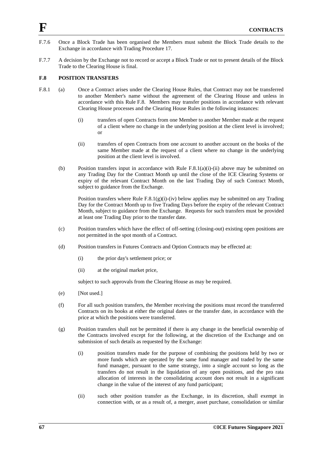- F.7.6 Once a Block Trade has been organised the Members must submit the Block Trade details to the Exchange in accordance with Trading Procedure 17.
- F.7.7 A decision by the Exchange not to record or accept a Block Trade or not to present details of the Block Trade to the Clearing House is final.

### **F.8 POSITION TRANSFERS**

- F.8.1 (a) Once a Contract arises under the Clearing House Rules, that Contract may not be transferred to another Member's name without the agreement of the Clearing House and unless in accordance with this Rule F.8. Members may transfer positions in accordance with relevant Clearing House processes and the Clearing House Rules in the following instances:
	- (i) transfers of open Contracts from one Member to another Member made at the request of a client where no change in the underlying position at the client level is involved; or
	- (ii) transfers of open Contracts from one account to another account on the books of the same Member made at the request of a client where no change in the underlying position at the client level is involved.
	- (b) Position transfers input in accordance with Rule  $F.8.1(a)(i)-(ii)$  above may be submitted on any Trading Day for the Contract Month up until the close of the ICE Clearing Systems or expiry of the relevant Contract Month on the last Trading Day of such Contract Month, subject to guidance from the Exchange.

Position transfers where Rule  $F(0,1)(g)(i)$ -(iv) below applies may be submitted on any Trading Day for the Contract Month up to five Trading Days before the expiry of the relevant Contract Month, subject to guidance from the Exchange. Requests for such transfers must be provided at least one Trading Day prior to the transfer date.

- (c) Position transfers which have the effect of off-setting (closing-out) existing open positions are not permitted in the spot month of a Contract.
- (d) Position transfers in Futures Contracts and Option Contracts may be effected at:
	- (i) the prior day's settlement price; or
	- (ii) at the original market price,

subject to such approvals from the Clearing House as may be required.

- (e) [Not used.]
- (f) For all such position transfers, the Member receiving the positions must record the transferred Contracts on its books at either the original dates or the transfer date, in accordance with the price at which the positions were transferred.
- (g) Position transfers shall not be permitted if there is any change in the beneficial ownership of the Contracts involved except for the following, at the discretion of the Exchange and on submission of such details as requested by the Exchange:
	- (i) position transfers made for the purpose of combining the positions held by two or more funds which are operated by the same fund manager and traded by the same fund manager, pursuant to the same strategy, into a single account so long as the transfers do not result in the liquidation of any open positions, and the pro rata allocation of interests in the consolidating account does not result in a significant change in the value of the interest of any fund participant;
	- (ii) such other position transfer as the Exchange, in its discretion, shall exempt in connection with, or as a result of, a merger, asset purchase, consolidation or similar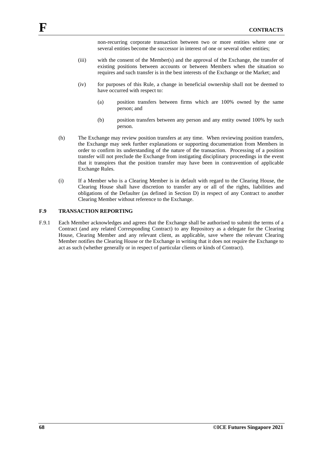non-recurring corporate transaction between two or more entities where one or several entities become the successor in interest of one or several other entities;

- (iii) with the consent of the Member(s) and the approval of the Exchange, the transfer of existing positions between accounts or between Members when the situation so requires and such transfer is in the best interests of the Exchange or the Market; and
- (iv) for purposes of this Rule, a change in beneficial ownership shall not be deemed to have occurred with respect to:
	- (a) position transfers between firms which are 100% owned by the same person; and
	- (b) position transfers between any person and any entity owned 100% by such person.
- (h) The Exchange may review position transfers at any time. When reviewing position transfers, the Exchange may seek further explanations or supporting documentation from Members in order to confirm its understanding of the nature of the transaction. Processing of a position transfer will not preclude the Exchange from instigating disciplinary proceedings in the event that it transpires that the position transfer may have been in contravention of applicable Exchange Rules.
- (i) If a Member who is a Clearing Member is in default with regard to the Clearing House, the Clearing House shall have discretion to transfer any or all of the rights, liabilities and obligations of the Defaulter (as defined in Section D) in respect of any Contract to another Clearing Member without reference to the Exchange.

# **F.9 TRANSACTION REPORTING**

F.9.1 Each Member acknowledges and agrees that the Exchange shall be authorised to submit the terms of a Contract (and any related Corresponding Contract) to any Repository as a delegate for the Clearing House, Clearing Member and any relevant client, as applicable, save where the relevant Clearing Member notifies the Clearing House or the Exchange in writing that it does not require the Exchange to act as such (whether generally or in respect of particular clients or kinds of Contract).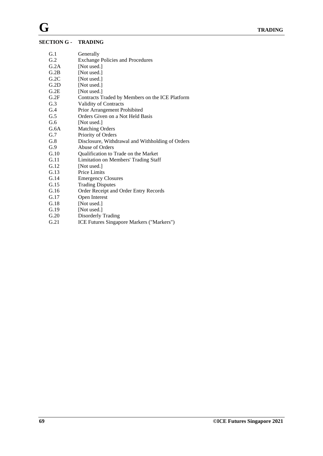# $SECTI$

|      | <b>TION G - TRADING</b>                          |
|------|--------------------------------------------------|
| G.1  | Generally                                        |
| G.2  | <b>Exchange Policies and Procedures</b>          |
| G.2A | [Not used.]                                      |
| G.2B | [Not used.]                                      |
| G.2C | [Not used.]                                      |
| G.2D | [Not used.]                                      |
| G.2E | [Not used.]                                      |
| G.2F | Contracts Traded by Members on the ICE Platform  |
| G.3  | Validity of Contracts                            |
| G.4  | Prior Arrangement Prohibited                     |
| G.5  | Orders Given on a Not Held Basis                 |
| G.6  | [Not used.]                                      |
| G.6A | <b>Matching Orders</b>                           |
| G.7  | Priority of Orders                               |
| G.8  | Disclosure, Withdrawal and Withholding of Orders |
| G.9  | Abuse of Orders                                  |
| G.10 | Qualification to Trade on the Market             |
| G.11 | Limitation on Members' Trading Staff             |
| G.12 | [Not used.]                                      |
| G.13 | Price Limits                                     |
| G.14 | <b>Emergency Closures</b>                        |
| G.15 | <b>Trading Disputes</b>                          |
| G.16 | Order Receipt and Order Entry Records            |
| G.17 | Open Interest                                    |
| G.18 | [Not used.]                                      |
| G.19 | [Not used.]                                      |
| G.20 | Disorderly Trading                               |
| G.21 | ICE Futures Singapore Markers ("Markers")        |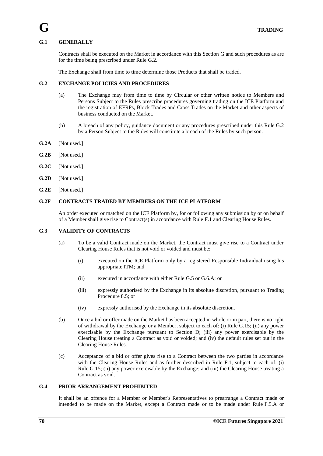# **G.1 GENERALLY**

Contracts shall be executed on the Market in accordance with this Section G and such procedures as are for the time being prescribed under Rule G.2.

The Exchange shall from time to time determine those Products that shall be traded.

### **G.2 EXCHANGE POLICIES AND PROCEDURES**

- (a) The Exchange may from time to time by Circular or other written notice to Members and Persons Subject to the Rules prescribe procedures governing trading on the ICE Platform and the registration of EFRPs, Block Trades and Cross Trades on the Market and other aspects of business conducted on the Market.
- (b) A breach of any policy, guidance document or any procedures prescribed under this Rule G.2 by a Person Subject to the Rules will constitute a breach of the Rules by such person.
- **G.2A** [Not used.]
- **G.2B** [Not used.]
- **G.2C** [Not used.]
- **G.2D** [Not used.]
- **G.2E** [Not used.]

## **G.2F CONTRACTS TRADED BY MEMBERS ON THE ICE PLATFORM**

An order executed or matched on the ICE Platform by, for or following any submission by or on behalf of a Member shall give rise to Contract(s) in accordance with Rule F.1 and Clearing House Rules.

#### **G.3 VALIDITY OF CONTRACTS**

- (a) To be a valid Contract made on the Market, the Contract must give rise to a Contract under Clearing House Rules that is not void or voided and must be:
	- (i) executed on the ICE Platform only by a registered Responsible Individual using his appropriate ITM; and
	- (ii) executed in accordance with either Rule G.5 or G.6.A; or
	- (iii) expressly authorised by the Exchange in its absolute discretion, pursuant to Trading Procedure 8.5; or
	- (iv) expressly authorised by the Exchange in its absolute discretion.
- (b) Once a bid or offer made on the Market has been accepted in whole or in part, there is no right of withdrawal by the Exchange or a Member, subject to each of: (i) Rule G.15; (ii) any power exercisable by the Exchange pursuant to Section D; (iii) any power exercisable by the Clearing House treating a Contract as void or voided; and (iv) the default rules set out in the Clearing House Rules.
- (c) Acceptance of a bid or offer gives rise to a Contract between the two parties in accordance with the Clearing House Rules and as further described in Rule F.1, subject to each of: (i) Rule G.15; (ii) any power exercisable by the Exchange; and (iii) the Clearing House treating a Contract as void.

### **G.4 PRIOR ARRANGEMENT PROHIBITED**

It shall be an offence for a Member or Member's Representatives to prearrange a Contract made or intended to be made on the Market, except a Contract made or to be made under Rule F.5.A or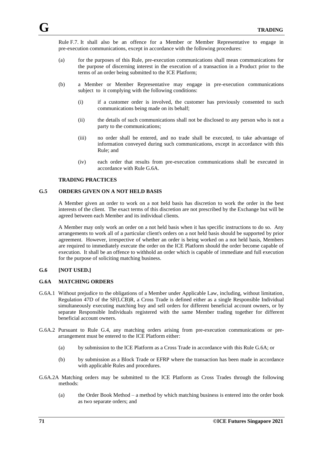Rule F.7. It shall also be an offence for a Member or Member Representative to engage in pre-execution communications, except in accordance with the following procedures:

- (a) for the purposes of this Rule, pre-execution communications shall mean communications for the purpose of discerning interest in the execution of a transaction in a Product prior to the terms of an order being submitted to the ICE Platform;
- (b) a Member or Member Representative may engage in pre-execution communications subject to it complying with the following conditions:
	- (i) if a customer order is involved, the customer has previously consented to such communications being made on its behalf;
	- (ii) the details of such communications shall not be disclosed to any person who is not a party to the communications;
	- (iii) no order shall be entered, and no trade shall be executed, to take advantage of information conveyed during such communications, except in accordance with this Rule; and
	- (iv) each order that results from pre-execution communications shall be executed in accordance with Rule G.6A.

#### **TRADING PRACTICES**

#### **G.5 ORDERS GIVEN ON A NOT HELD BASIS**

A Member given an order to work on a not held basis has discretion to work the order in the best interests of the client. The exact terms of this discretion are not prescribed by the Exchange but will be agreed between each Member and its individual clients.

A Member may only work an order on a not held basis when it has specific instructions to do so. Any arrangements to work all of a particular client's orders on a not held basis should be supported by prior agreement. However, irrespective of whether an order is being worked on a not held basis, Members are required to immediately execute the order on the ICE Platform should the order become capable of execution. It shall be an offence to withhold an order which is capable of immediate and full execution for the purpose of soliciting matching business.

### **G.6 [NOT USED.]**

# **G.6A MATCHING ORDERS**

- G.6A.1 Without prejudice to the obligations of a Member under Applicable Law, including, without limitation, Regulation 47D of the SF(LCB)R, a Cross Trade is defined either as a single Responsible Individual simultaneously executing matching buy and sell orders for different beneficial account owners, or by separate Responsible Individuals registered with the same Member trading together for different beneficial account owners.
- G.6A.2 Pursuant to Rule G.4, any matching orders arising from pre-execution communications or prearrangement must be entered to the ICE Platform either:
	- (a) by submission to the ICE Platform as a Cross Trade in accordance with this Rule G.6A; or
	- (b) by submission as a Block Trade or EFRP where the transaction has been made in accordance with applicable Rules and procedures.
- G.6A.2A Matching orders may be submitted to the ICE Platform as Cross Trades through the following methods:
	- (a) the Order Book Method a method by which matching business is entered into the order book as two separate orders; and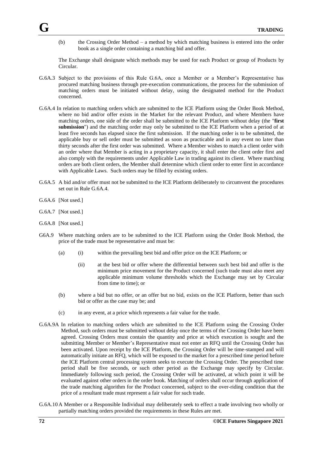(b) the Crossing Order Method – a method by which matching business is entered into the order book as a single order containing a matching bid and offer.

The Exchange shall designate which methods may be used for each Product or group of Products by Circular.

- G.6A.3 Subject to the provisions of this Rule G.6A, once a Member or a Member's Representative has procured matching business through pre-execution communications, the process for the submission of matching orders must be initiated without delay, using the designated method for the Product concerned.
- G.6A.4 In relation to matching orders which are submitted to the ICE Platform using the Order Book Method, where no bid and/or offer exists in the Market for the relevant Product, and where Members have matching orders, one side of the order shall be submitted to the ICE Platform without delay (the "**first submission**") and the matching order may only be submitted to the ICE Platform when a period of at least five seconds has elapsed since the first submission. If the matching order is to be submitted, the applicable buy or sell order must be submitted as soon as practicable and in any event no later than thirty seconds after the first order was submitted. Where a Member wishes to match a client order with an order where that Member is acting in a proprietary capacity, it shall enter the client order first and also comply with the requirements under Applicable Law in trading against its client. Where matching orders are both client orders, the Member shall determine which client order to enter first in accordance with Applicable Laws. Such orders may be filled by existing orders.
- G.6A.5 A bid and/or offer must not be submitted to the ICE Platform deliberately to circumvent the procedures set out in Rule G.6A.4.
- G.6A.6 [Not used.]
- G.6A.7 [Not used.]
- G.6A.8 [Not used.]
- G6A.9 Where matching orders are to be submitted to the ICE Platform using the Order Book Method, the price of the trade must be representative and must be:
	- (a) (i) within the prevailing best bid and offer price on the ICE Platform; or
		- (ii) at the best bid or offer where the differential between such best bid and offer is the minimum price movement for the Product concerned (such trade must also meet any applicable minimum volume thresholds which the Exchange may set by Circular from time to time); or
	- (b) where a bid but no offer, or an offer but no bid, exists on the ICE Platform, better than such bid or offer as the case may be; and
	- (c) in any event, at a price which represents a fair value for the trade.
- G.6A.9A In relation to matching orders which are submitted to the ICE Platform using the Crossing Order Method, such orders must be submitted without delay once the terms of the Crossing Order have been agreed. Crossing Orders must contain the quantity and price at which execution is sought and the submitting Member or Member's Representative must not enter an RFQ until the Crossing Order has been activated. Upon receipt by the ICE Platform, the Crossing Order will be time-stamped and will automatically initiate an RFQ, which will be exposed to the market for a prescribed time period before the ICE Platform central processing system seeks to execute the Crossing Order. The prescribed time period shall be five seconds, or such other period as the Exchange may specify by Circular. Immediately following such period, the Crossing Order will be activated, at which point it will be evaluated against other orders in the order book. Matching of orders shall occur through application of the trade matching algorithm for the Product concerned, subject to the over-riding condition that the price of a resultant trade must represent a fair value for such trade.
- G.6A.10 A Member or a Responsible Individual may deliberately seek to effect a trade involving two wholly or partially matching orders provided the requirements in these Rules are met.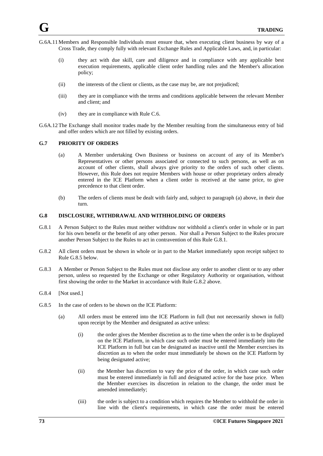- G.6A.11 Members and Responsible Individuals must ensure that, when executing client business by way of a Cross Trade, they comply fully with relevant Exchange Rules and Applicable Laws, and, in particular:
	- (i) they act with due skill, care and diligence and in compliance with any applicable best execution requirements, applicable client order handling rules and the Member's allocation policy;
	- (ii) the interests of the client or clients, as the case may be, are not prejudiced;
	- (iii) they are in compliance with the terms and conditions applicable between the relevant Member and client; and
	- (iv) they are in compliance with Rule C.6.
- G.6A.12The Exchange shall monitor trades made by the Member resulting from the simultaneous entry of bid and offer orders which are not filled by existing orders.

#### **G.7 PRIORITY OF ORDERS**

- (a) A Member undertaking Own Business or business on account of any of its Member's Representatives or other persons associated or connected to such persons, as well as on account of other clients, shall always give priority to the orders of such other clients. However, this Rule does not require Members with house or other proprietary orders already entered in the ICE Platform when a client order is received at the same price, to give precedence to that client order.
- (b) The orders of clients must be dealt with fairly and, subject to paragraph (a) above, in their due turn.

#### **G.8 DISCLOSURE, WITHDRAWAL AND WITHHOLDING OF ORDERS**

- G.8.1 A Person Subject to the Rules must neither withdraw nor withhold a client's order in whole or in part for his own benefit or the benefit of any other person. Nor shall a Person Subject to the Rules procure another Person Subject to the Rules to act in contravention of this Rule G.8.1.
- G.8.2 All client orders must be shown in whole or in part to the Market immediately upon receipt subject to Rule G.8.5 below.
- G.8.3 A Member or Person Subject to the Rules must not disclose any order to another client or to any other person, unless so requested by the Exchange or other Regulatory Authority or organisation, without first showing the order to the Market in accordance with Rule G.8.2 above.
- G.8.4 [Not used.]
- G.8.5 In the case of orders to be shown on the ICE Platform:
	- (a) All orders must be entered into the ICE Platform in full (but not necessarily shown in full) upon receipt by the Member and designated as active unless:
		- (i) the order gives the Member discretion as to the time when the order is to be displayed on the ICE Platform, in which case such order must be entered immediately into the ICE Platform in full but can be designated as inactive until the Member exercises its discretion as to when the order must immediately be shown on the ICE Platform by being designated active;
		- (ii) the Member has discretion to vary the price of the order, in which case such order must be entered immediately in full and designated active for the base price. When the Member exercises its discretion in relation to the change, the order must be amended immediately;
		- (iii) the order is subject to a condition which requires the Member to withhold the order in line with the client's requirements, in which case the order must be entered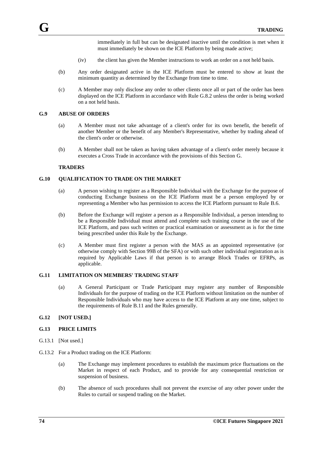immediately in full but can be designated inactive until the condition is met when it must immediately be shown on the ICE Platform by being made active;

- (iv) the client has given the Member instructions to work an order on a not held basis.
- (b) Any order designated active in the ICE Platform must be entered to show at least the minimum quantity as determined by the Exchange from time to time.
- (c) A Member may only disclose any order to other clients once all or part of the order has been displayed on the ICE Platform in accordance with Rule G.8.2 unless the order is being worked on a not held basis.

#### **G.9 ABUSE OF ORDERS**

- (a) A Member must not take advantage of a client's order for its own benefit, the benefit of another Member or the benefit of any Member's Representative, whether by trading ahead of the client's order or otherwise.
- (b) A Member shall not be taken as having taken advantage of a client's order merely because it executes a Cross Trade in accordance with the provisions of this Section G.

#### **TRADERS**

#### **G.10 QUALIFICATION TO TRADE ON THE MARKET**

- (a) A person wishing to register as a Responsible Individual with the Exchange for the purpose of conducting Exchange business on the ICE Platform must be a person employed by or representing a Member who has permission to access the ICE Platform pursuant to Rule B.6.
- (b) Before the Exchange will register a person as a Responsible Individual, a person intending to be a Responsible Individual must attend and complete such training course in the use of the ICE Platform, and pass such written or practical examination or assessment as is for the time being prescribed under this Rule by the Exchange.
- (c) A Member must first register a person with the MAS as an appointed representative (or otherwise comply with Section 99B of the SFA) or with such other individual registration as is required by Applicable Laws if that person is to arrange Block Trades or EFRPs, as applicable.

#### **G.11 LIMITATION ON MEMBERS' TRADING STAFF**

(a) A General Participant or Trade Participant may register any number of Responsible Individuals for the purpose of trading on the ICE Platform without limitation on the number of Responsible Individuals who may have access to the ICE Platform at any one time, subject to the requirements of Rule B.11 and the Rules generally.

#### **G.12 [NOT USED.]**

### **G.13 PRICE LIMITS**

- G.13.1 [Not used.]
- G.13.2 For a Product trading on the ICE Platform:
	- (a) The Exchange may implement procedures to establish the maximum price fluctuations on the Market in respect of each Product, and to provide for any consequential restriction or suspension of business.
	- (b) The absence of such procedures shall not prevent the exercise of any other power under the Rules to curtail or suspend trading on the Market.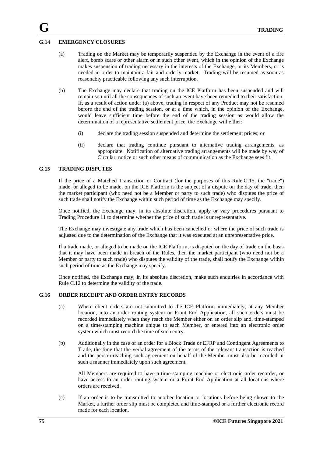#### **G.14 EMERGENCY CLOSURES**

- (a) Trading on the Market may be temporarily suspended by the Exchange in the event of a fire alert, bomb scare or other alarm or in such other event, which in the opinion of the Exchange makes suspension of trading necessary in the interests of the Exchange, or its Members, or is needed in order to maintain a fair and orderly market. Trading will be resumed as soon as reasonably practicable following any such interruption.
- (b) The Exchange may declare that trading on the ICE Platform has been suspended and will remain so until all the consequences of such an event have been remedied to their satisfaction. If, as a result of action under (a) above, trading in respect of any Product may not be resumed before the end of the trading session, or at a time which, in the opinion of the Exchange, would leave sufficient time before the end of the trading session as would allow the determination of a representative settlement price, the Exchange will either:
	- (i) declare the trading session suspended and determine the settlement prices; or
	- (ii) declare that trading continue pursuant to alternative trading arrangements, as appropriate. Notification of alternative trading arrangements will be made by way of Circular, notice or such other means of communication as the Exchange sees fit.

#### **G.15 TRADING DISPUTES**

If the price of a Matched Transaction or Contract (for the purposes of this Rule G.15, the "trade") made, or alleged to be made, on the ICE Platform is the subject of a dispute on the day of trade, then the market participant (who need not be a Member or party to such trade) who disputes the price of such trade shall notify the Exchange within such period of time as the Exchange may specify.

Once notified, the Exchange may, in its absolute discretion, apply or vary procedures pursuant to Trading Procedure 11 to determine whether the price of such trade is unrepresentative.

The Exchange may investigate any trade which has been cancelled or where the price of such trade is adjusted due to the determination of the Exchange that it was executed at an unrepresentative price.

If a trade made, or alleged to be made on the ICE Platform, is disputed on the day of trade on the basis that it may have been made in breach of the Rules, then the market participant (who need not be a Member or party to such trade) who disputes the validity of the trade, shall notify the Exchange within such period of time as the Exchange may specify.

Once notified, the Exchange may, in its absolute discretion, make such enquiries in accordance with Rule C.12 to determine the validity of the trade.

#### **G.16 ORDER RECEIPT AND ORDER ENTRY RECORDS**

- (a) Where client orders are not submitted to the ICE Platform immediately, at any Member location, into an order routing system or Front End Application, all such orders must be recorded immediately when they reach the Member either on an order slip and, time-stamped on a time-stamping machine unique to each Member, or entered into an electronic order system which must record the time of such entry.
- (b) Additionally in the case of an order for a Block Trade or EFRP and Contingent Agreements to Trade, the time that the verbal agreement of the terms of the relevant transaction is reached and the person reaching such agreement on behalf of the Member must also be recorded in such a manner immediately upon such agreement.

All Members are required to have a time-stamping machine or electronic order recorder, or have access to an order routing system or a Front End Application at all locations where orders are received.

(c) If an order is to be transmitted to another location or locations before being shown to the Market, a further order slip must be completed and time-stamped or a further electronic record made for each location.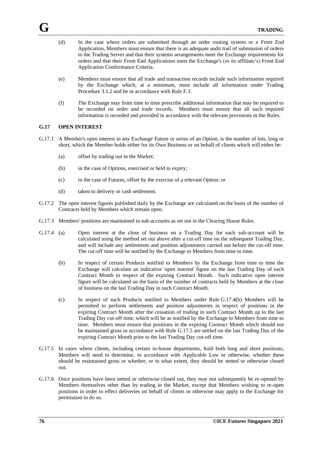- (d) In the case where orders are submitted through an order routing system or a Front End Application, Members must ensure that there is an adequate audit trail of submission of orders to the Trading Server and that their systems arrangements meet the Exchange requirements for orders and that their Front End Applications meet the Exchange's (or its affiliate's) Front End Application Conformance Criteria.
- (e) Members must ensure that all trade and transaction records include such information required by the Exchange which, at a minimum, must include all information under Trading Procedure 3.1.2 and be in accordance with Rule F.3.
- (f) The Exchange may from time to time prescribe additional information that may be required to be recorded on order and trade records. Members must ensure that all such required information is recorded and provided in accordance with the relevant provisions in the Rules.

#### **G.17 OPEN INTEREST**

- G.17.1 A Member's open interest in any Exchange Future or series of an Option, is the number of lots, long or short, which the Member holds either for its Own Business or on behalf of clients which will either be:
	- (a) offset by trading out in the Market;
	- (b) in the case of Options, exercised or held to expiry;
	- (c) in the case of Futures, offset by the exercise of a relevant Option; or
	- (d) taken to delivery or cash settlement.
- G.17.2 The open interest figures published daily by the Exchange are calculated on the basis of the number of Contracts held by Members which remain open.
- G.17.3 Members' positions are maintained in sub-accounts as set out in the Clearing House Rules.
- G.17.4 (a) Open interest at the close of business on a Trading Day for each sub-account will be calculated using the method set out above after a cut-off time on the subsequent Trading Day, and will include any settlements and position adjustments carried out before the cut-off time. The cut-off time will be notified by the Exchange to Members from time to time.
	- (b) In respect of certain Products notified to Members by the Exchange from time to time the Exchange will calculate an indicative 'open interest' figure on the last Trading Day of each Contract Month in respect of the expiring Contract Month. Such indicative open interest figure will be calculated on the basis of the number of contracts held by Members at the close of business on the last Trading Day in such Contract Month.
	- (c) In respect of such Products notified to Members under Rule G.17.4(b) Members will be permitted to perform settlements and position adjustments in respect of positions in the expiring Contract Month after the cessation of trading in such Contract Month up to the last Trading Day cut-off time, which will be as notified by the Exchange to Members from time to time. Members must ensure that positions in the expiring Contract Month which should not be maintained gross in accordance with Rule G.17.5 are settled on the last Trading Day of the expiring Contract Month prior to the last Trading Day cut-off time.
- G.17.5 In cases where clients, including certain in-house departments, hold both long and short positions, Members will need to determine, in accordance with Applicable Law or otherwise, whether these should be maintained gross or whether, or to what extent, they should be netted or otherwise closed out.
- G.17.6 Once positions have been netted or otherwise closed out, they may not subsequently be re-opened by Members themselves other than by trading in the Market, except that Members wishing to re-open positions in order to effect deliveries on behalf of clients or otherwise may apply to the Exchange for permission to do so.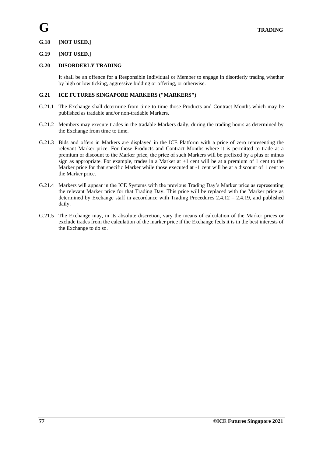# **G.18 [NOT USED.]**

### **G.19 [NOT USED.]**

### **G.20 DISORDERLY TRADING**

It shall be an offence for a Responsible Individual or Member to engage in disorderly trading whether by high or low ticking, aggressive bidding or offering, or otherwise.

## **G.21 ICE FUTURES SINGAPORE MARKERS ("MARKERS")**

- G.21.1 The Exchange shall determine from time to time those Products and Contract Months which may be published as tradable and/or non-tradable Markers.
- G.21.2 Members may execute trades in the tradable Markers daily, during the trading hours as determined by the Exchange from time to time.
- G.21.3 Bids and offers in Markers are displayed in the ICE Platform with a price of zero representing the relevant Marker price. For those Products and Contract Months where it is permitted to trade at a premium or discount to the Marker price, the price of such Markers will be prefixed by a plus or minus sign as appropriate. For example, trades in a Marker at +1 cent will be at a premium of 1 cent to the Marker price for that specific Marker while those executed at -1 cent will be at a discount of 1 cent to the Marker price.
- G.21.4 Markers will appear in the ICE Systems with the previous Trading Day's Marker price as representing the relevant Marker price for that Trading Day. This price will be replaced with the Marker price as determined by Exchange staff in accordance with Trading Procedures 2.4.12 – 2.4.19, and published daily.
- G.21.5 The Exchange may, in its absolute discretion, vary the means of calculation of the Marker prices or exclude trades from the calculation of the marker price if the Exchange feels it is in the best interests of the Exchange to do so.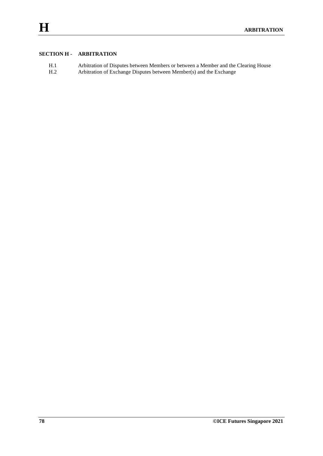# **SECTION H - ARBITRATION**

| H.1 | Arbitration of Disputes between Members or between a Member and the Clearing House |
|-----|------------------------------------------------------------------------------------|
| H.2 | Arbitration of Exchange Disputes between Member(s) and the Exchange                |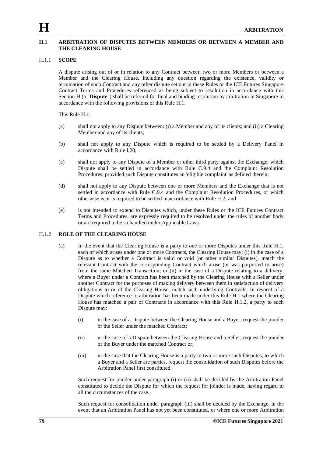#### **H.1 ARBITRATION OF DISPUTES BETWEEN MEMBERS OR BETWEEN A MEMBER AND THE CLEARING HOUSE**

#### H.1.1 **SCOPE**

A dispute arising out of or in relation to any Contract between two or more Members or between a Member and the Clearing House, including any question regarding the existence, validity or termination of such Contract and any other dispute set out in these Rules or the ICE Futures Singapore Contract Terms and Procedures referenced as being subject to resolution in accordance with this Section H (a "**Dispute**") shall be referred for final and binding resolution by arbitration in Singapore in accordance with the following provisions of this Rule H.1.

This Rule H.1:

- (a) shall not apply to any Dispute between: (i) a Member and any of its clients; and (ii) a Clearing Member and any of its clients;
- (b) shall not apply to any Dispute which is required to be settled by a Delivery Panel in accordance with Rule I.20;
- (c) shall not apply to any Dispute of a Member or other third party against the Exchange; which Dispute shall be settled in accordance with Rule C.9.4 and the Complaint Resolution Procedures, provided such Dispute constitutes an 'eligible complaint' as defined therein;
- (d) shall not apply to any Dispute between one or more Members and the Exchange that is not settled in accordance with Rule C.9.4 and the Complaint Resolution Procedures, or which otherwise is or is required to be settled in accordance with Rule H.2; and
- (e) is not intended to extend to Disputes which, under these Rules or the ICE Futures Contract Terms and Procedures, are expressly required to be resolved under the rules of another body or are required to be so handled under Applicable Laws.

#### H.1.2 **ROLE OF THE CLEARING HOUSE**

- (a) In the event that the Clearing House is a party to one or more Disputes under this Rule H.1, each of which arises under one or more Contracts, the Clearing House may: (i) in the case of a Dispute as to whether a Contract is valid or void (or other similar Disputes), match the relevant Contract with the corresponding Contract which arose (or was purported to arise) from the same Matched Transaction; or (ii) in the case of a Dispute relating to a delivery, where a Buyer under a Contract has been matched by the Clearing House with a Seller under another Contract for the purposes of making delivery between them in satisfaction of delivery obligations to or of the Clearing House, match such underlying Contracts. In respect of a Dispute which reference to arbitration has been made under this Rule H.1 where the Clearing House has matched a pair of Contracts in accordance with this Rule H.1.2, a party to such Dispute may:
	- (i) in the case of a Dispute between the Clearing House and a Buyer, request the joinder of the Seller under the matched Contract;
	- (ii) in the case of a Dispute between the Clearing House and a Seller, request the joinder of the Buyer under the matched Contract or;
	- (iii) in the case that the Clearing House is a party to two or more such Disputes, to which a Buyer and a Seller are parties, request the consolidation of such Disputes before the Arbitration Panel first constituted.

Such request for joinder under paragraph (i) or (ii) shall be decided by the Arbitration Panel constituted to decide the Dispute for which the request for joinder is made, having regard to all the circumstances of the case.

Such request for consolidation under paragraph (iii) shall be decided by the Exchange, in the event that an Arbitration Panel has not yet been constituted, or where one or more Arbitration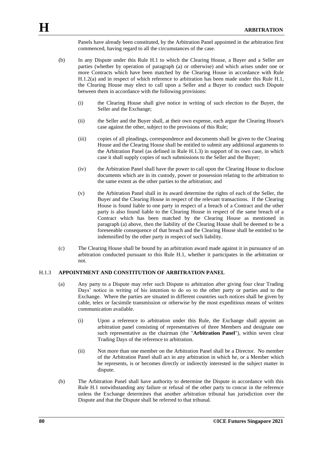Panels have already been constituted, by the Arbitration Panel appointed in the arbitration first commenced, having regard to all the circumstances of the case.

- (b) In any Dispute under this Rule H.1 to which the Clearing House, a Buyer and a Seller are parties (whether by operation of paragraph (a) or otherwise) and which arises under one or more Contracts which have been matched by the Clearing House in accordance with Rule H.1.2(a) and in respect of which reference to arbitration has been made under this Rule H.1, the Clearing House may elect to call upon a Seller and a Buyer to conduct such Dispute between them in accordance with the following provisions:
	- (i) the Clearing House shall give notice in writing of such election to the Buyer, the Seller and the Exchange;
	- (ii) the Seller and the Buyer shall, at their own expense, each argue the Clearing House's case against the other, subject to the provisions of this Rule;
	- (iii) copies of all pleadings, correspondence and documents shall be given to the Clearing House and the Clearing House shall be entitled to submit any additional arguments to the Arbitration Panel (as defined in Rule H.1.3) in support of its own case, in which case it shall supply copies of such submissions to the Seller and the Buyer;
	- (iv) the Arbitration Panel shall have the power to call upon the Clearing House to disclose documents which are in its custody, power or possession relating to the arbitration to the same extent as the other parties to the arbitration; and
	- (v) the Arbitration Panel shall in its award determine the rights of each of the Seller, the Buyer and the Clearing House in respect of the relevant transactions. If the Clearing House is found liable to one party in respect of a breach of a Contract and the other party is also found liable to the Clearing House in respect of the same breach of a Contract which has been matched by the Clearing House as mentioned in paragraph (a) above, then the liability of the Clearing House shall be deemed to be a foreseeable consequence of that breach and the Clearing House shall be entitled to be indemnified by the other party in respect of such liability.
- (c) The Clearing House shall be bound by an arbitration award made against it in pursuance of an arbitration conducted pursuant to this Rule H.1, whether it participates in the arbitration or not.

#### H.1.3 **APPOINTMENT AND CONSTITUTION OF ARBITRATION PANEL**

- (a) Any party to a Dispute may refer such Dispute to arbitration after giving four clear Trading Days' notice in writing of his intention to do so to the other party or parties and to the Exchange. Where the parties are situated in different countries such notices shall be given by cable, telex or facsimile transmission or otherwise by the most expeditious means of written communication available.
	- (i) Upon a reference to arbitration under this Rule, the Exchange shall appoint an arbitration panel consisting of representatives of three Members and designate one such representative as the chairman (the "**Arbitration Panel**"), within seven clear Trading Days of the reference to arbitration.
	- (ii) Not more than one member on the Arbitration Panel shall be a Director. No member of the Arbitration Panel shall act in any arbitration in which he, or a Member which he represents, is or becomes directly or indirectly interested in the subject matter in dispute.
- (b) The Arbitration Panel shall have authority to determine the Dispute in accordance with this Rule H.1 notwithstanding any failure or refusal of the other party to concur in the reference unless the Exchange determines that another arbitration tribunal has jurisdiction over the Dispute and that the Dispute shall be referred to that tribunal.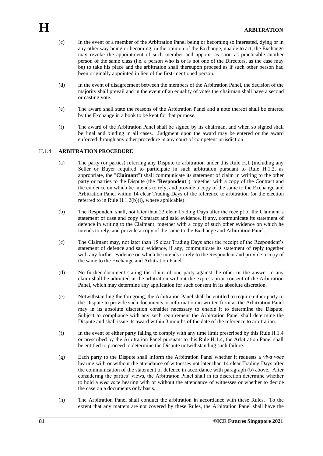- (c) In the event of a member of the Arbitration Panel being or becoming so interested, dying or in any other way being or becoming, in the opinion of the Exchange, unable to act, the Exchange may revoke the appointment of such member and appoint as soon as practicable another person of the same class (i.e. a person who is or is not one of the Directors, as the case may be) to take his place and the arbitration shall thereupon proceed as if such other person had been originally appointed in lieu of the first-mentioned person.
- (d) In the event of disagreement between the members of the Arbitration Panel, the decision of the majority shall prevail and in the event of an equality of votes the chairman shall have a second or casting vote.
- (e) The award shall state the reasons of the Arbitration Panel and a note thereof shall be entered by the Exchange in a book to be kept for that purpose.
- (f) The award of the Arbitration Panel shall be signed by its chairman, and when so signed shall be final and binding in all cases. Judgment upon the award may be entered or the award enforced through any other procedure in any court of competent jurisdiction.

## H.1.4 **ARBITRATION PROCEDURE**

- (a) The party (or parties) referring any Dispute to arbitration under this Rule H.1 (including any Seller or Buyer required to participate in such arbitration pursuant to Rule H.1.2, as appropriate, the "**Claimant**") shall communicate its statement of claim in writing to the other party or parties to the Dispute (the "**Respondent**"), together with a copy of the Contract and the evidence on which he intends to rely, and provide a copy of the same to the Exchange and Arbitration Panel within 14 clear Trading Days of the reference to arbitration (or the election referred to in Rule H.1.2(b)(i), where applicable).
- (b) The Respondent shall, not later than 22 clear Trading Days after the receipt of the Claimant's statement of case and copy Contract and said evidence, if any, communicate its statement of defence in writing to the Claimant, together with a copy of such other evidence on which he intends to rely, and provide a copy of the same to the Exchange and Arbitration Panel.
- (c) The Claimant may, not later than 15 clear Trading Days after the receipt of the Respondent's statement of defence and said evidence, if any, communicate its statement of reply together with any further evidence on which he intends to rely to the Respondent and provide a copy of the same to the Exchange and Arbitration Panel.
- (d) No further document stating the claim of one party against the other or the answer to any claim shall be admitted in the arbitration without the express prior consent of the Arbitration Panel, which may determine any application for such consent in its absolute discretion.
- (e) Notwithstanding the foregoing, the Arbitration Panel shall be entitled to require either party to the Dispute to provide such documents or information in written form as the Arbitration Panel may in its absolute discretion consider necessary to enable it to determine the Dispute. Subject to compliance with any such requirement the Arbitration Panel shall determine the Dispute and shall issue its award within 3 months of the date of the reference to arbitration.
- (f) In the event of either party failing to comply with any time limit prescribed by this Rule H.1.4 or prescribed by the Arbitration Panel pursuant to this Rule H.1.4, the Arbitration Panel shall be entitled to proceed to determine the Dispute notwithstanding such failure.
- (g) Each party to the Dispute shall inform the Arbitration Panel whether it requests a *viva voce* hearing with or without the attendance of witnesses not later than 14 clear Trading Days after the communication of the statement of defence in accordance with paragraph (b) above. After considering the parties' views, the Arbitration Panel shall in its discretion determine whether to hold a *viva voce* hearing with or without the attendance of witnesses or whether to decide the case on a documents only basis.
- (h) The Arbitration Panel shall conduct the arbitration in accordance with these Rules. To the extent that any matters are not covered by these Rules, the Arbitration Panel shall have the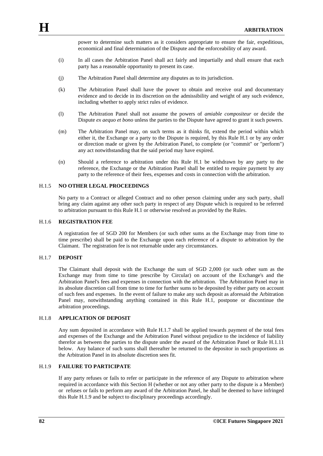power to determine such matters as it considers appropriate to ensure the fair, expeditious, economical and final determination of the Dispute and the enforceability of any award.

- (i) In all cases the Arbitration Panel shall act fairly and impartially and shall ensure that each party has a reasonable opportunity to present its case.
- (j) The Arbitration Panel shall determine any disputes as to its jurisdiction.
- (k) The Arbitration Panel shall have the power to obtain and receive oral and documentary evidence and to decide in its discretion on the admissibility and weight of any such evidence, including whether to apply strict rules of evidence.
- (l) The Arbitration Panel shall not assume the powers of *amiable compositeur* or decide the Dispute *ex aequo et bono* unless the parties to the Dispute have agreed to grant it such powers.
- (m) The Arbitration Panel may, on such terms as it thinks fit, extend the period within which either it, the Exchange or a party to the Dispute is required, by this Rule H.1 or by any order or direction made or given by the Arbitration Panel, to complete (or "commit" or "perform") any act notwithstanding that the said period may have expired.
- (n) Should a reference to arbitration under this Rule H.1 be withdrawn by any party to the reference, the Exchange or the Arbitration Panel shall be entitled to require payment by any party to the reference of their fees, expenses and costs in connection with the arbitration.

#### H.1.5 **NO OTHER LEGAL PROCEEDINGS**

No party to a Contract or alleged Contract and no other person claiming under any such party, shall bring any claim against any other such party in respect of any Dispute which is required to be referred to arbitration pursuant to this Rule H.1 or otherwise resolved as provided by the Rules.

#### H.1.6 **REGISTRATION FEE**

A registration fee of SGD 200 for Members (or such other sums as the Exchange may from time to time prescribe) shall be paid to the Exchange upon each reference of a dispute to arbitration by the Claimant. The registration fee is not returnable under any circumstances.

#### H.1.7 **DEPOSIT**

The Claimant shall deposit with the Exchange the sum of SGD 2,000 (or such other sum as the Exchange may from time to time prescribe by Circular) on account of the Exchange's and the Arbitration Panel's fees and expenses in connection with the arbitration. The Arbitration Panel may in its absolute discretion call from time to time for further sums to be deposited by either party on account of such fees and expenses. In the event of failure to make any such deposit as aforesaid the Arbitration Panel may, notwithstanding anything contained in this Rule H.1, postpone or discontinue the arbitration proceedings.

## H.1.8 **APPLICATION OF DEPOSIT**

Any sum deposited in accordance with Rule H.1.7 shall be applied towards payment of the total fees and expenses of the Exchange and the Arbitration Panel without prejudice to the incidence of liability therefor as between the parties to the dispute under the award of the Arbitration Panel or Rule H.1.11 below. Any balance of such sums shall thereafter be returned to the depositor in such proportions as the Arbitration Panel in its absolute discretion sees fit.

### H.1.9 **FAILURE TO PARTICIPATE**

If any party refuses or fails to refer or participate in the reference of any Dispute to arbitration where required in accordance with this Section H (whether or not any other party to the dispute is a Member) or refuses or fails to perform any award of the Arbitration Panel, he shall be deemed to have infringed this Rule H.1.9 and be subject to disciplinary proceedings accordingly.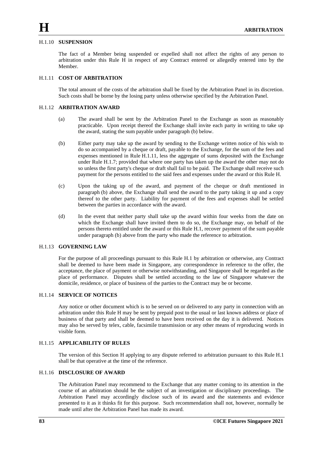#### H.1.10 **SUSPENSION**

The fact of a Member being suspended or expelled shall not affect the rights of any person to arbitration under this Rule H in respect of any Contract entered or allegedly entered into by the Member.

#### H.1.11 **COST OF ARBITRATION**

The total amount of the costs of the arbitration shall be fixed by the Arbitration Panel in its discretion. Such costs shall be borne by the losing party unless otherwise specified by the Arbitration Panel.

#### H.1.12 **ARBITRATION AWARD**

- (a) The award shall be sent by the Arbitration Panel to the Exchange as soon as reasonably practicable. Upon receipt thereof the Exchange shall invite each party in writing to take up the award, stating the sum payable under paragraph (b) below.
- (b) Either party may take up the award by sending to the Exchange written notice of his wish to do so accompanied by a cheque or draft, payable to the Exchange, for the sum of the fees and expenses mentioned in Rule H.1.11, less the aggregate of sums deposited with the Exchange under Rule H.1.7; provided that where one party has taken up the award the other may not do so unless the first party's cheque or draft shall fail to be paid. The Exchange shall receive such payment for the persons entitled to the said fees and expenses under the award or this Rule H.
- (c) Upon the taking up of the award, and payment of the cheque or draft mentioned in paragraph (b) above, the Exchange shall send the award to the party taking it up and a copy thereof to the other party. Liability for payment of the fees and expenses shall be settled between the parties in accordance with the award.
- (d) In the event that neither party shall take up the award within four weeks from the date on which the Exchange shall have invited them to do so, the Exchange may, on behalf of the persons thereto entitled under the award or this Rule H.1, recover payment of the sum payable under paragraph (b) above from the party who made the reference to arbitration.

### H.1.13 **GOVERNING LAW**

For the purpose of all proceedings pursuant to this Rule H.1 by arbitration or otherwise, any Contract shall be deemed to have been made in Singapore, any correspondence in reference to the offer, the acceptance, the place of payment or otherwise notwithstanding, and Singapore shall be regarded as the place of performance. Disputes shall be settled according to the law of Singapore whatever the domicile, residence, or place of business of the parties to the Contract may be or become.

#### H.1.14 **SERVICE OF NOTICES**

Any notice or other document which is to be served on or delivered to any party in connection with an arbitration under this Rule H may be sent by prepaid post to the usual or last known address or place of business of that party and shall be deemed to have been received on the day it is delivered. Notices may also be served by telex, cable, facsimile transmission or any other means of reproducing words in visible form.

#### H.1.15 **APPLICABILITY OF RULES**

The version of this Section H applying to any dispute referred to arbitration pursuant to this Rule H.1 shall be that operative at the time of the reference.

#### H.1.16 **DISCLOSURE OF AWARD**

The Arbitration Panel may recommend to the Exchange that any matter coming to its attention in the course of an arbitration should be the subject of an investigation or disciplinary proceedings. The Arbitration Panel may accordingly disclose such of its award and the statements and evidence presented to it as it thinks fit for this purpose. Such recommendation shall not, however, normally be made until after the Arbitration Panel has made its award.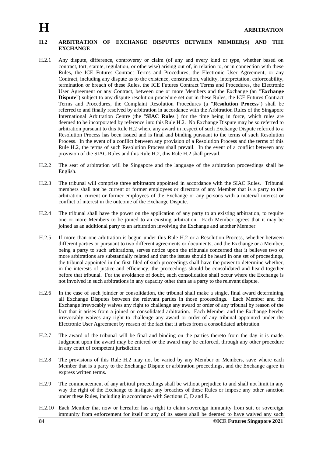#### **H.2 ARBITRATION OF EXCHANGE DISPUTES BETWEEN MEMBER(S) AND THE EXCHANGE**

- H.2.1 Any dispute, difference, controversy or claim (of any and every kind or type, whether based on contract, tort, statute, regulation, or otherwise) arising out of, in relation to, or in connection with these Rules, the ICE Futures Contract Terms and Procedures, the Electronic User Agreement, or any Contract, including any dispute as to the existence, construction, validity, interpretation, enforceability, termination or breach of these Rules, the ICE Futures Contract Terms and Procedures, the Electronic User Agreement or any Contract, between one or more Members and the Exchange (an "**Exchange Dispute**") subject to any dispute resolution procedure set out in these Rules, the ICE Futures Contract Terms and Procedures, the Complaint Resolution Procedures (a "**Resolution Process**") shall be referred to and finally resolved by arbitration in accordance with the Arbitration Rules of the Singapore International Arbitration Centre (the "**SIAC Rules**") for the time being in force, which rules are deemed to be incorporated by reference into this Rule H.2. No Exchange Dispute may be so referred to arbitration pursuant to this Rule H.2 where any award in respect of such Exchange Dispute referred to a Resolution Process has been issued and is final and binding pursuant to the terms of such Resolution Process. In the event of a conflict between any provision of a Resolution Process and the terms of this Rule H.2, the terms of such Resolution Process shall prevail. In the event of a conflict between any provision of the SIAC Rules and this Rule H.2, this Rule H.2 shall prevail.
- H.2.2 The seat of arbitration will be Singapore and the language of the arbitration proceedings shall be English.
- H.2.3 The tribunal will comprise three arbitrators appointed in accordance with the SIAC Rules. Tribunal members shall not be current or former employees or directors of any Member that is a party to the arbitration, current or former employees of the Exchange or any persons with a material interest or conflict of interest in the outcome of the Exchange Dispute.
- H.2.4 The tribunal shall have the power on the application of any party to an existing arbitration, to require one or more Members to be joined to an existing arbitration. Each Member agrees that it may be joined as an additional party to an arbitration involving the Exchange and another Member.
- H.2.5 If more than one arbitration is begun under this Rule H.2 or a Resolution Process, whether between different parties or pursuant to two different agreements or documents, and the Exchange or a Member, being a party to such arbitrations, serves notice upon the tribunals concerned that it believes two or more arbitrations are substantially related and that the issues should be heard in one set of proceedings, the tribunal appointed in the first-filed of such proceedings shall have the power to determine whether, in the interests of justice and efficiency, the proceedings should be consolidated and heard together before that tribunal. For the avoidance of doubt, such consolidation shall occur where the Exchange is not involved in such arbitrations in any capacity other than as a party to the relevant dispute.
- H.2.6 In the case of such joinder or consolidation, the tribunal shall make a single, final award determining all Exchange Disputes between the relevant parties in those proceedings. Each Member and the Exchange irrevocably waives any right to challenge any award or order of any tribunal by reason of the fact that it arises from a joined or consolidated arbitration. Each Member and the Exchange hereby irrevocably waives any right to challenge any award or order of any tribunal appointed under the Electronic User Agreement by reason of the fact that it arises from a consolidated arbitration.
- H.2.7 The award of the tribunal will be final and binding on the parties thereto from the day it is made. Judgment upon the award may be entered or the award may be enforced, through any other procedure in any court of competent jurisdiction.
- H.2.8 The provisions of this Rule H.2 may not be varied by any Member or Members, save where each Member that is a party to the Exchange Dispute or arbitration proceedings, and the Exchange agree in express written terms.
- H.2.9 The commencement of any arbitral proceedings shall be without prejudice to and shall not limit in any way the right of the Exchange to instigate any breaches of these Rules or impose any other sanction under these Rules, including in accordance with Sections C, D and E.
- H.2.10 Each Member that now or hereafter has a right to claim sovereign immunity from suit or sovereign immunity from enforcement for itself or any of its assets shall be deemed to have waived any such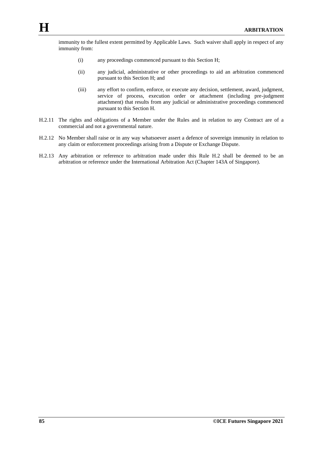immunity to the fullest extent permitted by Applicable Laws. Such waiver shall apply in respect of any immunity from:

- (i) any proceedings commenced pursuant to this Section H;
- (ii) any judicial, administrative or other proceedings to aid an arbitration commenced pursuant to this Section H; and
- (iii) any effort to confirm, enforce, or execute any decision, settlement, award, judgment, service of process, execution order or attachment (including pre-judgment attachment) that results from any judicial or administrative proceedings commenced pursuant to this Section H.
- H.2.11 The rights and obligations of a Member under the Rules and in relation to any Contract are of a commercial and not a governmental nature.
- H.2.12 No Member shall raise or in any way whatsoever assert a defence of sovereign immunity in relation to any claim or enforcement proceedings arising from a Dispute or Exchange Dispute.
- H.2.13 Any arbitration or reference to arbitration made under this Rule H.2 shall be deemed to be an arbitration or reference under the International Arbitration Act (Chapter 143A of Singapore).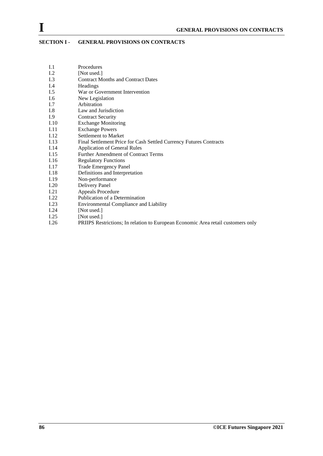# **SECTION I - GENERAL PROVISIONS ON CONTRACTS**

- I.1 Procedures
- I.2 [Not used.]
- I.3 Contract Months and Contract Dates
- I.4 Headings<br>I.5 War or G
- War or Government Intervention
- I.6 New Legislation
- I.7 Arbitration
- I.8 Law and Jurisdiction
- I.9 Contract Security
- I.10 Exchange Monitoring
- I.11 Exchange Powers
- I.12 Settlement to Market<br>I.13 Final Settlement Price
- I.13 Final Settlement Price for Cash Settled Currency Futures Contracts<br>
1.14 Application of General Rules
- I.14 Application of General Rules<br>I.15 Further Amendment of Contra
- Further Amendment of Contract Terms
- I.16 Regulatory Functions
- I.17 Trade Emergency Panel
- I.18 Definitions and Interpretation
- I.19 Non-performance
- I.20 Delivery Panel
- I.21 Appeals Procedure
- 
- I.22 Publication of a Determination<br>I.23 Environmental Compliance and I.23 Environmental Compliance and Liability<br>I.24 [Not used.]
- I.24 [Not used.]<br>I.25 [Not used.]
- I.25 [Not used.]<br>I.26 PRIIPS Res
- PRIIPS Restrictions; In relation to European Economic Area retail customers only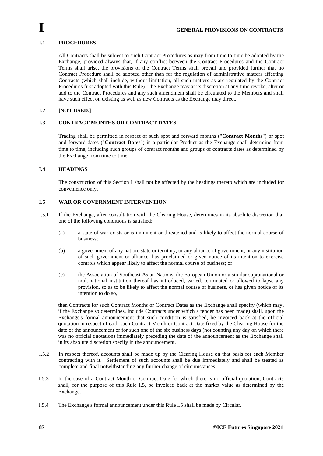## **I.1 PROCEDURES**

All Contracts shall be subject to such Contract Procedures as may from time to time be adopted by the Exchange, provided always that, if any conflict between the Contract Procedures and the Contract Terms shall arise, the provisions of the Contract Terms shall prevail and provided further that no Contract Procedure shall be adopted other than for the regulation of administrative matters affecting Contracts (which shall include, without limitation, all such matters as are regulated by the Contract Procedures first adopted with this Rule). The Exchange may at its discretion at any time revoke, alter or add to the Contract Procedures and any such amendment shall be circulated to the Members and shall have such effect on existing as well as new Contracts as the Exchange may direct.

### **I.2 [NOT USED.]**

# **I.3 CONTRACT MONTHS OR CONTRACT DATES**

Trading shall be permitted in respect of such spot and forward months ("**Contract Months**") or spot and forward dates ("**Contract Dates**") in a particular Product as the Exchange shall determine from time to time, including such groups of contract months and groups of contracts dates as determined by the Exchange from time to time.

### **I.4 HEADINGS**

The construction of this Section I shall not be affected by the headings thereto which are included for convenience only.

#### **I.5 WAR OR GOVERNMENT INTERVENTION**

- I.5.1 If the Exchange, after consultation with the Clearing House, determines in its absolute discretion that one of the following conditions is satisfied:
	- (a) a state of war exists or is imminent or threatened and is likely to affect the normal course of business;
	- (b) a government of any nation, state or territory, or any alliance of government, or any institution of such government or alliance, has proclaimed or given notice of its intention to exercise controls which appear likely to affect the normal course of business; or
	- (c) the Association of Southeast Asian Nations, the European Union or a similar supranational or multinational institution thereof has introduced, varied, terminated or allowed to lapse any provision, so as to be likely to affect the normal course of business, or has given notice of its intention to do so,

then Contracts for such Contract Months or Contract Dates as the Exchange shall specify (which may, if the Exchange so determines, include Contracts under which a tender has been made) shall, upon the Exchange's formal announcement that such condition is satisfied, be invoiced back at the official quotation in respect of each such Contract Month or Contract Date fixed by the Clearing House for the date of the announcement or for such one of the six business days (not counting any day on which there was no official quotation) immediately preceding the date of the announcement as the Exchange shall in its absolute discretion specify in the announcement.

- I.5.2 In respect thereof, accounts shall be made up by the Clearing House on that basis for each Member contracting with it. Settlement of such accounts shall be due immediately and shall be treated as complete and final notwithstanding any further change of circumstances.
- I.5.3 In the case of a Contract Month or Contract Date for which there is no official quotation, Contracts shall, for the purpose of this Rule I.5, be invoiced back at the market value as determined by the Exchange.
- I.5.4 The Exchange's formal announcement under this Rule I.5 shall be made by Circular.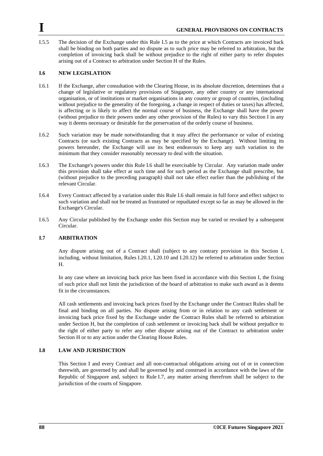I.5.5 The decision of the Exchange under this Rule I.5 as to the price at which Contracts are invoiced back shall be binding on both parties and no dispute as to such price may be referred to arbitration, but the completion of invoicing back shall be without prejudice to the right of either party to refer disputes arising out of a Contract to arbitration under Section H of the Rules.

### **I.6 NEW LEGISLATION**

- I.6.1 If the Exchange, after consultation with the Clearing House, in its absolute discretion, determines that a change of legislative or regulatory provisions of Singapore, any other country or any international organisation, or of institutions or market organisations in any country or group of countries, (including without prejudice to the generality of the foregoing, a change in respect of duties or taxes) has affected, is affecting or is likely to affect the normal course of business, the Exchange shall have the power (without prejudice to their powers under any other provision of the Rules) to vary this Section I in any way it deems necessary or desirable for the preservation of the orderly course of business.
- I.6.2 Such variation may be made notwithstanding that it may affect the performance or value of existing Contracts (or such existing Contracts as may be specified by the Exchange). Without limiting its powers hereunder, the Exchange will use its best endeavours to keep any such variation to the minimum that they consider reasonably necessary to deal with the situation.
- I.6.3 The Exchange's powers under this Rule I.6 shall be exercisable by Circular. Any variation made under this provision shall take effect at such time and for such period as the Exchange shall prescribe, but (without prejudice to the preceding paragraph) shall not take effect earlier than the publishing of the relevant Circular.
- I.6.4 Every Contract affected by a variation under this Rule I.6 shall remain in full force and effect subject to such variation and shall not be treated as frustrated or repudiated except so far as may be allowed in the Exchange's Circular.
- I.6.5 Any Circular published by the Exchange under this Section may be varied or revoked by a subsequent Circular.

#### <span id="page-87-0"></span>**I.7 ARBITRATION**

Any dispute arising out of a Contract shall (subject to any contrary provision in this Section I, including, without limitation, Rules I.20.1, I.20.10 and I.20.12) be referred to arbitration under Section H.

In any case where an invoicing back price has been fixed in accordance with this Section I, the fixing of such price shall not limit the jurisdiction of the board of arbitration to make such award as it deems fit in the circumstances.

All cash settlements and invoicing back prices fixed by the Exchange under the Contract Rules shall be final and binding on all parties. No dispute arising from or in relation to any cash settlement or invoicing back price fixed by the Exchange under the Contract Rules shall be referred to arbitration under Section H, but the completion of cash settlement or invoicing back shall be without prejudice to the right of either party to refer any other dispute arising out of the Contract to arbitration under Section H or to any action under the Clearing House Rules.

#### **I.8 LAW AND JURISDICTION**

This Section I and every Contract and all non-contractual obligations arising out of or in connection therewith, are governed by and shall be governed by and construed in accordance with the laws of the Republic of Singapore and, subject to Rule [I.7,](#page-87-0) any matter arising therefrom shall be subject to the jurisdiction of the courts of Singapore.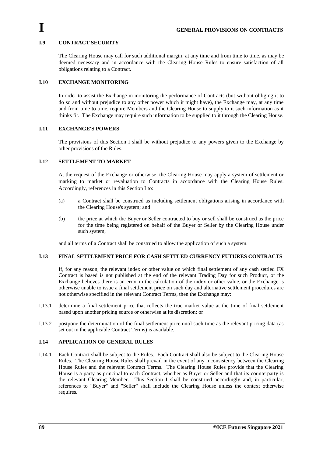### **I.9 CONTRACT SECURITY**

The Clearing House may call for such additional margin, at any time and from time to time, as may be deemed necessary and in accordance with the Clearing House Rules to ensure satisfaction of all obligations relating to a Contract.

### **I.10 EXCHANGE MONITORING**

In order to assist the Exchange in monitoring the performance of Contracts (but without obliging it to do so and without prejudice to any other power which it might have), the Exchange may, at any time and from time to time, require Members and the Clearing House to supply to it such information as it thinks fit. The Exchange may require such information to be supplied to it through the Clearing House.

### **I.11 EXCHANGE'S POWERS**

The provisions of this Section I shall be without prejudice to any powers given to the Exchange by other provisions of the Rules.

### **I.12 SETTLEMENT TO MARKET**

At the request of the Exchange or otherwise, the Clearing House may apply a system of settlement or marking to market or revaluation to Contracts in accordance with the Clearing House Rules. Accordingly, references in this Section I to:

- (a) a Contract shall be construed as including settlement obligations arising in accordance with the Clearing House's system; and
- (b) the price at which the Buyer or Seller contracted to buy or sell shall be construed as the price for the time being registered on behalf of the Buyer or Seller by the Clearing House under such system,

and all terms of a Contract shall be construed to allow the application of such a system.

### **I.13 FINAL SETTLEMENT PRICE FOR CASH SETTLED CURRENCY FUTURES CONTRACTS**

If, for any reason, the relevant index or other value on which final settlement of any cash settled FX Contract is based is not published at the end of the relevant Trading Day for such Product, or the Exchange believes there is an error in the calculation of the index or other value, or the Exchange is otherwise unable to issue a final settlement price on such day and alternative settlement procedures are not otherwise specified in the relevant Contract Terms, then the Exchange may:

- I.13.1 determine a final settlement price that reflects the true market value at the time of final settlement based upon another pricing source or otherwise at its discretion; or
- I.13.2 postpone the determination of the final settlement price until such time as the relevant pricing data (as set out in the applicable Contract Terms) is available.

#### **I.14 APPLICATION OF GENERAL RULES**

I.14.1 Each Contract shall be subject to the Rules. Each Contract shall also be subject to the Clearing House Rules. The Clearing House Rules shall prevail in the event of any inconsistency between the Clearing House Rules and the relevant Contract Terms. The Clearing House Rules provide that the Clearing House is a party as principal to each Contract, whether as Buyer or Seller and that its counterparty is the relevant Clearing Member. This Section I shall be construed accordingly and, in particular, references to "Buyer" and "Seller" shall include the Clearing House unless the context otherwise requires.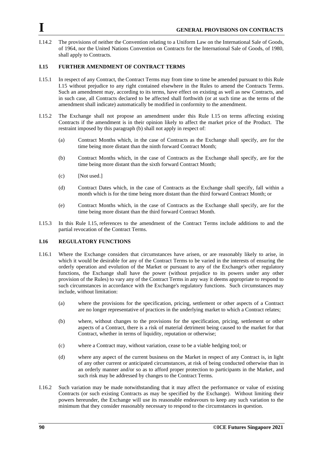I.14.2 The provisions of neither the Convention relating to a Uniform Law on the International Sale of Goods, of 1964, nor the United Nations Convention on Contracts for the International Sale of Goods, of 1980, shall apply to Contracts.

# **I.15 FURTHER AMENDMENT OF CONTRACT TERMS**

- I.15.1 In respect of any Contract, the Contract Terms may from time to time be amended pursuant to this Rule I.15 without prejudice to any right contained elsewhere in the Rules to amend the Contracts Terms. Such an amendment may, according to its terms, have effect on existing as well as new Contracts, and in such case, all Contracts declared to be affected shall forthwith (or at such time as the terms of the amendment shall indicate) automatically be modified in conformity to the amendment.
- I.15.2 The Exchange shall not propose an amendment under this Rule I.15 on terms affecting existing Contracts if the amendment is in their opinion likely to affect the market price of the Product. The restraint imposed by this paragraph (b) shall not apply in respect of:
	- (a) Contract Months which, in the case of Contracts as the Exchange shall specify, are for the time being more distant than the ninth forward Contract Month;
	- (b) Contract Months which, in the case of Contracts as the Exchange shall specify, are for the time being more distant than the sixth forward Contract Month;
	- (c) [Not used.]
	- (d) Contract Dates which, in the case of Contracts as the Exchange shall specify, fall within a month which is for the time being more distant than the third forward Contract Month; or
	- (e) Contract Months which, in the case of Contracts as the Exchange shall specify, are for the time being more distant than the third forward Contract Month.
- I.15.3 In this Rule I.15, references to the amendment of the Contract Terms include additions to and the partial revocation of the Contract Terms.

#### **I.16 REGULATORY FUNCTIONS**

- I.16.1 Where the Exchange considers that circumstances have arisen, or are reasonably likely to arise, in which it would be desirable for any of the Contract Terms to be varied in the interests of ensuring the orderly operation and evolution of the Market or pursuant to any of the Exchange's other regulatory functions, the Exchange shall have the power (without prejudice to its powers under any other provision of the Rules) to vary any of the Contract Terms in any way it deems appropriate to respond to such circumstances in accordance with the Exchange's regulatory functions. Such circumstances may include, without limitation:
	- (a) where the provisions for the specification, pricing, settlement or other aspects of a Contract are no longer representative of practices in the underlying market to which a Contract relates;
	- (b) where, without changes to the provisions for the specification, pricing, settlement or other aspects of a Contract, there is a risk of material detriment being caused to the market for that Contract, whether in terms of liquidity, reputation or otherwise;
	- (c) where a Contract may, without variation, cease to be a viable hedging tool; or
	- (d) where any aspect of the current business on the Market in respect of any Contract is, in light of any other current or anticipated circumstances, at risk of being conducted otherwise than in an orderly manner and/or so as to afford proper protection to participants in the Market, and such risk may be addressed by changes to the Contract Terms.
- I.16.2 Such variation may be made notwithstanding that it may affect the performance or value of existing Contracts (or such existing Contracts as may be specified by the Exchange). Without limiting their powers hereunder, the Exchange will use its reasonable endeavours to keep any such variation to the minimum that they consider reasonably necessary to respond to the circumstances in question.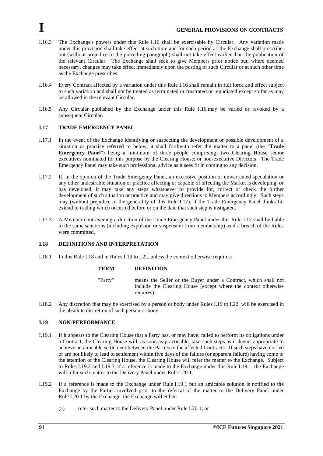- I.16.3 The Exchange's powers under this Rule I.16 shall be exercisable by Circular. Any variation made under this provision shall take effect at such time and for such period as the Exchange shall prescribe, but (without prejudice to the preceding paragraph) shall not take effect earlier than the publication of the relevant Circular. The Exchange shall seek to give Members prior notice but, where deemed necessary, changes may take effect immediately upon the posting of such Circular or at such other time as the Exchange prescribes.
- I.16.4 Every Contract affected by a variation under this Rule I.16 shall remain in full force and effect subject to such variation and shall not be treated as terminated or frustrated or repudiated except so far as may be allowed in the relevant Circular.
- I.16.5 Any Circular published by the Exchange under this Rule I.16 may be varied or revoked by a subsequent Circular.

### **I.17 TRADE EMERGENCY PANEL**

- I.17.1 In the event of the Exchange identifying or suspecting the development or possible development of a situation or practice referred to below, it shall forthwith refer the matter to a panel (the "**Trade Emergency Panel**") being a minimum of three people comprising: two Clearing House senior executives nominated for this purpose by the Clearing House; or non-executive Directors. The Trade Emergency Panel may take such professional advice as it sees fit in coming to any decision.
- I.17.2 If, in the opinion of the Trade Emergency Panel, an excessive position or unwarranted speculation or any other undesirable situation or practice affecting or capable of affecting the Market is developing, or has developed, it may take any steps whatsoever to provide for, correct or check the further development of such situation or practice and may give directions to Members accordingly. Such steps may (without prejudice to the generality of this Rule I.17), if the Trade Emergency Panel thinks fit, extend to trading which occurred before or on the date that such step is instigated.
- I.17.3 A Member contravening a direction of the Trade Emergency Panel under this Rule I.17 shall be liable to the same sanctions (including expulsion or suspension from membership) as if a breach of the Rules were committed.

### <span id="page-90-0"></span>**I.18 DEFINITIONS AND INTERPRETATION**

I.18.1 In this Rule [I.18](#page-90-0) and in Rules [I.19](#page-90-1) t[o I.22,](#page-94-0) unless the context otherwise requires:

#### **TERM DEFINITION**

- "Party" means the Seller or the Buyer under a Contract, which shall not include the Clearing House (except where the context otherwise requires).
- I.18.2 Any discretion that may be exercised by a person or body under Rules [I.19](#page-90-1) to [I.22,](#page-94-0) will be exercised in the absolute discretion of such person or body.

### <span id="page-90-1"></span>**I.19 NON-PERFORMANCE**

- <span id="page-90-3"></span>I.19.1 If it appears to the Clearing House that a Party has, or may have, failed to perform its obligations under a Contract, the Clearing House will, as soon as practicable, take such steps as it deems appropriate to achieve an amicable settlement between the Parties to the affected Contracts. If such steps have not led or are not likely to lead to settlement within five days of the failure (or apparent failure) having come to the attention of the Clearing House, the Clearing House will refer the matter to the Exchange. Subject to Rules [I.19.2](#page-90-2) and [I.19.3,](#page-91-0) if a reference is made to the Exchange under this Rule [I.19.1,](#page-90-3) the Exchange will refer such matter to the Delivery Panel under Rule [I.20.1.](#page-91-1)
- <span id="page-90-4"></span><span id="page-90-2"></span>I.19.2 If a reference is made to the Exchange under Rule [I.19.1](#page-90-3) but an amicable solution is notified to the Exchange by the Parties involved prior to the referral of the matter to the Delivery Panel under Rule [I.20.1](#page-91-1) by the Exchange, the Exchange will either:
	- (a) refer such matter to the Delivery Panel under Rule [I.20.1;](#page-91-1) or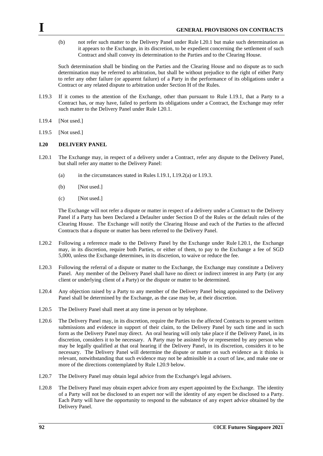(b) not refer such matter to the Delivery Panel under Rule [I.20.1](#page-91-1) but make such determination as it appears to the Exchange, in its discretion, to be expedient concerning the settlement of such Contract and shall convey its determination to the Parties and to the Clearing House.

Such determination shall be binding on the Parties and the Clearing House and no dispute as to such determination may be referred to arbitration, but shall be without prejudice to the right of either Party to refer any other failure (or apparent failure) of a Party in the performance of its obligations under a Contract or any related dispute to arbitration under Section H of the Rules.

- <span id="page-91-0"></span>I.19.3 If it comes to the attention of the Exchange, other than pursuant to Rule [I.19.1,](#page-90-3) that a Party to a Contract has, or may have, failed to perform its obligations under a Contract, the Exchange may refer such matter to the Delivery Panel under Rule [I.20.1.](#page-91-1)
- I.19.4 [Not used.]
- I.19.5 [Not used.]

#### <span id="page-91-3"></span>**I.20 DELIVERY PANEL**

- <span id="page-91-1"></span>I.20.1 The Exchange may, in respect of a delivery under a Contract, refer any dispute to the Delivery Panel, but shall refer any matter to the Delivery Panel:
	- (a) in the circumstances stated in Rules [I.19.1,](#page-90-3) [I.19.2\(a\)](#page-90-4) o[r I.19.3.](#page-91-0)
	- (b) [Not used.]
	- (c) [Not used.]

The Exchange will not refer a dispute or matter in respect of a delivery under a Contract to the Delivery Panel if a Party has been Declared a Defaulter under Section D of the Rules or the default rules of the Clearing House. The Exchange will notify the Clearing House and each of the Parties to the affected Contracts that a dispute or matter has been referred to the Delivery Panel.

- I.20.2 Following a reference made to the Delivery Panel by the Exchange under Rule [I.20.1,](#page-91-1) the Exchange may, in its discretion, require both Parties, or either of them, to pay to the Exchange a fee of SGD 5,000, unless the Exchange determines, in its discretion, to waive or reduce the fee.
- I.20.3 Following the referral of a dispute or matter to the Exchange, the Exchange may constitute a Delivery Panel. Any member of the Delivery Panel shall have no direct or indirect interest in any Party (or any client or underlying client of a Party) or the dispute or matter to be determined.
- <span id="page-91-4"></span>I.20.4 Any objection raised by a Party to any member of the Delivery Panel being appointed to the Delivery Panel shall be determined by the Exchange, as the case may be, at their discretion.
- <span id="page-91-5"></span>I.20.5 The Delivery Panel shall meet at any time in person or by telephone.
- <span id="page-91-2"></span>I.20.6 The Delivery Panel may, in its discretion, require the Parties to the affected Contracts to present written submissions and evidence in support of their claim, to the Delivery Panel by such time and in such form as the Delivery Panel may direct. An oral hearing will only take place if the Delivery Panel, in its discretion, considers it to be necessary. A Party may be assisted by or represented by any person who may be legally qualified at that oral hearing if the Delivery Panel, in its discretion, considers it to be necessary. The Delivery Panel will determine the dispute or matter on such evidence as it thinks is relevant, notwithstanding that such evidence may not be admissible in a court of law, and make one or more of the directions contemplated by Rule [I.20.9](#page-92-0) below.
- <span id="page-91-6"></span>I.20.7 The Delivery Panel may obtain legal advice from the Exchange's legal advisers.
- <span id="page-91-7"></span>I.20.8 The Delivery Panel may obtain expert advice from any expert appointed by the Exchange. The identity of a Party will not be disclosed to an expert nor will the identity of any expert be disclosed to a Party. Each Party will have the opportunity to respond to the substance of any expert advice obtained by the Delivery Panel.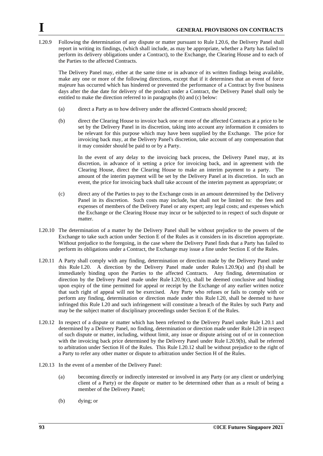<span id="page-92-0"></span>I.20.9 Following the determination of any dispute or matter pursuant to Rule [I.20.6,](#page-91-2) the Delivery Panel shall report in writing its findings, (which shall include, as may be appropriate, whether a Party has failed to perform its delivery obligations under a Contract), to the Exchange, the Clearing House and to each of the Parties to the affected Contracts.

The Delivery Panel may, either at the same time or in advance of its written findings being available, make any one or more of the following directions, except that if it determines that an event of force majeure has occurred which has hindered or prevented the performance of a Contract by five business days after the due date for delivery of the product under a Contract, the Delivery Panel shall only be entitled to make the direction referred to in paragraphs (b) and (c) below:

- <span id="page-92-1"></span>(a) direct a Party as to how delivery under the affected Contracts should proceed;
- <span id="page-92-3"></span>(b) direct the Clearing House to invoice back one or more of the affected Contracts at a price to be set by the Delivery Panel in its discretion, taking into account any information it considers to be relevant for this purpose which may have been supplied by the Exchange. The price for invoicing back may, at the Delivery Panel's discretion, take account of any compensation that it may consider should be paid to or by a Party.

In the event of any delay to the invoicing back process, the Delivery Panel may, at its discretion, in advance of it setting a price for invoicing back, and in agreement with the Clearing House, direct the Clearing House to make an interim payment to a party. The amount of the interim payment will be set by the Delivery Panel at its discretion. In such an event, the price for invoicing back shall take account of the interim payment as appropriate; or

- <span id="page-92-2"></span>(c) direct any of the Parties to pay to the Exchange costs in an amount determined by the Delivery Panel in its discretion. Such costs may include, but shall not be limited to: the fees and expenses of members of the Delivery Panel or any expert; any legal costs; and expenses which the Exchange or the Clearing House may incur or be subjected to in respect of such dispute or matter.
- I.20.10 The determination of a matter by the Delivery Panel shall be without prejudice to the powers of the Exchange to take such action under Section E of the Rules as it considers in its discretion appropriate. Without prejudice to the foregoing, in the case where the Delivery Panel finds that a Party has failed to perform its obligations under a Contract, the Exchange may issue a fine under Section E of the Rules.
- I.20.11 A Party shall comply with any finding, determination or direction made by the Delivery Panel under this Rule [I.20.](#page-91-3) A direction by the Delivery Panel made under Rules [I.20.9\(a\)](#page-92-1) and (b) shall be immediately binding upon the Parties to the affected Contracts. Any finding, determination or direction by the Delivery Panel made under Rule [I.20.9\(c\),](#page-92-2) shall be deemed conclusive and binding upon expiry of the time permitted for appeal or receipt by the Exchange of any earlier written notice that such right of appeal will not be exercised. Any Party who refuses or fails to comply with or perform any finding, determination or direction made under this Rule [I.20,](#page-91-3) shall be deemed to have infringed this Rule I.20 and such infringement will constitute a breach of the Rules by such Party and may be the subject matter of disciplinary proceedings under Section E of the Rules.
- <span id="page-92-4"></span>I.20.12 In respect of a dispute or matter which has been referred to the Delivery Panel under Rule [I.20.1](#page-91-1) and determined by a Delivery Panel, no finding, determination or direction made under Rule [I.20](#page-91-3) in respect of such dispute or matter, including, without limit, any issue or dispute arising out of or in connection with the invoicing back price determined by the Delivery Panel under Rule [I.20.9\(b\),](#page-92-3) shall be referred to arbitration under Section H of the Rules. This Rule [I.20.12](#page-92-4) shall be without prejudice to the right of a Party to refer any other matter or dispute to arbitration under Section H of the Rules.
- I.20.13 In the event of a member of the Delivery Panel:
	- (a) becoming directly or indirectly interested or involved in any Party (or any client or underlying client of a Party) or the dispute or matter to be determined other than as a result of being a member of the Delivery Panel;
	- (b) dying; or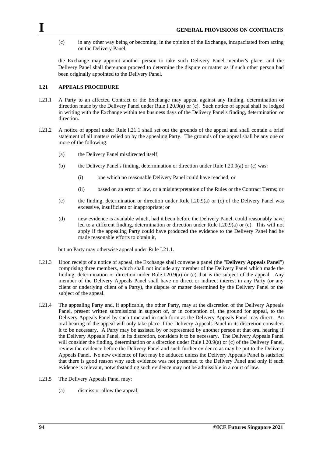(c) in any other way being or becoming, in the opinion of the Exchange, incapacitated from acting on the Delivery Panel,

the Exchange may appoint another person to take such Delivery Panel member's place, and the Delivery Panel shall thereupon proceed to determine the dispute or matter as if such other person had been originally appointed to the Delivery Panel.

# <span id="page-93-1"></span>**I.21 APPEALS PROCEDURE**

- <span id="page-93-0"></span>I.21.1 A Party to an affected Contract or the Exchange may appeal against any finding, determination or direction made by the Delivery Panel under Rule [I.20.9\(a\)](#page-92-1) o[r \(c\).](#page-92-2) Such notice of appeal shall be lodged in writing with the Exchange within ten business days of the Delivery Panel's finding, determination or direction.
- I.21.2 A notice of appeal under Rule [I.21.1](#page-93-0) shall set out the grounds of the appeal and shall contain a brief statement of all matters relied on by the appealing Party. The grounds of the appeal shall be any one or more of the following:
	- (a) the Delivery Panel misdirected itself;
	- (b) the Delivery Panel's finding, determination or direction under Rule [I.20.9\(a\)](#page-92-1) or [\(c\)](#page-92-2) was:
		- (i) one which no reasonable Delivery Panel could have reached; or
		- (ii) based on an error of law, or a misinterpretation of the Rules or the Contract Terms; or
	- (c) the finding, determination or direction under Rule [I.20.9\(a\)](#page-92-1) or [\(c\)](#page-92-2) of the Delivery Panel was excessive, insufficient or inappropriate; or
	- (d) new evidence is available which, had it been before the Delivery Panel, could reasonably have led to a different finding, determination or direction under Rule [I.20.9\(a\)](#page-92-1) or [\(c\).](#page-92-2) This will not apply if the appealing Party could have produced the evidence to the Delivery Panel had he made reasonable efforts to obtain it,

but no Party may otherwise appeal under Rule [I.21.1.](#page-93-0)

- I.21.3 Upon receipt of a notice of appeal, the Exchange shall convene a panel (the "**Delivery Appeals Panel**") comprising three members, which shall not include any member of the Delivery Panel which made the finding, determination or direction under Rule [I.20.9\(a\)](#page-92-1) or [\(c\)](#page-92-2) that is the subject of the appeal. Any member of the Delivery Appeals Panel shall have no direct or indirect interest in any Party (or any client or underlying client of a Party), the dispute or matter determined by the Delivery Panel or the subject of the appeal.
- I.21.4 The appealing Party and, if applicable, the other Party, may at the discretion of the Delivery Appeals Panel, present written submissions in support of, or in contention of, the ground for appeal, to the Delivery Appeals Panel by such time and in such form as the Delivery Appeals Panel may direct. An oral hearing of the appeal will only take place if the Delivery Appeals Panel in its discretion considers it to be necessary. A Party may be assisted by or represented by another person at that oral hearing if the Delivery Appeals Panel, in its discretion, considers it to be necessary. The Delivery Appeals Panel will consider the finding, determination or a direction under Rule [I.20.9\(a\)](#page-92-1) or [\(c\)](#page-92-2) of the Delivery Panel, review the evidence before the Delivery Panel and such further evidence as may be put to the Delivery Appeals Panel. No new evidence of fact may be adduced unless the Delivery Appeals Panel is satisfied that there is good reason why such evidence was not presented to the Delivery Panel and only if such evidence is relevant, notwithstanding such evidence may not be admissible in a court of law.
- I.21.5 The Delivery Appeals Panel may:
	- (a) dismiss or allow the appeal;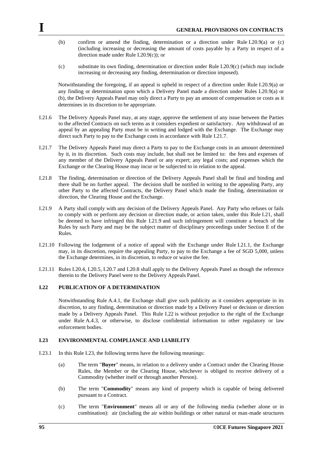- (b) confirm or amend the finding, determination or a direction under Rule [I.20.9\(a\)](#page-92-1) or (c) (including increasing or decreasing the amount of costs payable by a Party in respect of a direction made under Rule [I.20.9\(c\)\)](#page-92-2); or
- (c) substitute its own finding, determination or direction under Rule [I.20.9\(c\)](#page-92-2) (which may include increasing or decreasing any finding, determination or direction imposed).

Notwithstanding the foregoing, if an appeal is upheld in respect of a direction under Rule [I.20.9\(a\)](#page-92-1) or any finding or determination upon which a Delivery Panel made a direction under Rules [I.20.9\(a\)](#page-92-1) or [\(b\),](#page-92-3) the Delivery Appeals Panel may only direct a Party to pay an amount of compensation or costs as it determines in its discretion to be appropriate.

- I.21.6 The Delivery Appeals Panel may, at any stage, approve the settlement of any issue between the Parties to the affected Contracts on such terms as it considers expedient or satisfactory. Any withdrawal of an appeal by an appealing Party must be in writing and lodged with the Exchange. The Exchange may direct such Party to pay to the Exchange costs in accordance with Rule [I.21.7.](#page-94-1)
- <span id="page-94-1"></span>I.21.7 The Delivery Appeals Panel may direct a Party to pay to the Exchange costs in an amount determined by it, in its discretion. Such costs may include, but shall not be limited to: the fees and expenses of any member of the Delivery Appeals Panel or any expert; any legal costs; and expenses which the Exchange or the Clearing House may incur or be subjected to in relation to the appeal.
- I.21.8 The finding, determination or direction of the Delivery Appeals Panel shall be final and binding and there shall be no further appeal. The decision shall be notified in writing to the appealing Party, any other Party to the affected Contracts, the Delivery Panel which made the finding, determination or direction, the Clearing House and the Exchange.
- I.21.9 A Party shall comply with any decision of the Delivery Appeals Panel. Any Party who refuses or fails to comply with or perform any decision or direction made, or action taken, under this Rule [I.21,](#page-93-1) shall be deemed to have infringed this Rule I.21.9 and such infringement will constitute a breach of the Rules by such Party and may be the subject matter of disciplinary proceedings under Section E of the Rules.
- I.21.10 Following the lodgement of a notice of appeal with the Exchange under Rule [I.21.1,](#page-93-0) the Exchange may, in its discretion, require the appealing Party, to pay to the Exchange a fee of SGD 5,000, unless the Exchange determines, in its discretion, to reduce or waive the fee.
- I.21.11 Rules [I.20.4,](#page-91-4) [I.20.5,](#page-91-5) [I.20.7](#page-91-6) and [I.20.8](#page-91-7) shall apply to the Delivery Appeals Panel as though the reference therein to the Delivery Panel were to the Delivery Appeals Panel.

### <span id="page-94-0"></span>**I.22 PUBLICATION OF A DETERMINATION**

Notwithstanding Rule A.4.1, the Exchange shall give such publicity as it considers appropriate in its discretion, to any finding, determination or direction made by a Delivery Panel or decision or direction made by a Delivery Appeals Panel. This Rule I.22 is without prejudice to the right of the Exchange under Rule A.4.3, or otherwise, to disclose confidential information to other regulatory or law enforcement bodies.

### <span id="page-94-2"></span>**I.23 ENVIRONMENTAL COMPLIANCE AND LIABILITY**

- I.23.1 In this Rule [I.23,](#page-94-2) the following terms have the following meanings:
	- (a) The term "**Buyer**" means, in relation to a delivery under a Contract under the Clearing House Rules, the Member or the Clearing House, whichever is obliged to receive delivery of a Commodity (whether itself or through another Person).
	- (b) The term "**Commodity**" means any kind of property which is capable of being delivered pursuant to a Contract.
	- (c) The term "**Environment**" means all or any of the following media (whether alone or in combination): air (including the air within buildings or other natural or man-made structures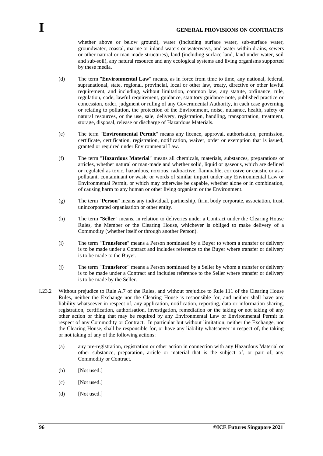whether above or below ground), water (including surface water, sub-surface water, groundwater, coastal, marine or inland waters or waterways, and water within drains, sewers or other natural or man-made structures), land (including surface land, land under water, soil and sub-soil), any natural resource and any ecological systems and living organisms supported by these media.

- (d) The term "**Environmental Law**" means, as in force from time to time, any national, federal, supranational, state, regional, provincial, local or other law, treaty, directive or other lawful requirement, and including, without limitation, common law, any statute, ordinance, rule, regulation, code, lawful requirement, guidance, statutory guidance note, published practice or concession, order, judgment or ruling of any Governmental Authority, in each case governing or relating to pollution, the protection of the Environment, noise, nuisance, health, safety or natural resources, or the use, sale, delivery, registration, handling, transportation, treatment, storage, disposal, release or discharge of Hazardous Materials.
- (e) The term "**Environmental Permit**" means any licence, approval, authorisation, permission, certificate, certification, registration, notification, waiver, order or exemption that is issued, granted or required under Environmental Law.
- (f) The term "**Hazardous Material**" means all chemicals, materials, substances, preparations or articles, whether natural or man-made and whether solid, liquid or gaseous, which are defined or regulated as toxic, hazardous, noxious, radioactive, flammable, corrosive or caustic or as a pollutant, contaminant or waste or words of similar import under any Environmental Law or Environmental Permit, or which may otherwise be capable, whether alone or in combination, of causing harm to any human or other living organism or the Environment.
- (g) The term "**Person**" means any individual, partnership, firm, body corporate, association, trust, unincorporated organisation or other entity.
- (h) The term "**Seller**" means, in relation to deliveries under a Contract under the Clearing House Rules, the Member or the Clearing House, whichever is obliged to make delivery of a Commodity (whether itself or through another Person).
- (i) The term "**Transferee**" means a Person nominated by a Buyer to whom a transfer or delivery is to be made under a Contract and includes reference to the Buyer where transfer or delivery is to be made to the Buyer.
- (j) The term "**Transferor**" means a Person nominated by a Seller by whom a transfer or delivery is to be made under a Contract and includes reference to the Seller where transfer or delivery is to be made by the Seller.
- <span id="page-95-0"></span>I.23.2 Without prejudice to Rule A.7 of the Rules, and without prejudice to Rule 111 of the Clearing House Rules, neither the Exchange nor the Clearing House is responsible for, and neither shall have any liability whatsoever in respect of, any application, notification, reporting, data or information sharing, registration, certification, authorisation, investigation, remediation or the taking or not taking of any other action or thing that may be required by any Environmental Law or Environmental Permit in respect of any Commodity or Contract. In particular but without limitation, neither the Exchange, nor the Clearing House, shall be responsible for, or have any liability whatsoever in respect of, the taking or not taking of any of the following actions:
	- (a) any pre-registration, registration or other action in connection with any Hazardous Material or other substance, preparation, article or material that is the subject of, or part of, any Commodity or Contract.
	- (b) [Not used.]
	- (c) [Not used.]
	- (d) [Not used.]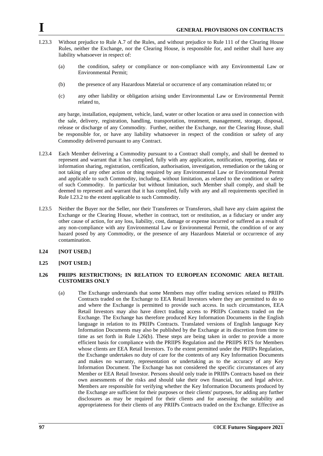- I.23.3 Without prejudice to Rule A.7 of the Rules, and without prejudice to Rule 111 of the Clearing House Rules, neither the Exchange, nor the Clearing House, is responsible for, and neither shall have any liability whatsoever in respect of:
	- (a) the condition, safety or compliance or non-compliance with any Environmental Law or Environmental Permit;
	- (b) the presence of any Hazardous Material or occurrence of any contamination related to; or
	- (c) any other liability or obligation arising under Environmental Law or Environmental Permit related to,

any barge, installation, equipment, vehicle, land, water or other location or area used in connection with the sale, delivery, registration, handling, transportation, treatment, management, storage, disposal, release or discharge of any Commodity. Further, neither the Exchange, nor the Clearing House, shall be responsible for, or have any liability whatsoever in respect of the condition or safety of any Commodity delivered pursuant to any Contract.

- I.23.4 Each Member delivering a Commodity pursuant to a Contract shall comply, and shall be deemed to represent and warrant that it has complied, fully with any application, notification, reporting, data or information sharing, registration, certification, authorisation, investigation, remediation or the taking or not taking of any other action or thing required by any Environmental Law or Environmental Permit and applicable to such Commodity, including, without limitation, as related to the condition or safety of such Commodity. In particular but without limitation, such Member shall comply, and shall be deemed to represent and warrant that it has complied, fully with any and all requirements specified in Rule [I.23.2](#page-95-0) to the extent applicable to such Commodity.
- I.23.5 Neither the Buyer nor the Seller, nor their Transferees or Transferors, shall have any claim against the Exchange or the Clearing House, whether in contract, tort or restitution, as a fiduciary or under any other cause of action, for any loss, liability, cost, damage or expense incurred or suffered as a result of any non-compliance with any Environmental Law or Environmental Permit, the condition of or any hazard posed by any Commodity, or the presence of any Hazardous Material or occurrence of any contamination.
- **I.24 [NOT USED.]**
- **I.25 [NOT USED.]**

## **I.26 PRIIPS RESTRICTIONS; IN RELATION TO EUROPEAN ECONOMIC AREA RETAIL CUSTOMERS ONLY**

(a) The Exchange understands that some Members may offer trading services related to PRIIPs Contracts traded on the Exchange to EEA Retail Investors where they are permitted to do so and where the Exchange is permitted to provide such access. In such circumstances, EEA Retail Investors may also have direct trading access to PRIIPs Contracts traded on the Exchange. The Exchange has therefore produced Key Information Documents in the English language in relation to its PRIIPs Contracts. Translated versions of English language Key Information Documents may also be published by the Exchange at its discretion from time to time as set forth in Rule I.26(b). These steps are being taken in order to provide a more efficient basis for compliance with the PRIIPS Regulation and the PRIIPS RTS for Members whose clients are EEA Retail Investors. To the extent permitted under the PRIIPs Regulation, the Exchange undertakes no duty of care for the contents of any Key Information Documents and makes no warranty, representation or undertaking as to the accuracy of any Key Information Document. The Exchange has not considered the specific circumstances of any Member or EEA Retail Investor. Persons should only trade in PRIIPs Contracts based on their own assessments of the risks and should take their own financial, tax and legal advice. Members are responsible for verifying whether the Key Information Documents produced by the Exchange are sufficient for their purposes or their clients' purposes, for adding any further disclosures as may be required for their clients and for assessing the suitability and appropriateness for their clients of any PRIIPs Contracts traded on the Exchange. Effective as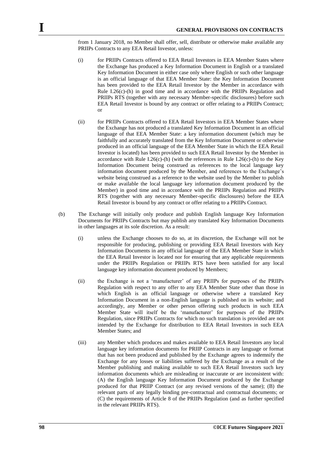from 1 January 2018, no Member shall offer, sell, distribute or otherwise make available any PRIIPs Contracts to any EEA Retail Investor, unless:

- (i) for PRIIPs Contracts offered to EEA Retail Investors in EEA Member States where the Exchange has produced a Key Information Document in English or a translated Key Information Document in either case only where English or such other language is an official language of that EEA Member State: the Key Information Document has been provided to the EEA Retail Investor by the Member in accordance with Rule I.26 $(c)$ -(h) in good time and in accordance with the PRIIPs Regulation and PRIIPs RTS (together with any necessary Member-specific disclosures) before such EEA Retail Investor is bound by any contract or offer relating to a PRIIPs Contract; or
- (ii) for PRIIPs Contracts offered to EEA Retail Investors in EEA Member States where the Exchange has not produced a translated Key Information Document in an official language of that EEA Member State: a key information document (which may be faithfully and accurately translated from the Key Information Document or otherwise produced in an official language of the EEA Member State in which the EEA Retail Investor is located) has been provided to such EEA Retail Investor by the Member in accordance with Rule I.26(c)-(h) (with the references in Rule I.26(c)-(h) to the Key Information Document being construed as references to the local language key information document produced by the Member, and references to the Exchange's website being construed as a reference to the website used by the Member to publish or make available the local language key information document produced by the Member) in good time and in accordance with the PRIIPs Regulation and PRIIPs RTS (together with any necessary Member-specific disclosures) before the EEA Retail Investor is bound by any contract or offer relating to a PRIIPs Contract.
- (b) The Exchange will initially only produce and publish English language Key Information Documents for PRIIPs Contracts but may publish any translated Key Information Documents in other languages at its sole discretion. As a result:
	- (i) unless the Exchange chooses to do so, at its discretion, the Exchange will not be responsible for producing, publishing or providing EEA Retail Investors with Key Information Documents in any official language of the EEA Member State in which the EEA Retail Investor is located nor for ensuring that any applicable requirements under the PRIIPs Regulation or PRIIPs RTS have been satisfied for any local language key information document produced by Members;
	- (ii) the Exchange is not a 'manufacturer' of any PRIIPs for purposes of the PRIIPs Regulation with respect to any offer to any EEA Member State other than those in which English is an official language or otherwise where a translated Key Information Document in a non-English language is published on its website; and accordingly, any Member or other person offering such products in such EEA Member State will itself be the 'manufacturer' for purposes of the PRIIPs Regulation, since PRIIPs Contracts for which no such translation is provided are not intended by the Exchange for distribution to EEA Retail Investors in such EEA Member States; and
	- (iii) any Member which produces and makes available to EEA Retail Investors any local language key information documents for PRIIP Contracts in any language or format that has not been produced and published by the Exchange agrees to indemnify the Exchange for any losses or liabilities suffered by the Exchange as a result of the Member publishing and making available to such EEA Retail Investors such key information documents which are misleading or inaccurate or are inconsistent with: (A) the English language Key Information Document produced by the Exchange produced for that PRIIP Contract (or any revised versions of the same); (B) the relevant parts of any legally binding pre-contractual and contractual documents; or (C) the requirements of Article 8 of the PRIIPs Regulation (and as further specified in the relevant PRIIPs RTS).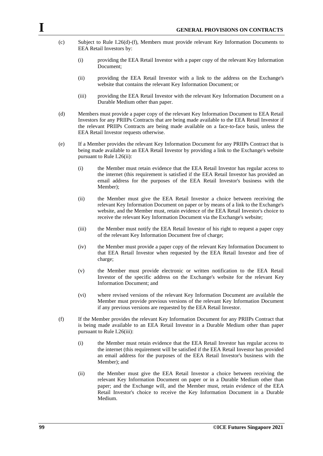- (c) Subject to Rule I.26(d)-(f), Members must provide relevant Key Information Documents to EEA Retail Investors by:
	- (i) providing the EEA Retail Investor with a paper copy of the relevant Key Information Document;
	- (ii) providing the EEA Retail Investor with a link to the address on the Exchange's website that contains the relevant Key Information Document; or
	- (iii) providing the EEA Retail Investor with the relevant Key Information Document on a Durable Medium other than paper.
- (d) Members must provide a paper copy of the relevant Key Information Document to EEA Retail Investors for any PRIIPs Contracts that are being made available to the EEA Retail Investor if the relevant PRIIPs Contracts are being made available on a face-to-face basis, unless the EEA Retail Investor requests otherwise.
- (e) If a Member provides the relevant Key Information Document for any PRIIPs Contract that is being made available to an EEA Retail Investor by providing a link to the Exchange's website pursuant to Rule I.26(ii):
	- (i) the Member must retain evidence that the EEA Retail Investor has regular access to the internet (this requirement is satisfied if the EEA Retail Investor has provided an email address for the purposes of the EEA Retail Investor's business with the Member);
	- (ii) the Member must give the EEA Retail Investor a choice between receiving the relevant Key Information Document on paper or by means of a link to the Exchange's website, and the Member must, retain evidence of the EEA Retail Investor's choice to receive the relevant Key Information Document via the Exchange's website;
	- (iii) the Member must notify the EEA Retail Investor of his right to request a paper copy of the relevant Key Information Document free of charge;
	- (iv) the Member must provide a paper copy of the relevant Key Information Document to that EEA Retail Investor when requested by the EEA Retail Investor and free of charge;
	- (v) the Member must provide electronic or written notification to the EEA Retail Investor of the specific address on the Exchange's website for the relevant Key Information Document; and
	- (vi) where revised versions of the relevant Key Information Document are available the Member must provide previous versions of the relevant Key Information Document if any previous versions are requested by the EEA Retail Investor.
- (f) If the Member provides the relevant Key Information Document for any PRIIPs Contract that is being made available to an EEA Retail Investor in a Durable Medium other than paper pursuant to Rule I.26(iii):
	- (i) the Member must retain evidence that the EEA Retail Investor has regular access to the internet (this requirement will be satisfied if the EEA Retail Investor has provided an email address for the purposes of the EEA Retail Investor's business with the Member); and
	- (ii) the Member must give the EEA Retail Investor a choice between receiving the relevant Key Information Document on paper or in a Durable Medium other than paper; and the Exchange will, and the Member must, retain evidence of the EEA Retail Investor's choice to receive the Key Information Document in a Durable Medium.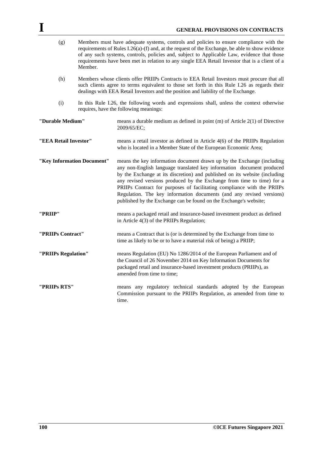| (g)                        | Members must have adequate systems, controls and policies to ensure compliance with the<br>requirements of Rules $I.26(a)$ -(f) and, at the request of the Exchange, be able to show evidence<br>of any such systems, controls, policies and, subject to Applicable Law, evidence that those<br>requirements have been met in relation to any single EEA Retail Investor that is a client of a<br>Member. |                                                                                                                                                                                                                                                                                                                                                                                                                                                                                                                                 |  |
|----------------------------|-----------------------------------------------------------------------------------------------------------------------------------------------------------------------------------------------------------------------------------------------------------------------------------------------------------------------------------------------------------------------------------------------------------|---------------------------------------------------------------------------------------------------------------------------------------------------------------------------------------------------------------------------------------------------------------------------------------------------------------------------------------------------------------------------------------------------------------------------------------------------------------------------------------------------------------------------------|--|
| (h)                        | Members whose clients offer PRIIPs Contracts to EEA Retail Investors must procure that all<br>such clients agree to terms equivalent to those set forth in this Rule I.26 as regards their<br>dealings with EEA Retail Investors and the position and liability of the Exchange.                                                                                                                          |                                                                                                                                                                                                                                                                                                                                                                                                                                                                                                                                 |  |
| (i)                        | In this Rule I.26, the following words and expressions shall, unless the context otherwise<br>requires, have the following meanings:                                                                                                                                                                                                                                                                      |                                                                                                                                                                                                                                                                                                                                                                                                                                                                                                                                 |  |
| "Durable Medium"           |                                                                                                                                                                                                                                                                                                                                                                                                           | means a durable medium as defined in point $(m)$ of Article $2(1)$ of Directive<br>2009/65/EC;                                                                                                                                                                                                                                                                                                                                                                                                                                  |  |
| "EEA Retail Investor"      |                                                                                                                                                                                                                                                                                                                                                                                                           | means a retail investor as defined in Article 4(6) of the PRIIPs Regulation<br>who is located in a Member State of the European Economic Area;                                                                                                                                                                                                                                                                                                                                                                                  |  |
| "Key Information Document" |                                                                                                                                                                                                                                                                                                                                                                                                           | means the key information document drawn up by the Exchange (including<br>any non-English language translated key information document produced<br>by the Exchange at its discretion) and published on its website (including<br>any revised versions produced by the Exchange from time to time) for a<br>PRIIPs Contract for purposes of facilitating compliance with the PRIIPs<br>Regulation. The key information documents (and any revised versions)<br>published by the Exchange can be found on the Exchange's website; |  |
| ''PRIIP''                  |                                                                                                                                                                                                                                                                                                                                                                                                           | means a packaged retail and insurance-based investment product as defined<br>in Article 4(3) of the PRIIPs Regulation;                                                                                                                                                                                                                                                                                                                                                                                                          |  |
| "PRIIPs Contract"          |                                                                                                                                                                                                                                                                                                                                                                                                           | means a Contract that is (or is determined by the Exchange from time to<br>time as likely to be or to have a material risk of being) a PRIIP;                                                                                                                                                                                                                                                                                                                                                                                   |  |
| "PRIIPs Regulation"        |                                                                                                                                                                                                                                                                                                                                                                                                           | means Regulation (EU) No 1286/2014 of the European Parliament and of<br>the Council of 26 November 2014 on Key Information Documents for<br>packaged retail and insurance-based investment products (PRIIPs), as<br>amended from time to time;                                                                                                                                                                                                                                                                                  |  |
| "PRIIPs RTS"               |                                                                                                                                                                                                                                                                                                                                                                                                           | means any regulatory technical standards adopted by the European<br>Commission pursuant to the PRIIPs Regulation, as amended from time to<br>time.                                                                                                                                                                                                                                                                                                                                                                              |  |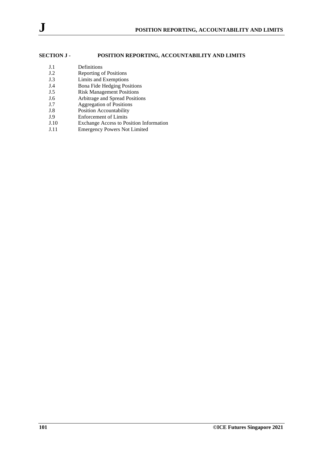# **SECTION J - POSITION REPORTING, ACCOUNTABILITY AND LIMITS**

- J.1 Definitions
- J.2 Reporting of Positions
- J.3 Limits and Exemptions
- J.4 Bona Fide Hedging Positions<br>
J.5 Risk Management Positions
- J.5 Risk Management Positions<br>
J.6 Arbitrage and Spread Position
- J.6 Arbitrage and Spread Positions<br>
J.7 Aggregation of Positions Aggregation of Positions
- 
- J.8 Position Accountability<br>
J.9 Enforcement of Limits Enforcement of Limits
- J.10 Exchange Access to Position Information
- J.11 Emergency Powers Not Limited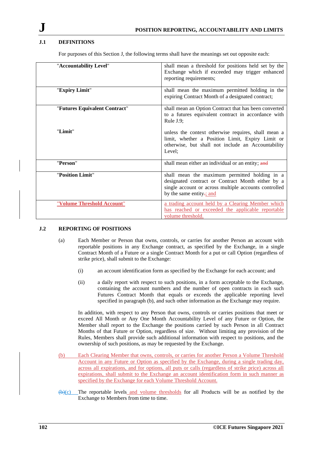# **J.1 DEFINITIONS**

For purposes of this Section J, the following terms shall have the meanings set out opposite each:

| "Accountability Level"        | shall mean a threshold for positions held set by the<br>Exchange which if exceeded may trigger enhanced<br>reporting requirements;                                                      |
|-------------------------------|-----------------------------------------------------------------------------------------------------------------------------------------------------------------------------------------|
| "Expiry Limit"                | shall mean the maximum permitted holding in the<br>expiring Contract Month of a designated contract;                                                                                    |
| "Futures Equivalent Contract" | shall mean an Option Contract that has been converted<br>to a futures equivalent contract in accordance with<br>Rule $J.9$ :                                                            |
| "Limit"                       | unless the context otherwise requires, shall mean a<br>limit, whether a Position Limit, Expiry Limit or<br>otherwise, but shall not include an Accountability<br>Level:                 |
| "Person"                      | shall mean either an individual or an entity; and                                                                                                                                       |
| "Position Limit"              | shall mean the maximum permitted holding in a<br>designated contract or Contract Month either by a<br>single account or across multiple accounts controlled<br>by the same entity-; and |
| "Volume Threshold Account"    | a trading account held by a Clearing Member which<br>has reached or exceeded the applicable reportable<br>volume threshold.                                                             |

## **J.2 REPORTING OF POSITIONS**

- (a) Each Member or Person that owns, controls, or carries for another Person an account with reportable positions in any Exchange contract, as specified by the Exchange, in a single Contract Month of a Future or a single Contract Month for a put or call Option (regardless of strike price), shall submit to the Exchange:
	- (i) an account identification form as specified by the Exchange for each account; and
	- (ii) a daily report with respect to such positions, in a form acceptable to the Exchange, containing the account numbers and the number of open contracts in each such Futures Contract Month that equals or exceeds the applicable reporting level specified in paragraph (b), and such other information as the Exchange may require.

In addition, with respect to any Person that owns, controls or carries positions that meet or exceed All Month or Any One Month Accountability Level of any Future or Option, the Member shall report to the Exchange the positions carried by such Person in all Contract Months of that Future or Option, regardless of size. Without limiting any provision of the Rules, Members shall provide such additional information with respect to positions, and the ownership of such positions, as may be requested by the Exchange.

- (b) Each Clearing Member that owns, controls, or carries for another Person a Volume Threshold Account in any Future or Option as specified by the Exchange, during a single trading day, across all expirations, and for options, all puts or calls (regardless of strike price) across all expirations, shall submit to the Exchange an account identification form in such manner as specified by the Exchange for each Volume Threshold Account.
- $(b)$ (c) The reportable levels and volume thresholds for all Products will be as notified by the Exchange to Members from time to time.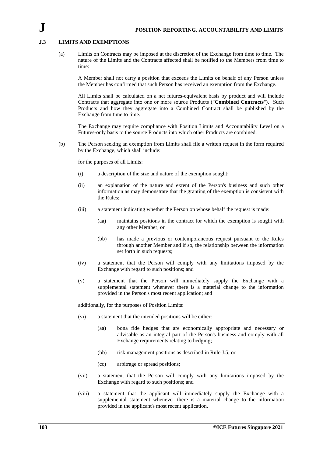#### **J.3 LIMITS AND EXEMPTIONS**

(a) Limits on Contracts may be imposed at the discretion of the Exchange from time to time. The nature of the Limits and the Contracts affected shall be notified to the Members from time to time:

A Member shall not carry a position that exceeds the Limits on behalf of any Person unless the Member has confirmed that such Person has received an exemption from the Exchange.

All Limits shall be calculated on a net futures-equivalent basis by product and will include Contracts that aggregate into one or more source Products ("**Combined Contracts**"). Such Products and how they aggregate into a Combined Contract shall be published by the Exchange from time to time.

The Exchange may require compliance with Position Limits and Accountability Level on a Futures-only basis to the source Products into which other Products are combined.

(b) The Person seeking an exemption from Limits shall file a written request in the form required by the Exchange, which shall include:

for the purposes of all Limits:

- (i) a description of the size and nature of the exemption sought;
- (ii) an explanation of the nature and extent of the Person's business and such other information as may demonstrate that the granting of the exemption is consistent with the Rules;
- (iii) a statement indicating whether the Person on whose behalf the request is made:
	- (aa) maintains positions in the contract for which the exemption is sought with any other Member; or
	- (bb) has made a previous or contemporaneous request pursuant to the Rules through another Member and if so, the relationship between the information set forth in such requests;
- (iv) a statement that the Person will comply with any limitations imposed by the Exchange with regard to such positions; and
- (v) a statement that the Person will immediately supply the Exchange with a supplemental statement whenever there is a material change to the information provided in the Person's most recent application; and

additionally, for the purposes of Position Limits:

- (vi) a statement that the intended positions will be either:
	- (aa) bona fide hedges that are economically appropriate and necessary or advisable as an integral part of the Person's business and comply with all Exchange requirements relating to hedging;
	- (bb) risk management positions as described in Rule J.5; or
	- (cc) arbitrage or spread positions;
- (vii) a statement that the Person will comply with any limitations imposed by the Exchange with regard to such positions; and
- (viii) a statement that the applicant will immediately supply the Exchange with a supplemental statement whenever there is a material change to the information provided in the applicant's most recent application.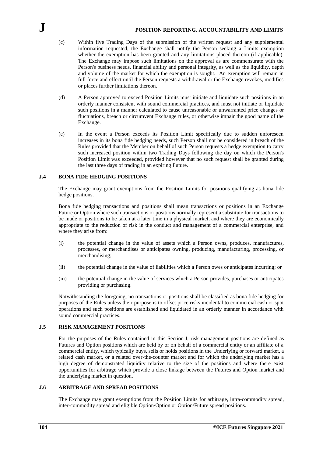- (c) Within five Trading Days of the submission of the written request and any supplemental information requested, the Exchange shall notify the Person seeking a Limits exemption whether the exemption has been granted and any limitations placed thereon (if applicable). The Exchange may impose such limitations on the approval as are commensurate with the Person's business needs, financial ability and personal integrity, as well as the liquidity, depth and volume of the market for which the exemption is sought. An exemption will remain in full force and effect until the Person requests a withdrawal or the Exchange revokes, modifies or places further limitations thereon.
- (d) A Person approved to exceed Position Limits must initiate and liquidate such positions in an orderly manner consistent with sound commercial practices, and must not initiate or liquidate such positions in a manner calculated to cause unreasonable or unwarranted price changes or fluctuations, breach or circumvent Exchange rules, or otherwise impair the good name of the Exchange.
- (e) In the event a Person exceeds its Position Limit specifically due to sudden unforeseen increases in its bona fide hedging needs, such Person shall not be considered in breach of the Rules provided that the Member on behalf of such Person requests a hedge exemption to carry such increased position within two Trading Days following the day on which the Person's Position Limit was exceeded, provided however that no such request shall be granted during the last three days of trading in an expiring Future.

## **J.4 BONA FIDE HEDGING POSITIONS**

The Exchange may grant exemptions from the Position Limits for positions qualifying as bona fide hedge positions.

Bona fide hedging transactions and positions shall mean transactions or positions in an Exchange Future or Option where such transactions or positions normally represent a substitute for transactions to be made or positions to be taken at a later time in a physical market, and where they are economically appropriate to the reduction of risk in the conduct and management of a commercial enterprise, and where they arise from:

- (i) the potential change in the value of assets which a Person owns, produces, manufactures, processes, or merchandises or anticipates owning, producing, manufacturing, processing, or merchandising;
- (ii) the potential change in the value of liabilities which a Person owes or anticipates incurring; or
- (iii) the potential change in the value of services which a Person provides, purchases or anticipates providing or purchasing.

Notwithstanding the foregoing, no transactions or positions shall be classified as bona fide hedging for purposes of the Rules unless their purpose is to offset price risks incidental to commercial cash or spot operations and such positions are established and liquidated in an orderly manner in accordance with sound commercial practices.

#### **J.5 RISK MANAGEMENT POSITIONS**

For the purposes of the Rules contained in this Section J, risk management positions are defined as Futures and Option positions which are held by or on behalf of a commercial entity or an affiliate of a commercial entity, which typically buys, sells or holds positions in the Underlying or forward market, a related cash market, or a related over-the-counter market and for which the underlying market has a high degree of demonstrated liquidity relative to the size of the positions and where there exist opportunities for arbitrage which provide a close linkage between the Futures and Option market and the underlying market in question.

## **J.6 ARBITRAGE AND SPREAD POSITIONS**

The Exchange may grant exemptions from the Position Limits for arbitrage, intra-commodity spread, inter-commodity spread and eligible Option/Option or Option/Future spread positions.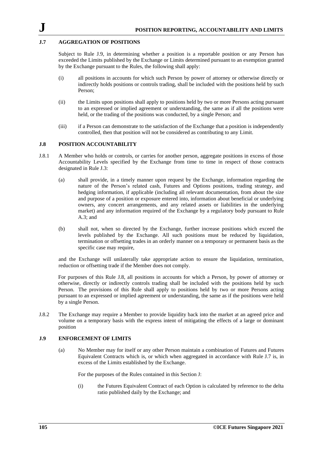### **J.7 AGGREGATION OF POSITIONS**

Subject to Rule J.9, in determining whether a position is a reportable position or any Person has exceeded the Limits published by the Exchange or Limits determined pursuant to an exemption granted by the Exchange pursuant to the Rules, the following shall apply:

- (i) all positions in accounts for which such Person by power of attorney or otherwise directly or indirectly holds positions or controls trading, shall be included with the positions held by such Person;
- (ii) the Limits upon positions shall apply to positions held by two or more Persons acting pursuant to an expressed or implied agreement or understanding, the same as if all the positions were held, or the trading of the positions was conducted, by a single Person; and
- (iii) if a Person can demonstrate to the satisfaction of the Exchange that a position is independently controlled, then that position will not be considered as contributing to any Limit.

#### **J.8 POSITION ACCOUNTABILITY**

- J.8.1 A Member who holds or controls, or carries for another person, aggregate positions in excess of those Accountability Levels specified by the Exchange from time to time in respect of those contracts designated in Rule J.3:
	- (a) shall provide, in a timely manner upon request by the Exchange, information regarding the nature of the Person's related cash, Futures and Options positions, trading strategy, and hedging information, if applicable (including all relevant documentation, from about the size and purpose of a position or exposure entered into, information about beneficial or underlying owners, any concert arrangements, and any related assets or liabilities in the underlying market) and any information required of the Exchange by a regulatory body pursuant to Rule A.3; and
	- (b) shall not, when so directed by the Exchange, further increase positions which exceed the levels published by the Exchange. All such positions must be reduced by liquidation, termination or offsetting trades in an orderly manner on a temporary or permanent basis as the specific case may require,

and the Exchange will unilaterally take appropriate action to ensure the liquidation, termination, reduction or offsetting trade if the Member does not comply.

For purposes of this Rule J.8, all positions in accounts for which a Person, by power of attorney or otherwise, directly or indirectly controls trading shall be included with the positions held by such Person. The provisions of this Rule shall apply to positions held by two or more Persons acting pursuant to an expressed or implied agreement or understanding, the same as if the positions were held by a single Person.

J.8.2 The Exchange may require a Member to provide liquidity back into the market at an agreed price and volume on a temporary basis with the express intent of mitigating the effects of a large or dominant position

### **J.9 ENFORCEMENT OF LIMITS**

(a) No Member may for itself or any other Person maintain a combination of Futures and Futures Equivalent Contracts which is, or which when aggregated in accordance with Rule J.7 is, in excess of the Limits established by the Exchange.

For the purposes of the Rules contained in this Section J:

(i) the Futures Equivalent Contract of each Option is calculated by reference to the delta ratio published daily by the Exchange; and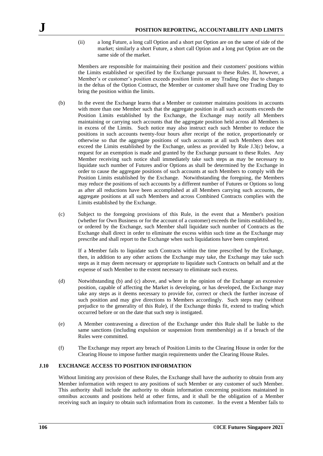(ii) a long Future, a long call Option and a short put Option are on the same of side of the market; similarly a short Future, a short call Option and a long put Option are on the same side of the market.

Members are responsible for maintaining their position and their customers' positions within the Limits established or specified by the Exchange pursuant to these Rules. If, however, a Member's or customer's position exceeds position limits on any Trading Day due to changes in the deltas of the Option Contract, the Member or customer shall have one Trading Day to bring the position within the limits.

- (b) In the event the Exchange learns that a Member or customer maintains positions in accounts with more than one Member such that the aggregate position in all such accounts exceeds the Position Limits established by the Exchange, the Exchange may notify all Members maintaining or carrying such accounts that the aggregate position held across all Members is in excess of the Limits. Such notice may also instruct each such Member to reduce the positions in such accounts twenty-four hours after receipt of the notice, proportionately or otherwise so that the aggregate positions of such accounts at all such Members does not exceed the Limits established by the Exchange, unless as provided by Rule J.3(c) below, a request for an exemption is made and granted by the Exchange pursuant to these Rules. Any Member receiving such notice shall immediately take such steps as may be necessary to liquidate such number of Futures and/or Options as shall be determined by the Exchange in order to cause the aggregate positions of such accounts at such Members to comply with the Position Limits established by the Exchange. Notwithstanding the foregoing, the Members may reduce the positions of such accounts by a different number of Futures or Options so long as after all reductions have been accomplished at all Members carrying such accounts, the aggregate positions at all such Members and across Combined Contracts complies with the Limits established by the Exchange.
- (c) Subject to the foregoing provisions of this Rule, in the event that a Member's position (whether for Own Business or for the account of a customer) exceeds the limits established by, or ordered by the Exchange, such Member shall liquidate such number of Contracts as the Exchange shall direct in order to eliminate the excess within such time as the Exchange may prescribe and shall report to the Exchange when such liquidations have been completed.

If a Member fails to liquidate such Contracts within the time prescribed by the Exchange, then, in addition to any other actions the Exchange may take, the Exchange may take such steps as it may deem necessary or appropriate to liquidate such Contracts on behalf and at the expense of such Member to the extent necessary to eliminate such excess.

- (d) Notwithstanding (b) and (c) above, and where in the opinion of the Exchange an excessive position, capable of affecting the Market is developing, or has developed, the Exchange may take any steps as it deems necessary to provide for, correct or check the further increase of such position and may give directions to Members accordingly. Such steps may (without prejudice to the generality of this Rule), if the Exchange thinks fit, extend to trading which occurred before or on the date that such step is instigated.
- (e) A Member contravening a direction of the Exchange under this Rule shall be liable to the same sanctions (including expulsion or suspension from membership) as if a breach of the Rules were committed.
- (f) The Exchange may report any breach of Position Limits to the Clearing House in order for the Clearing House to impose further margin requirements under the Clearing House Rules.

### **J.10 EXCHANGE ACCESS TO POSITION INFORMATION**

Without limiting any provision of these Rules, the Exchange shall have the authority to obtain from any Member information with respect to any positions of such Member or any customer of such Member. This authority shall include the authority to obtain information concerning positions maintained in omnibus accounts and positions held at other firms, and it shall be the obligation of a Member receiving such an inquiry to obtain such information from its customer. In the event a Member fails to